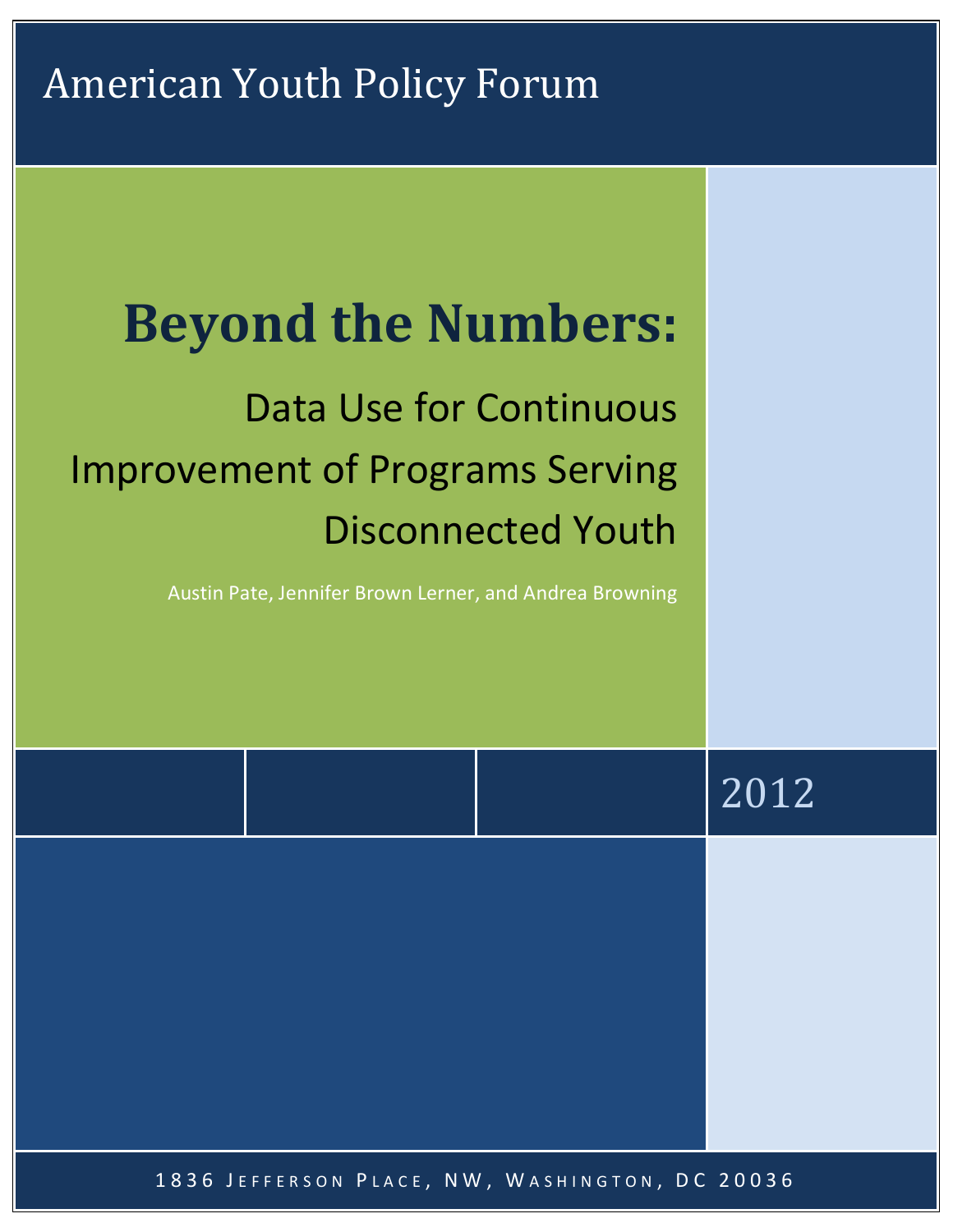# **Beyond the Numbers:**

# Data Use for Continuous Improvement of Programs Serving Disconnected Youth

Austin Pate, Jennifer Brown Lerner, and Andrea Browning

|                                                | 2012 |
|------------------------------------------------|------|
|                                                |      |
|                                                |      |
|                                                |      |
| 1836 JEFFERSON PLACE, NW, WASHINGTON, DC 20036 |      |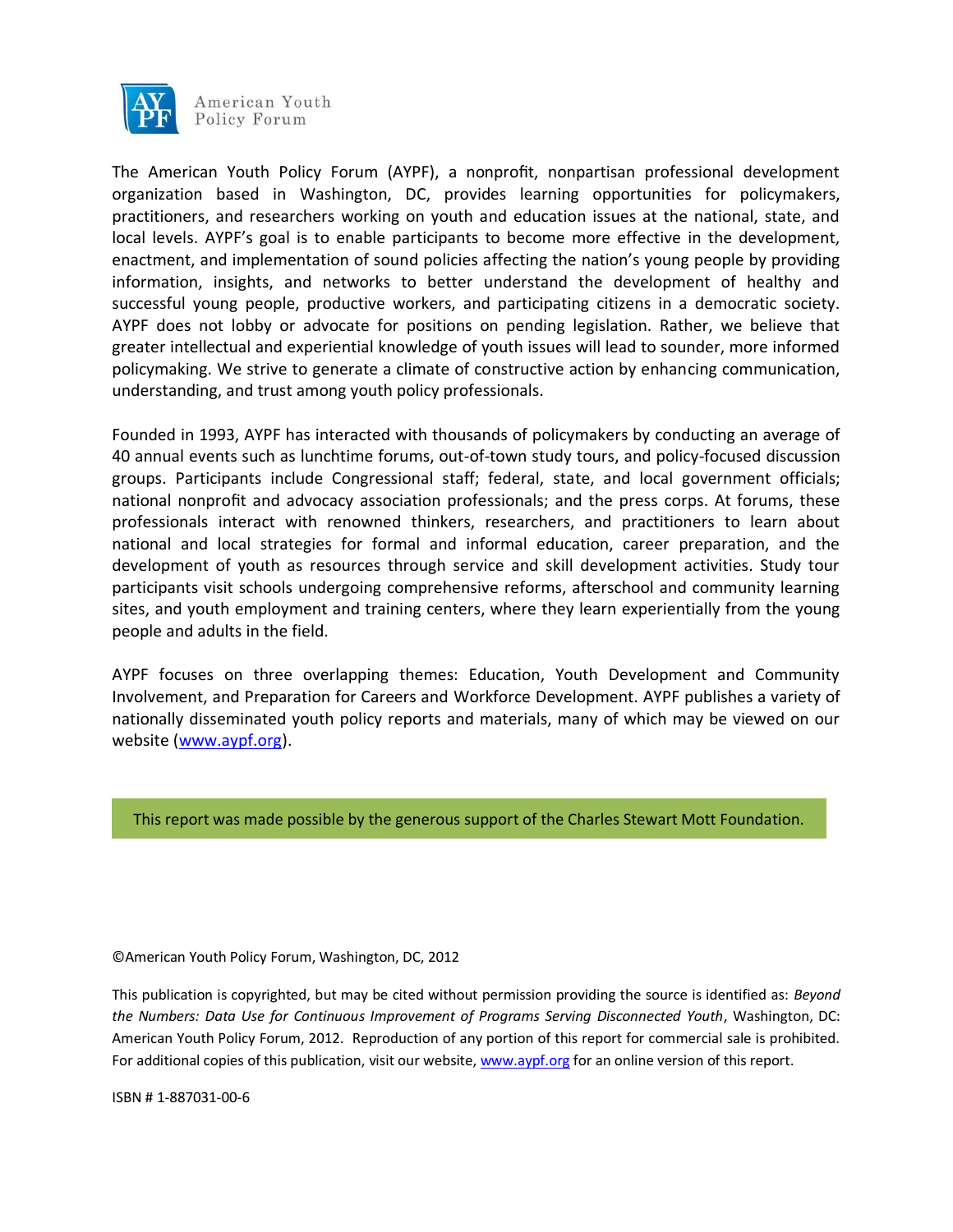

The American Youth Policy Forum (AYPF), a nonprofit, nonpartisan professional development organization based in Washington, DC, provides learning opportunities for policymakers, practitioners, and researchers working on youth and education issues at the national, state, and local levels. AYPF's goal is to enable participants to become more effective in the development, enactment, and implementation of sound policies affecting the nation's young people by providing information, insights, and networks to better understand the development of healthy and successful young people, productive workers, and participating citizens in a democratic society. AYPF does not lobby or advocate for positions on pending legislation. Rather, we believe that greater intellectual and experiential knowledge of youth issues will lead to sounder, more informed policymaking. We strive to generate a climate of constructive action by enhancing communication, understanding, and trust among youth policy professionals.

Founded in 1993, AYPF has interacted with thousands of policymakers by conducting an average of 40 annual events such as lunchtime forums, out-of-town study tours, and policy-focused discussion groups. Participants include Congressional staff; federal, state, and local government officials; national nonprofit and advocacy association professionals; and the press corps. At forums, these professionals interact with renowned thinkers, researchers, and practitioners to learn about national and local strategies for formal and informal education, career preparation, and the development of youth as resources through service and skill development activities. Study tour participants visit schools undergoing comprehensive reforms, afterschool and community learning sites, and youth employment and training centers, where they learn experientially from the young people and adults in the field.

AYPF focuses on three overlapping themes: Education, Youth Development and Community Involvement, and Preparation for Careers and Workforce Development. AYPF publishes a variety of nationally disseminated youth policy reports and materials, many of which may be viewed on our website [\(www.aypf.org\)](http://www.aypf.org/).

#### This report was made possible by the generous support of the Charles Stewart Mott Foundation.

©American Youth Policy Forum, Washington, DC, 2012

This publication is copyrighted, but may be cited without permission providing the source is identified as: *Beyond the Numbers: Data Use for Continuous Improvement of Programs Serving Disconnected Youth*, Washington, DC: American Youth Policy Forum, 2012. Reproduction of any portion of this report for commercial sale is prohibited. For additional copies of this publication, visit our website[, www.aypf.org](http://www.aypf.org/) for an online version of this report.

ISBN # 1-887031-00-6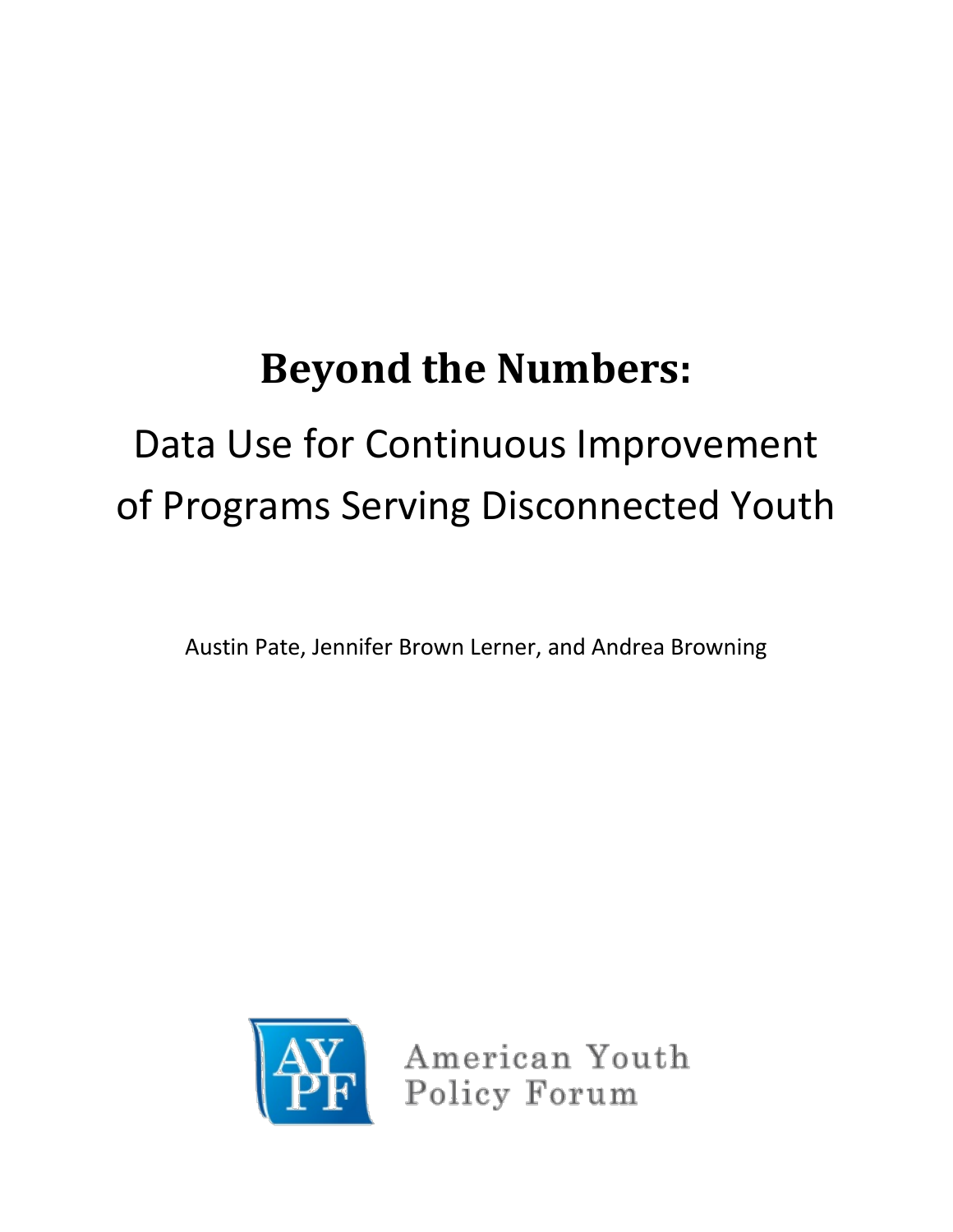# **Beyond the Numbers:**

# Data Use for Continuous Improvement of Programs Serving Disconnected Youth

Austin Pate, Jennifer Brown Lerner, and Andrea Browning



American Youth Policy Forum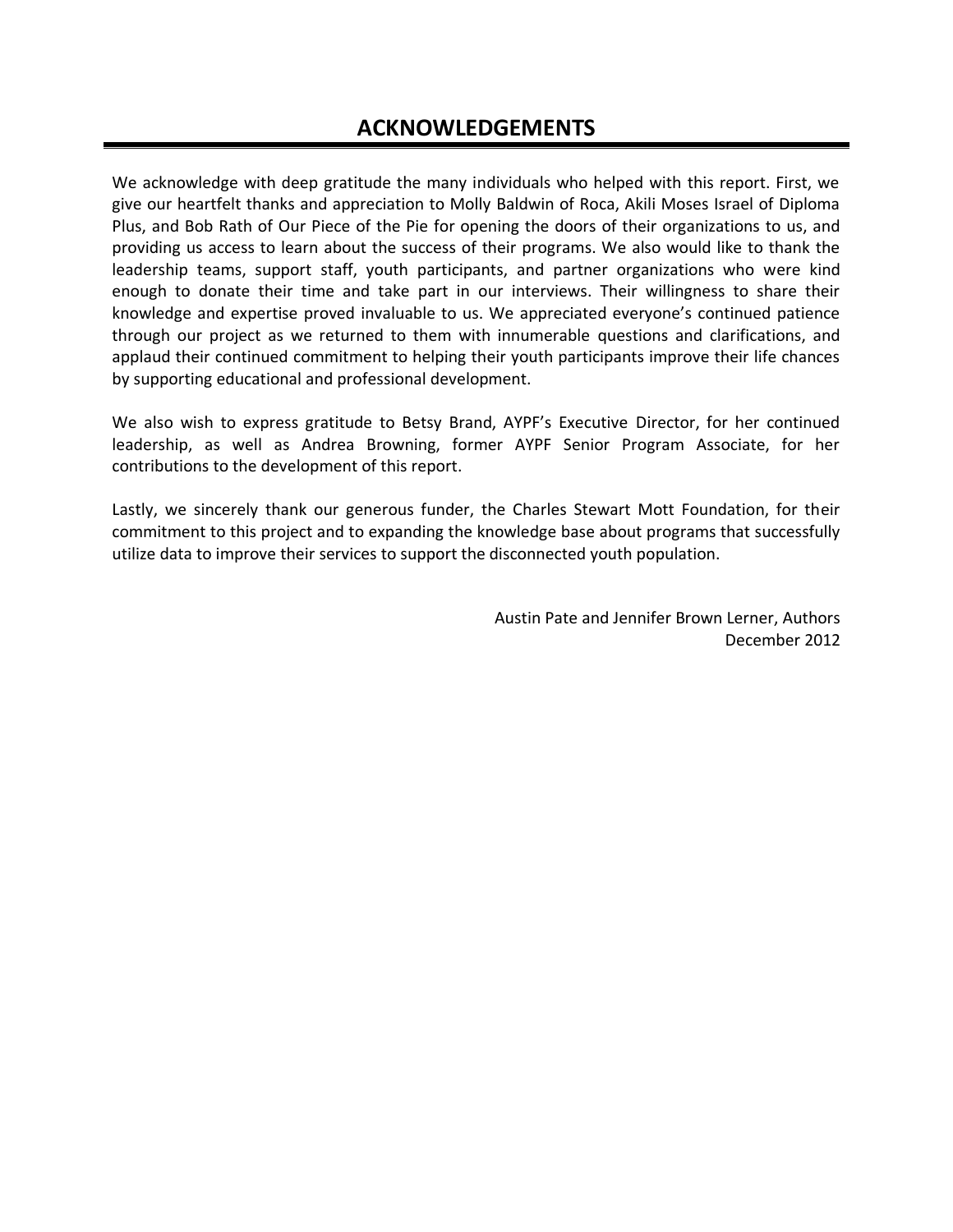We acknowledge with deep gratitude the many individuals who helped with this report. First, we give our heartfelt thanks and appreciation to Molly Baldwin of Roca, Akili Moses Israel of Diploma Plus, and Bob Rath of Our Piece of the Pie for opening the doors of their organizations to us, and providing us access to learn about the success of their programs. We also would like to thank the leadership teams, support staff, youth participants, and partner organizations who were kind enough to donate their time and take part in our interviews. Their willingness to share their knowledge and expertise proved invaluable to us. We appreciated everyone's continued patience through our project as we returned to them with innumerable questions and clarifications, and applaud their continued commitment to helping their youth participants improve their life chances by supporting educational and professional development.

We also wish to express gratitude to Betsy Brand, AYPF's Executive Director, for her continued leadership, as well as Andrea Browning, former AYPF Senior Program Associate, for her contributions to the development of this report.

Lastly, we sincerely thank our generous funder, the Charles Stewart Mott Foundation, for their commitment to this project and to expanding the knowledge base about programs that successfully utilize data to improve their services to support the disconnected youth population.

> Austin Pate and Jennifer Brown Lerner, Authors December 2012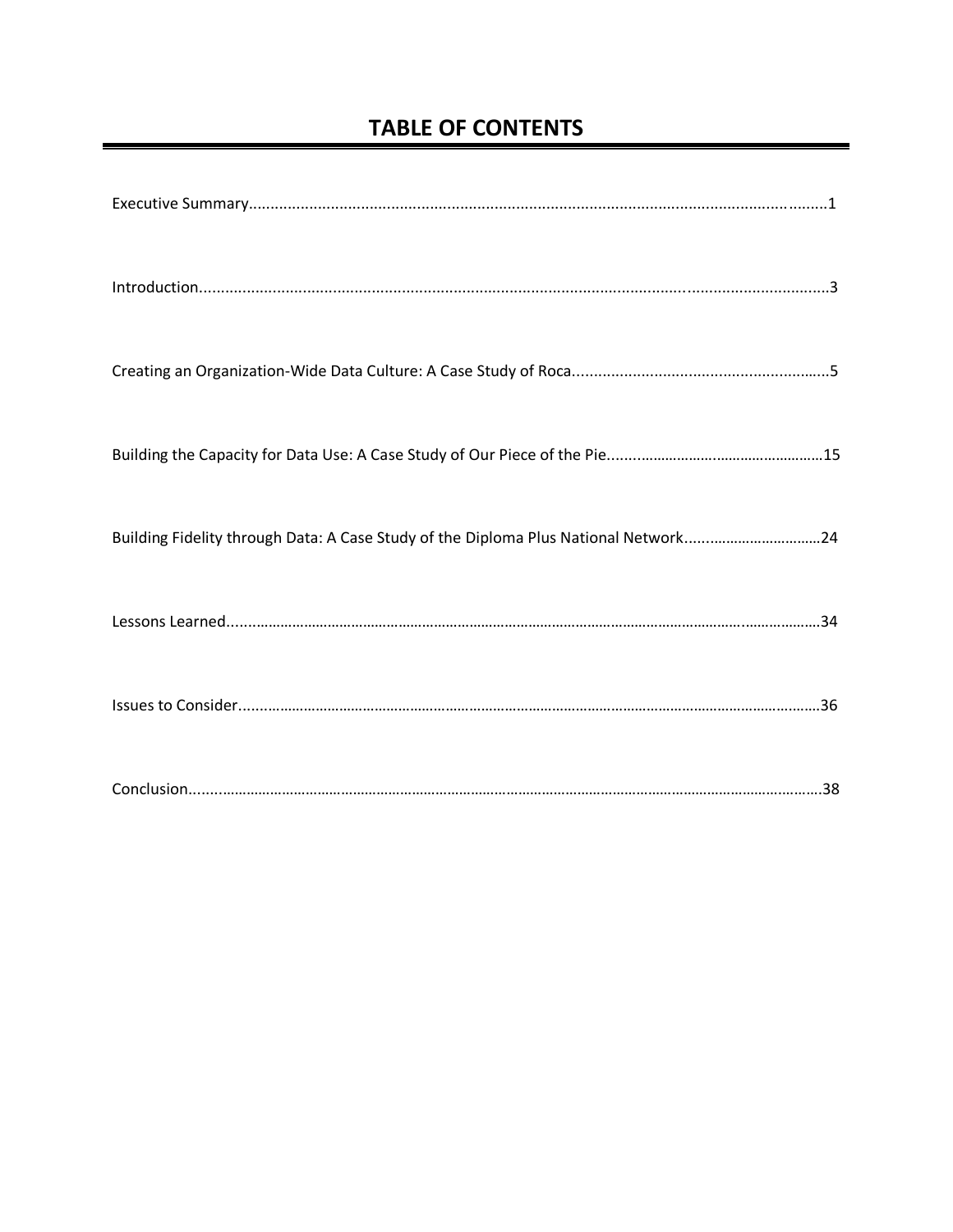# **TABLE OF CONTENTS**

| Building Fidelity through Data: A Case Study of the Diploma Plus National Network24 |
|-------------------------------------------------------------------------------------|
|                                                                                     |
|                                                                                     |
|                                                                                     |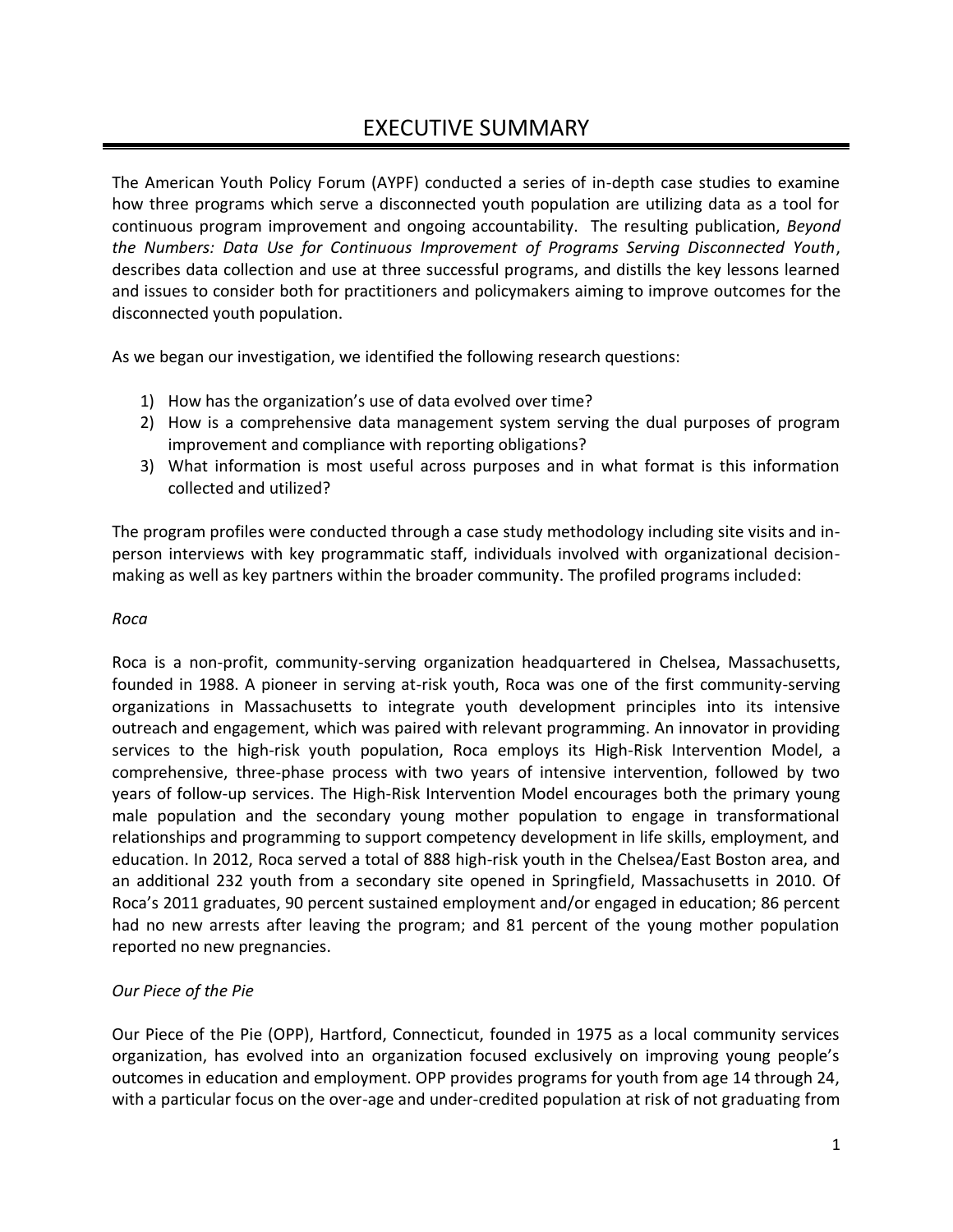## EXECUTIVE SUMMARY

The American Youth Policy Forum (AYPF) conducted a series of in-depth case studies to examine how three programs which serve a disconnected youth population are utilizing data as a tool for continuous program improvement and ongoing accountability. The resulting publication, *Beyond the Numbers: Data Use for Continuous Improvement of Programs Serving Disconnected Youth*, describes data collection and use at three successful programs, and distills the key lessons learned and issues to consider both for practitioners and policymakers aiming to improve outcomes for the disconnected youth population.

As we began our investigation, we identified the following research questions:

- 1) How has the organization's use of data evolved over time?
- 2) How is a comprehensive data management system serving the dual purposes of program improvement and compliance with reporting obligations?
- 3) What information is most useful across purposes and in what format is this information collected and utilized?

The program profiles were conducted through a case study methodology including site visits and inperson interviews with key programmatic staff, individuals involved with organizational decisionmaking as well as key partners within the broader community. The profiled programs included:

### *Roca*

Roca is a non-profit, community-serving organization headquartered in Chelsea, Massachusetts, founded in 1988. A pioneer in serving at-risk youth, Roca was one of the first community-serving organizations in Massachusetts to integrate youth development principles into its intensive outreach and engagement, which was paired with relevant programming. An innovator in providing services to the high-risk youth population, Roca employs its High-Risk Intervention Model, a comprehensive, three-phase process with two years of intensive intervention, followed by two years of follow-up services. The High-Risk Intervention Model encourages both the primary young male population and the secondary young mother population to engage in transformational relationships and programming to support competency development in life skills, employment, and education. In 2012, Roca served a total of 888 high-risk youth in the Chelsea/East Boston area, and an additional 232 youth from a secondary site opened in Springfield, Massachusetts in 2010. Of Roca's 2011 graduates, 90 percent sustained employment and/or engaged in education; 86 percent had no new arrests after leaving the program; and 81 percent of the young mother population reported no new pregnancies.

## *Our Piece of the Pie*

Our Piece of the Pie (OPP), Hartford, Connecticut, founded in 1975 as a local community services organization, has evolved into an organization focused exclusively on improving young people's outcomes in education and employment. OPP provides programs for youth from age 14 through 24, with a particular focus on the over-age and under-credited population at risk of not graduating from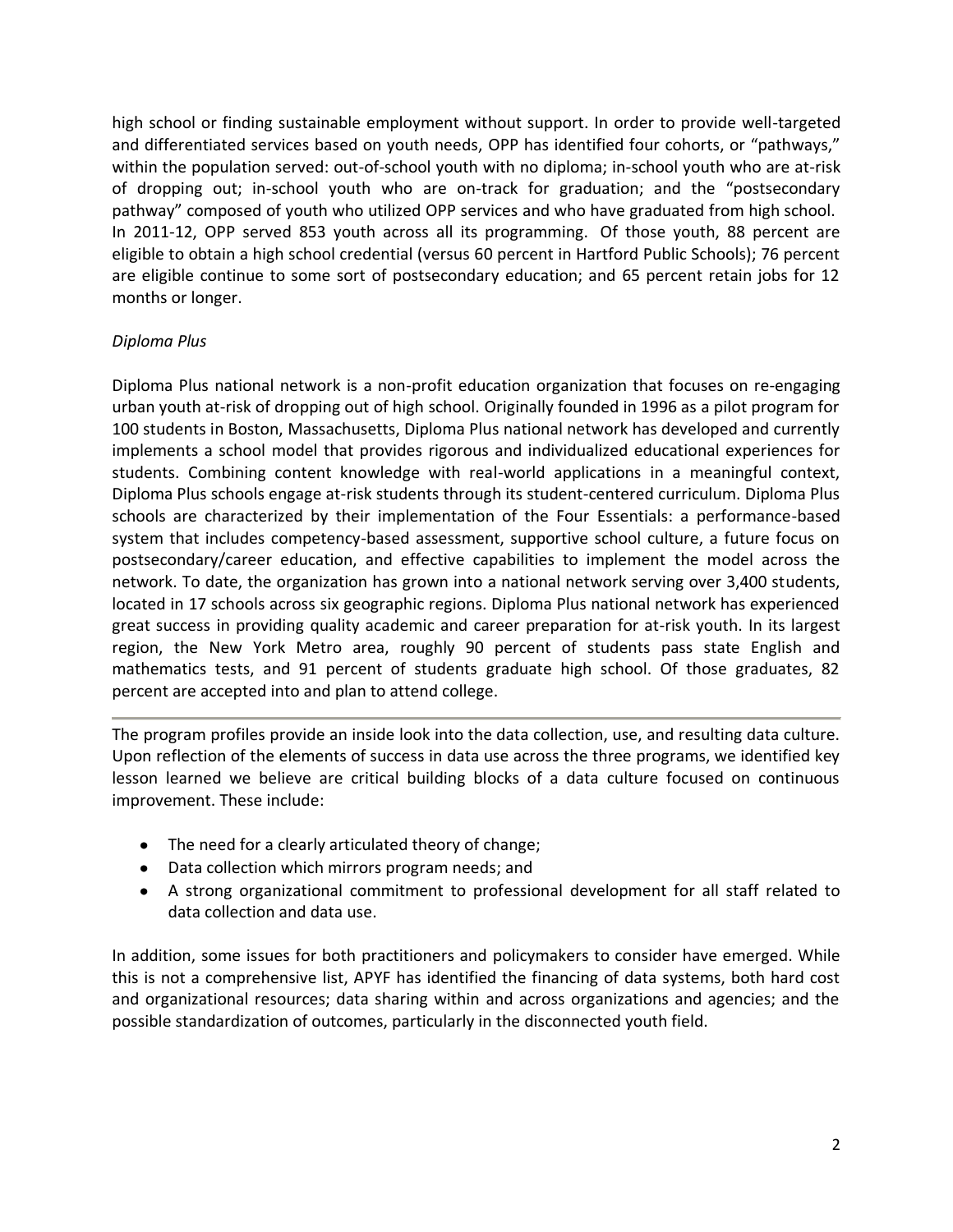high school or finding sustainable employment without support. In order to provide well-targeted and differentiated services based on youth needs, OPP has identified four cohorts, or "pathways," within the population served: out-of-school youth with no diploma; in-school youth who are at-risk of dropping out; in-school youth who are on-track for graduation; and the "postsecondary pathway" composed of youth who utilized OPP services and who have graduated from high school. In 2011-12, OPP served 853 youth across all its programming. Of those youth, 88 percent are eligible to obtain a high school credential (versus 60 percent in Hartford Public Schools); 76 percent are eligible continue to some sort of postsecondary education; and 65 percent retain jobs for 12 months or longer.

## *Diploma Plus*

Diploma Plus national network is a non-profit education organization that focuses on re-engaging urban youth at-risk of dropping out of high school. Originally founded in 1996 as a pilot program for 100 students in Boston, Massachusetts, Diploma Plus national network has developed and currently implements a school model that provides rigorous and individualized educational experiences for students. Combining content knowledge with real-world applications in a meaningful context, Diploma Plus schools engage at-risk students through its student-centered curriculum. Diploma Plus schools are characterized by their implementation of the Four Essentials: a performance-based system that includes competency-based assessment, supportive school culture, a future focus on postsecondary/career education, and effective capabilities to implement the model across the network. To date, the organization has grown into a national network serving over 3,400 students, located in 17 schools across six geographic regions. Diploma Plus national network has experienced great success in providing quality academic and career preparation for at-risk youth. In its largest region, the New York Metro area, roughly 90 percent of students pass state English and mathematics tests, and 91 percent of students graduate high school. Of those graduates, 82 percent are accepted into and plan to attend college.

The program profiles provide an inside look into the data collection, use, and resulting data culture. Upon reflection of the elements of success in data use across the three programs, we identified key lesson learned we believe are critical building blocks of a data culture focused on continuous improvement. These include:

- The need for a clearly articulated theory of change;
- Data collection which mirrors program needs; and
- A strong organizational commitment to professional development for all staff related to data collection and data use.

In addition, some issues for both practitioners and policymakers to consider have emerged. While this is not a comprehensive list, APYF has identified the financing of data systems, both hard cost and organizational resources; data sharing within and across organizations and agencies; and the possible standardization of outcomes, particularly in the disconnected youth field.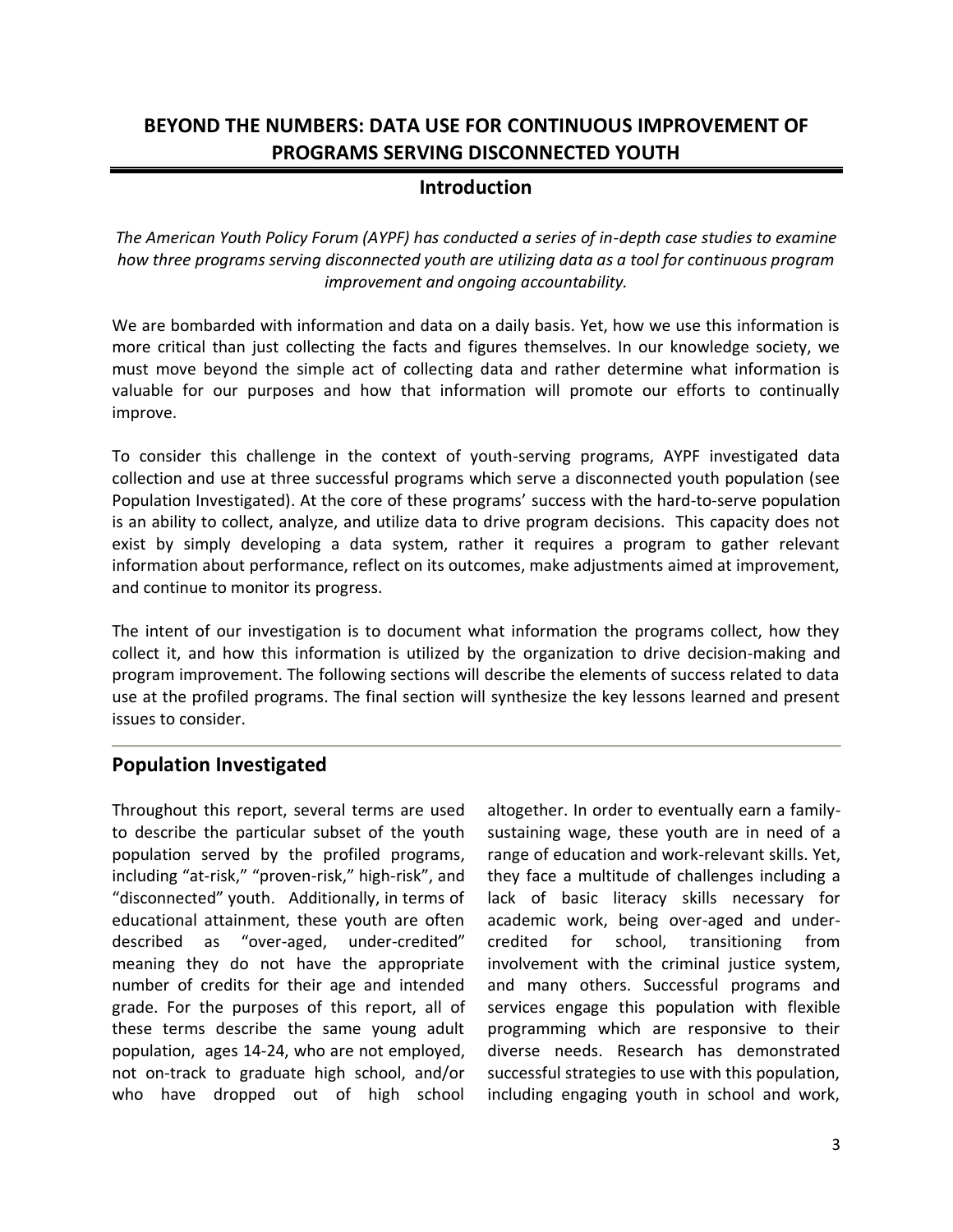## **BEYOND THE NUMBERS: DATA USE FOR CONTINUOUS IMPROVEMENT OF PROGRAMS SERVING DISCONNECTED YOUTH**

## **Introduction**

*The American Youth Policy Forum (AYPF) has conducted a series of in-depth case studies to examine how three programs serving disconnected youth are utilizing data as a tool for continuous program improvement and ongoing accountability.*

We are bombarded with information and data on a daily basis. Yet, how we use this information is more critical than just collecting the facts and figures themselves. In our knowledge society, we must move beyond the simple act of collecting data and rather determine what information is valuable for our purposes and how that information will promote our efforts to continually improve.

To consider this challenge in the context of youth-serving programs, AYPF investigated data collection and use at three successful programs which serve a disconnected youth population (see Population Investigated). At the core of these programs' success with the hard-to-serve population is an ability to collect, analyze, and utilize data to drive program decisions. This capacity does not exist by simply developing a data system, rather it requires a program to gather relevant information about performance, reflect on its outcomes, make adjustments aimed at improvement, and continue to monitor its progress.

The intent of our investigation is to document what information the programs collect, how they collect it, and how this information is utilized by the organization to drive decision-making and program improvement. The following sections will describe the elements of success related to data use at the profiled programs. The final section will synthesize the key lessons learned and present issues to consider.

## **Population Investigated**

Throughout this report, several terms are used to describe the particular subset of the youth population served by the profiled programs, including "at-risk," "proven-risk," high-risk", and "disconnected" youth. Additionally, in terms of educational attainment, these youth are often described as "over-aged, under-credited" meaning they do not have the appropriate number of credits for their age and intended grade. For the purposes of this report, all of these terms describe the same young adult population, ages 14-24, who are not employed, not on-track to graduate high school, and/or who have dropped out of high school

altogether. In order to eventually earn a familysustaining wage, these youth are in need of a range of education and work-relevant skills. Yet, they face a multitude of challenges including a lack of basic literacy skills necessary for academic work, being over-aged and undercredited for school, transitioning from involvement with the criminal justice system, and many others. Successful programs and services engage this population with flexible programming which are responsive to their diverse needs. Research has demonstrated successful strategies to use with this population, including engaging youth in school and work,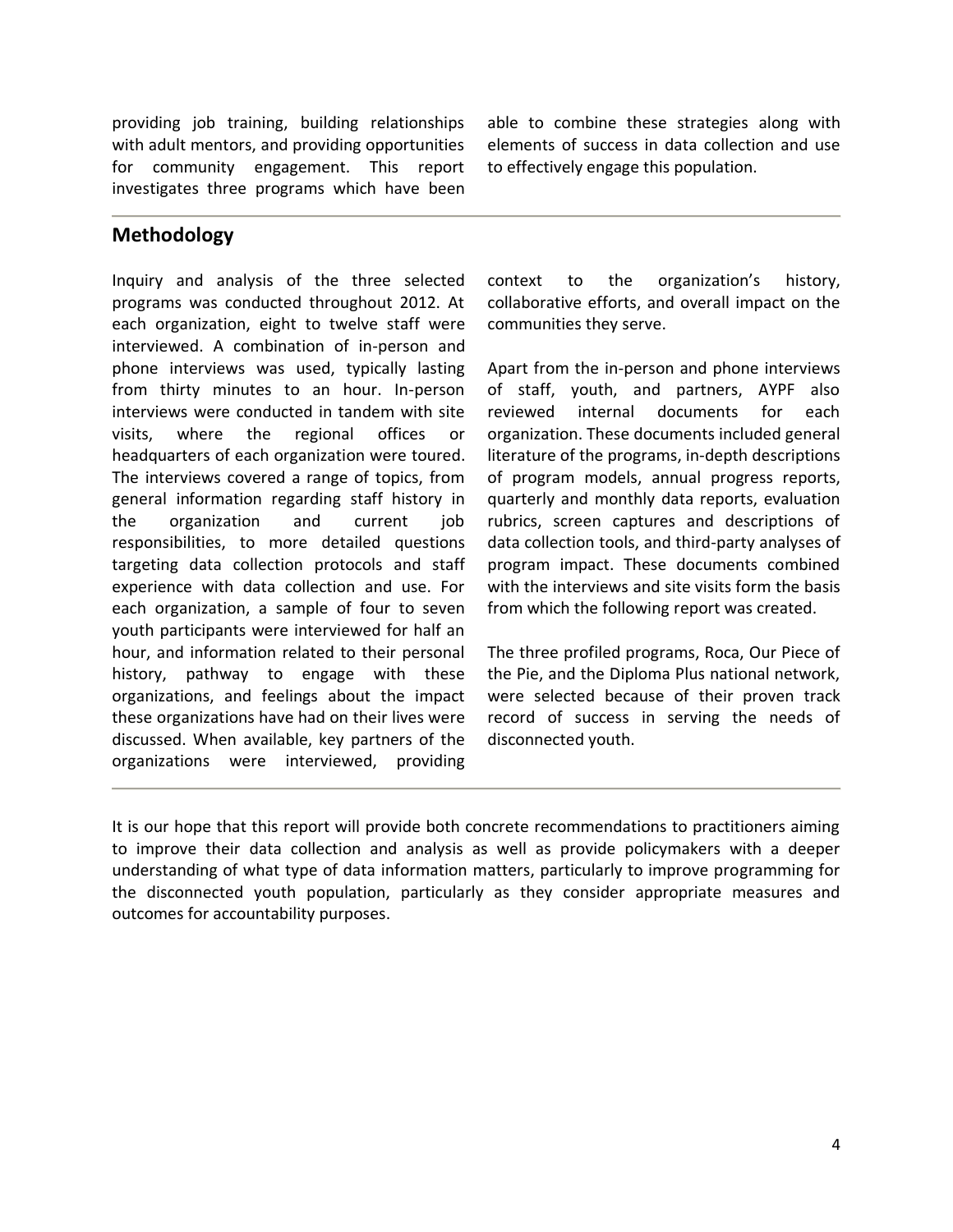providing job training, building relationships with adult mentors, and providing opportunities for community engagement. This report investigates three programs which have been

able to combine these strategies along with elements of success in data collection and use to effectively engage this population.

## **Methodology**

Inquiry and analysis of the three selected programs was conducted throughout 2012. At each organization, eight to twelve staff were interviewed. A combination of in-person and phone interviews was used, typically lasting from thirty minutes to an hour. In-person interviews were conducted in tandem with site visits, where the regional offices or headquarters of each organization were toured. The interviews covered a range of topics, from general information regarding staff history in the organization and current job responsibilities, to more detailed questions targeting data collection protocols and staff experience with data collection and use. For each organization, a sample of four to seven youth participants were interviewed for half an hour, and information related to their personal history, pathway to engage with these organizations, and feelings about the impact these organizations have had on their lives were discussed. When available, key partners of the organizations were interviewed, providing

context to the organization's history, collaborative efforts, and overall impact on the communities they serve.

Apart from the in-person and phone interviews of staff, youth, and partners, AYPF also reviewed internal documents for each organization. These documents included general literature of the programs, in-depth descriptions of program models, annual progress reports, quarterly and monthly data reports, evaluation rubrics, screen captures and descriptions of data collection tools, and third-party analyses of program impact. These documents combined with the interviews and site visits form the basis from which the following report was created.

The three profiled programs, Roca, Our Piece of the Pie, and the Diploma Plus national network, were selected because of their proven track record of success in serving the needs of disconnected youth.

It is our hope that this report will provide both concrete recommendations to practitioners aiming to improve their data collection and analysis as well as provide policymakers with a deeper understanding of what type of data information matters, particularly to improve programming for the disconnected youth population, particularly as they consider appropriate measures and outcomes for accountability purposes.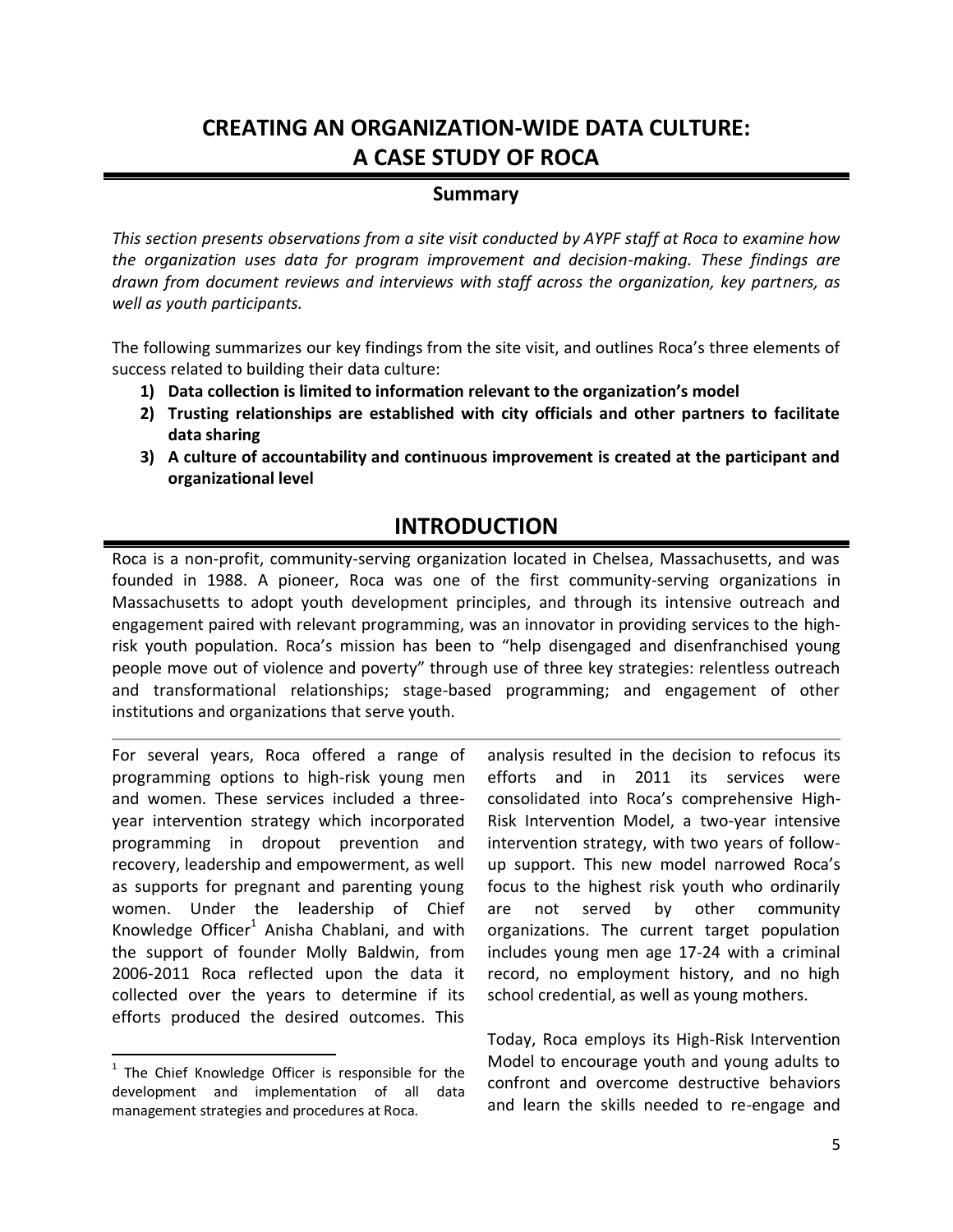# **CREATING AN ORGANIZATION-WIDE DATA CULTURE: A CASE STUDY OF ROCA**

## **Summary**

*This section presents observations from a site visit conducted by AYPF staff at Roca to examine how the organization uses data for program improvement and decision-making. These findings are drawn from document reviews and interviews with staff across the organization, key partners, as well as youth participants.*

The following summarizes our key findings from the site visit, and outlines Roca's three elements of success related to building their data culture:

- **1) Data collection is limited to information relevant to the organization's model**
- **2) Trusting relationships are established with city officials and other partners to facilitate data sharing**
- **3) A culture of accountability and continuous improvement is created at the participant and organizational level**

## **INTRODUCTION**

Roca is a non-profit, community-serving organization located in Chelsea, Massachusetts, and was founded in 1988. A pioneer, Roca was one of the first community-serving organizations in Massachusetts to adopt youth development principles, and through its intensive outreach and engagement paired with relevant programming, was an innovator in providing services to the highrisk youth population. Roca's mission has been to "help disengaged and disenfranchised young people move out of violence and poverty" through use of three key strategies: relentless outreach and transformational relationships; stage-based programming; and engagement of other institutions and organizations that serve youth.

For several years, Roca offered a range of programming options to high-risk young men and women. These services included a threeyear intervention strategy which incorporated programming in dropout prevention and recovery, leadership and empowerment, as well as supports for pregnant and parenting young women. Under the leadership of Chief Knowledge Officer $^1$  Anisha Chablani, and with the support of founder Molly Baldwin, from 2006-2011 Roca reflected upon the data it collected over the years to determine if its efforts produced the desired outcomes. This

 $\overline{\phantom{a}}$ 

analysis resulted in the decision to refocus its efforts and in 2011 its services were consolidated into Roca's comprehensive High-Risk Intervention Model, a two-year intensive intervention strategy, with two years of followup support. This new model narrowed Roca's focus to the highest risk youth who ordinarily are not served by other community organizations. The current target population includes young men age 17-24 with a criminal record, no employment history, and no high school credential, as well as young mothers.

Today, Roca employs its High-Risk Intervention Model to encourage youth and young adults to confront and overcome destructive behaviors and learn the skills needed to re-engage and

<sup>&</sup>lt;sup>1</sup> The Chief Knowledge Officer is responsible for the development and implementation of all data management strategies and procedures at Roca.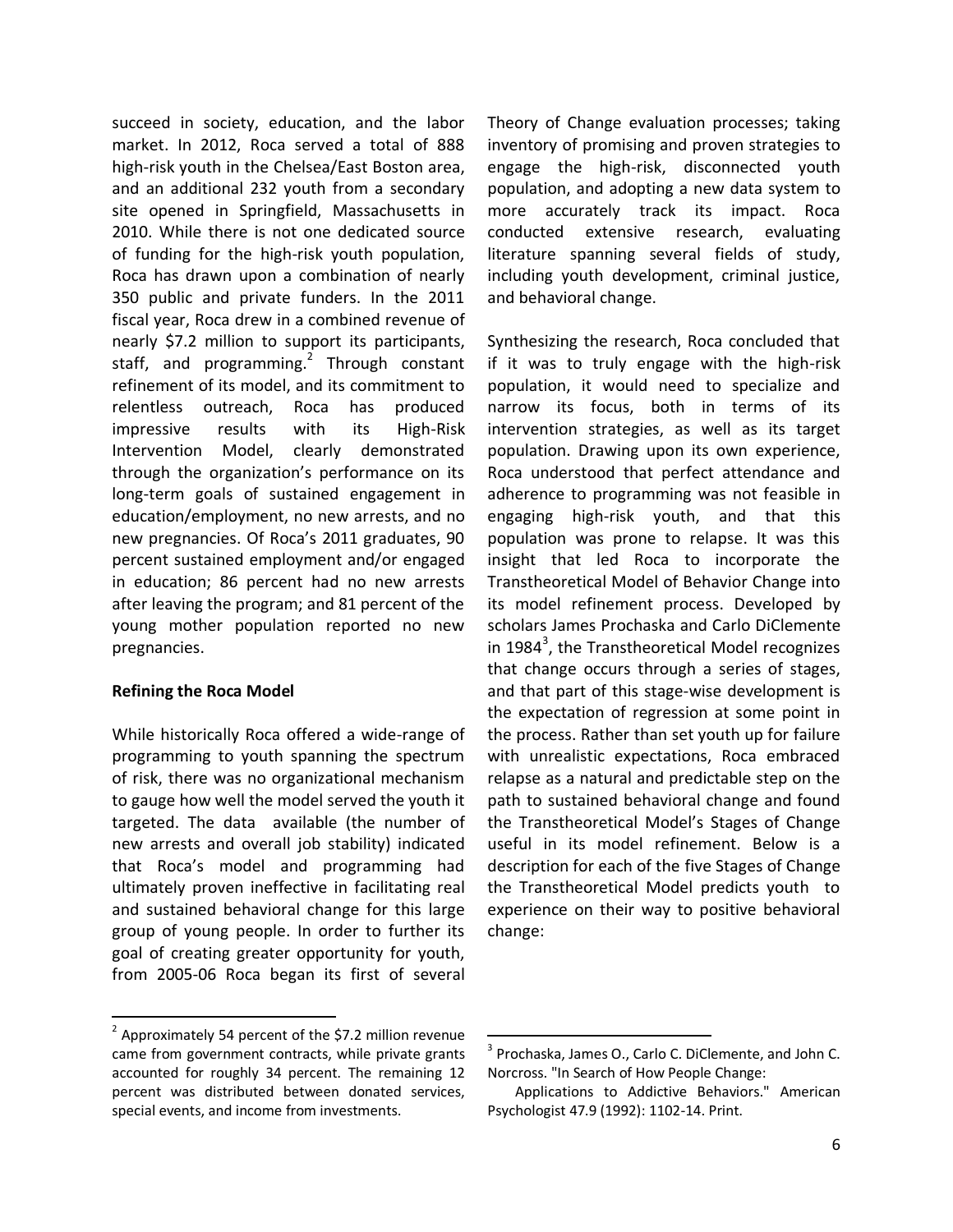succeed in society, education, and the labor market. In 2012, Roca served a total of 888 high-risk youth in the Chelsea/East Boston area, and an additional 232 youth from a secondary site opened in Springfield, Massachusetts in 2010. While there is not one dedicated source of funding for the high-risk youth population, Roca has drawn upon a combination of nearly 350 public and private funders. In the 2011 fiscal year, Roca drew in a combined revenue of nearly \$7.2 million to support its participants, staff, and programming. $^2$  Through constant refinement of its model, and its commitment to relentless outreach, Roca has produced impressive results with its High-Risk Intervention Model, clearly demonstrated through the organization's performance on its long-term goals of sustained engagement in education/employment, no new arrests, and no new pregnancies. Of Roca's 2011 graduates, 90 percent sustained employment and/or engaged in education; 86 percent had no new arrests after leaving the program; and 81 percent of the young mother population reported no new pregnancies.

#### **Refining the Roca Model**

 $\overline{\phantom{a}}$ 

While historically Roca offered a wide-range of programming to youth spanning the spectrum of risk, there was no organizational mechanism to gauge how well the model served the youth it targeted. The data available (the number of new arrests and overall job stability) indicated that Roca's model and programming had ultimately proven ineffective in facilitating real and sustained behavioral change for this large group of young people. In order to further its goal of creating greater opportunity for youth, from 2005-06 Roca began its first of several Theory of Change evaluation processes; taking inventory of promising and proven strategies to engage the high-risk, disconnected youth population, and adopting a new data system to more accurately track its impact. Roca conducted extensive research, evaluating literature spanning several fields of study, including youth development, criminal justice, and behavioral change.

Synthesizing the research, Roca concluded that if it was to truly engage with the high-risk population, it would need to specialize and narrow its focus, both in terms of its intervention strategies, as well as its target population. Drawing upon its own experience, Roca understood that perfect attendance and adherence to programming was not feasible in engaging high-risk youth, and that this population was prone to relapse. It was this insight that led Roca to incorporate the Transtheoretical Model of Behavior Change into its model refinement process. Developed by scholars James Prochaska and Carlo DiClemente in 1984<sup>3</sup>, the Transtheoretical Model recognizes that change occurs through a series of stages, and that part of this stage-wise development is the expectation of regression at some point in the process. Rather than set youth up for failure with unrealistic expectations, Roca embraced relapse as a natural and predictable step on the path to sustained behavioral change and found the Transtheoretical Model's Stages of Change useful in its model refinement. Below is a description for each of the five Stages of Change the Transtheoretical Model predicts youth to experience on their way to positive behavioral change:

 $\overline{a}$ 

 $2$  Approximately 54 percent of the \$7.2 million revenue came from government contracts, while private grants accounted for roughly 34 percent. The remaining 12 percent was distributed between donated services, special events, and income from investments.

<sup>&</sup>lt;sup>3</sup> Prochaska, James O., Carlo C. DiClemente, and John C. Norcross. "In Search of How People Change:

Applications to Addictive Behaviors." American Psychologist 47.9 (1992): 1102-14. Print.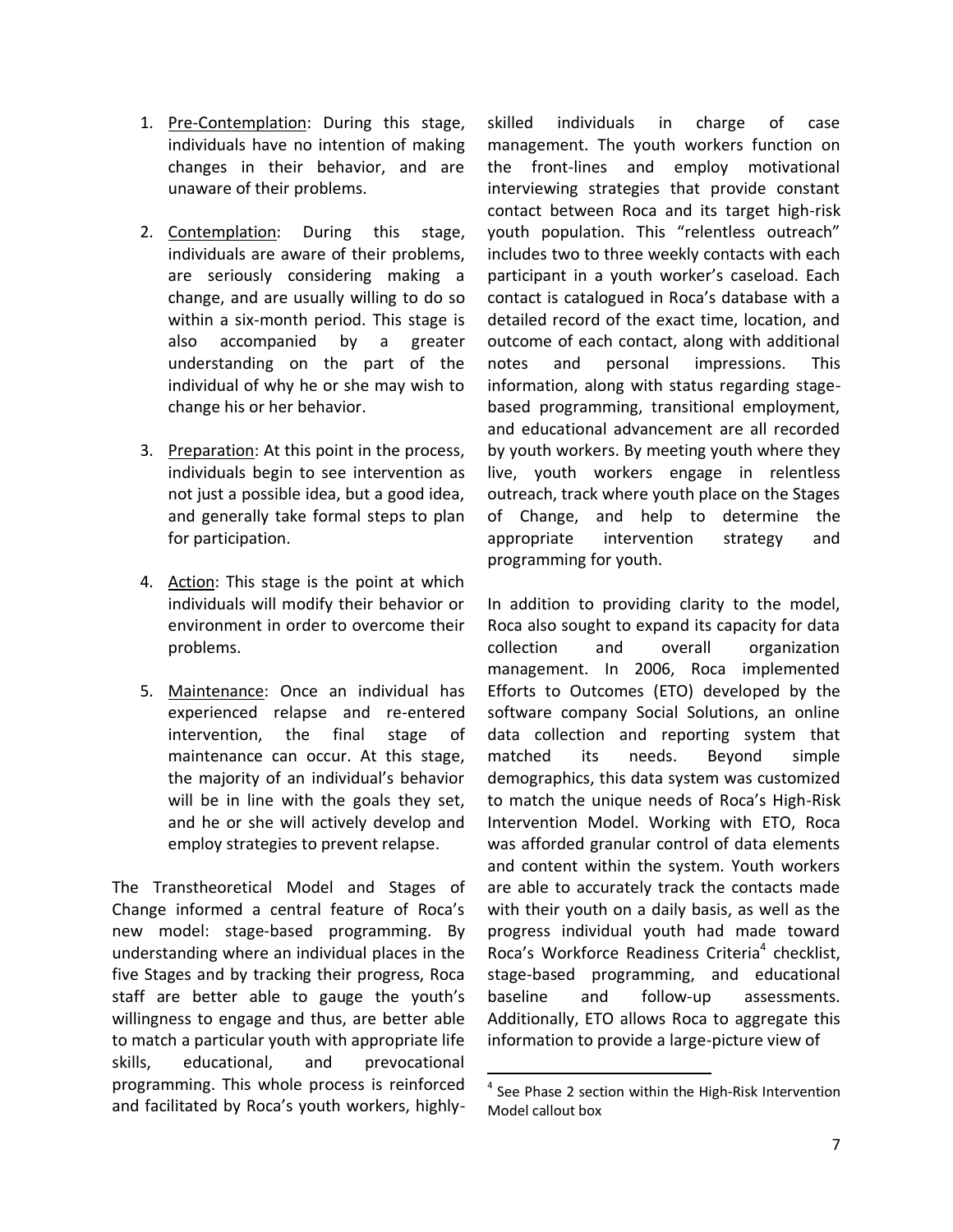- 1. Pre-Contemplation: During this stage, individuals have no intention of making changes in their behavior, and are unaware of their problems.
- 2. Contemplation: During this stage, individuals are aware of their problems, are seriously considering making a change, and are usually willing to do so within a six-month period. This stage is also accompanied by a greater understanding on the part of the individual of why he or she may wish to change his or her behavior.
- 3. Preparation: At this point in the process, individuals begin to see intervention as not just a possible idea, but a good idea, and generally take formal steps to plan for participation.
- 4. Action: This stage is the point at which individuals will modify their behavior or environment in order to overcome their problems.
- 5. Maintenance: Once an individual has experienced relapse and re-entered intervention, the final stage of maintenance can occur. At this stage, the majority of an individual's behavior will be in line with the goals they set, and he or she will actively develop and employ strategies to prevent relapse.

The Transtheoretical Model and Stages of Change informed a central feature of Roca's new model: stage-based programming. By understanding where an individual places in the five Stages and by tracking their progress, Roca staff are better able to gauge the youth's willingness to engage and thus, are better able to match a particular youth with appropriate life skills, educational, and prevocational programming. This whole process is reinforced and facilitated by Roca's youth workers, highlyskilled individuals in charge of case management. The youth workers function on the front-lines and employ motivational interviewing strategies that provide constant contact between Roca and its target high-risk youth population. This "relentless outreach" includes two to three weekly contacts with each participant in a youth worker's caseload. Each contact is catalogued in Roca's database with a detailed record of the exact time, location, and outcome of each contact, along with additional notes and personal impressions. This information, along with status regarding stagebased programming, transitional employment, and educational advancement are all recorded by youth workers. By meeting youth where they live, youth workers engage in relentless outreach, track where youth place on the Stages of Change, and help to determine the appropriate intervention strategy and programming for youth.

In addition to providing clarity to the model, Roca also sought to expand its capacity for data collection and overall organization management. In 2006, Roca implemented Efforts to Outcomes (ETO) developed by the software company Social Solutions, an online data collection and reporting system that matched its needs. Beyond simple demographics, this data system was customized to match the unique needs of Roca's High-Risk Intervention Model. Working with ETO, Roca was afforded granular control of data elements and content within the system. Youth workers are able to accurately track the contacts made with their youth on a daily basis, as well as the progress individual youth had made toward Roca's Workforce Readiness Criteria<sup>4</sup> checklist, stage-based programming, and educational baseline and follow-up assessments. Additionally, ETO allows Roca to aggregate this information to provide a large-picture view of

 $\ddot{\phantom{a}}$ <sup>4</sup> See Phase 2 section within the High-Risk Intervention Model callout box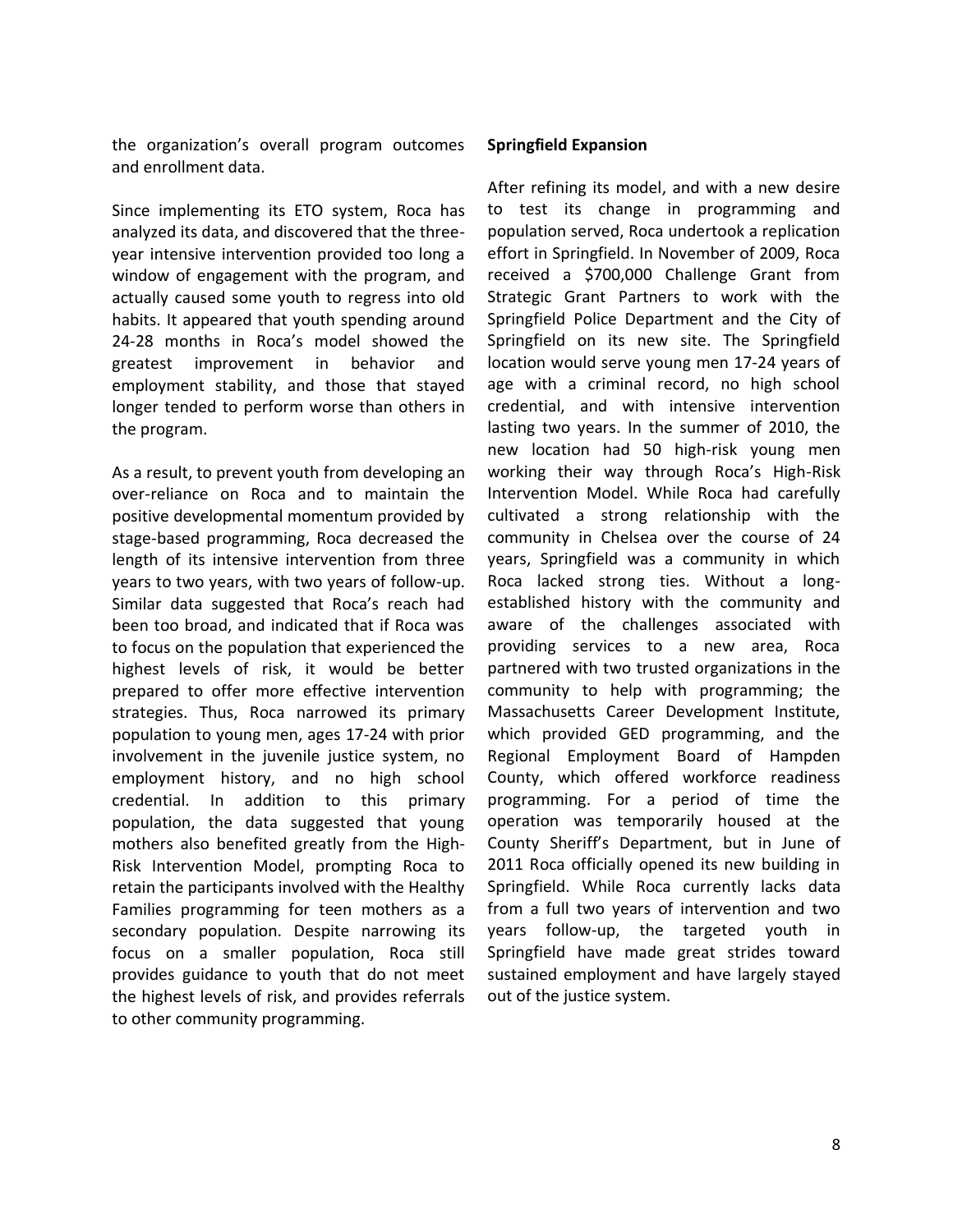the organization's overall program outcomes and enrollment data.

Since implementing its ETO system, Roca has analyzed its data, and discovered that the threeyear intensive intervention provided too long a window of engagement with the program, and actually caused some youth to regress into old habits. It appeared that youth spending around 24-28 months in Roca's model showed the greatest improvement in behavior and employment stability, and those that stayed longer tended to perform worse than others in the program.

As a result, to prevent youth from developing an over-reliance on Roca and to maintain the positive developmental momentum provided by stage-based programming, Roca decreased the length of its intensive intervention from three years to two years, with two years of follow-up. Similar data suggested that Roca's reach had been too broad, and indicated that if Roca was to focus on the population that experienced the highest levels of risk, it would be better prepared to offer more effective intervention strategies. Thus, Roca narrowed its primary population to young men, ages 17-24 with prior involvement in the juvenile justice system, no employment history, and no high school credential. In addition to this primary population, the data suggested that young mothers also benefited greatly from the High-Risk Intervention Model, prompting Roca to retain the participants involved with the Healthy Families programming for teen mothers as a secondary population. Despite narrowing its focus on a smaller population, Roca still provides guidance to youth that do not meet the highest levels of risk, and provides referrals to other community programming.

#### **Springfield Expansion**

After refining its model, and with a new desire to test its change in programming and population served, Roca undertook a replication effort in Springfield. In November of 2009, Roca received a \$700,000 Challenge Grant from Strategic Grant Partners to work with the Springfield Police Department and the City of Springfield on its new site. The Springfield location would serve young men 17-24 years of age with a criminal record, no high school credential, and with intensive intervention lasting two years. In the summer of 2010, the new location had 50 high-risk young men working their way through Roca's High-Risk Intervention Model. While Roca had carefully cultivated a strong relationship with the community in Chelsea over the course of 24 years, Springfield was a community in which Roca lacked strong ties. Without a longestablished history with the community and aware of the challenges associated with providing services to a new area, Roca partnered with two trusted organizations in the community to help with programming; the Massachusetts Career Development Institute, which provided GED programming, and the Regional Employment Board of Hampden County, which offered workforce readiness programming. For a period of time the operation was temporarily housed at the County Sheriff's Department, but in June of 2011 Roca officially opened its new building in Springfield. While Roca currently lacks data from a full two years of intervention and two years follow-up, the targeted youth in Springfield have made great strides toward sustained employment and have largely stayed out of the justice system.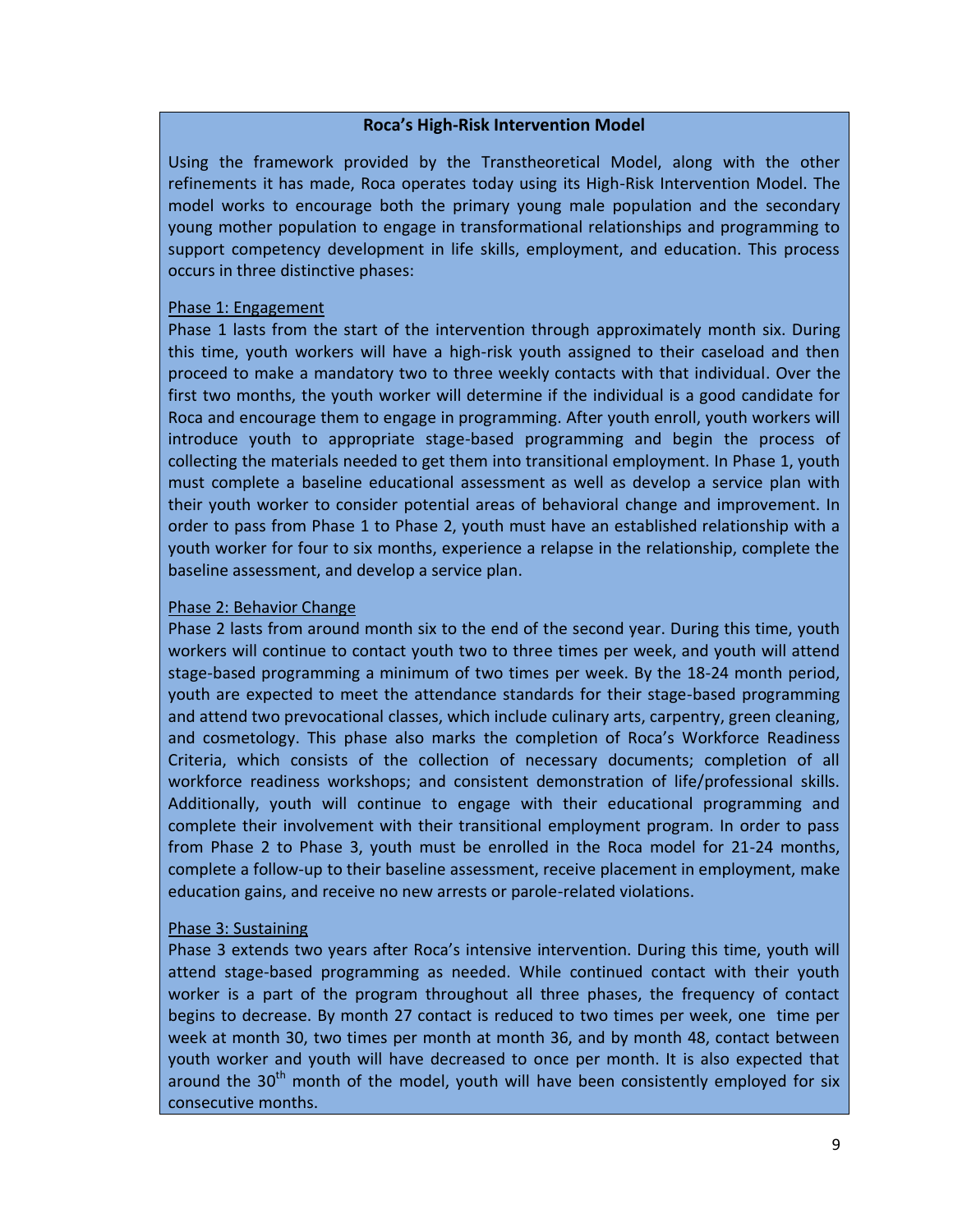## **Roca's High-Risk Intervention Model**

Using the framework provided by the Transtheoretical Model, along with the other refinements it has made, Roca operates today using its High-Risk Intervention Model. The model works to encourage both the primary young male population and the secondary young mother population to engage in transformational relationships and programming to support competency development in life skills, employment, and education. This process occurs in three distinctive phases:

### Phase 1: Engagement

Phase 1 lasts from the start of the intervention through approximately month six. During this time, youth workers will have a high-risk youth assigned to their caseload and then proceed to make a mandatory two to three weekly contacts with that individual. Over the first two months, the youth worker will determine if the individual is a good candidate for Roca and encourage them to engage in programming. After youth enroll, youth workers will introduce youth to appropriate stage-based programming and begin the process of collecting the materials needed to get them into transitional employment. In Phase 1, youth must complete a baseline educational assessment as well as develop a service plan with their youth worker to consider potential areas of behavioral change and improvement. In order to pass from Phase 1 to Phase 2, youth must have an established relationship with a youth worker for four to six months, experience a relapse in the relationship, complete the baseline assessment, and develop a service plan.

### Phase 2: Behavior Change

Phase 2 lasts from around month six to the end of the second year. During this time, youth workers will continue to contact youth two to three times per week, and youth will attend stage-based programming a minimum of two times per week. By the 18-24 month period, youth are expected to meet the attendance standards for their stage-based programming and attend two prevocational classes, which include culinary arts, carpentry, green cleaning, and cosmetology. This phase also marks the completion of Roca's Workforce Readiness Criteria, which consists of the collection of necessary documents; completion of all workforce readiness workshops; and consistent demonstration of life/professional skills. Additionally, youth will continue to engage with their educational programming and complete their involvement with their transitional employment program. In order to pass from Phase 2 to Phase 3, youth must be enrolled in the Roca model for 21-24 months, complete a follow-up to their baseline assessment, receive placement in employment, make education gains, and receive no new arrests or parole-related violations.

## Phase 3: Sustaining

Phase 3 extends two years after Roca's intensive intervention. During this time, youth will attend stage-based programming as needed. While continued contact with their youth worker is a part of the program throughout all three phases, the frequency of contact begins to decrease. By month 27 contact is reduced to two times per week, one time per week at month 30, two times per month at month 36, and by month 48, contact between youth worker and youth will have decreased to once per month. It is also expected that around the  $30<sup>th</sup>$  month of the model, youth will have been consistently employed for six consecutive months.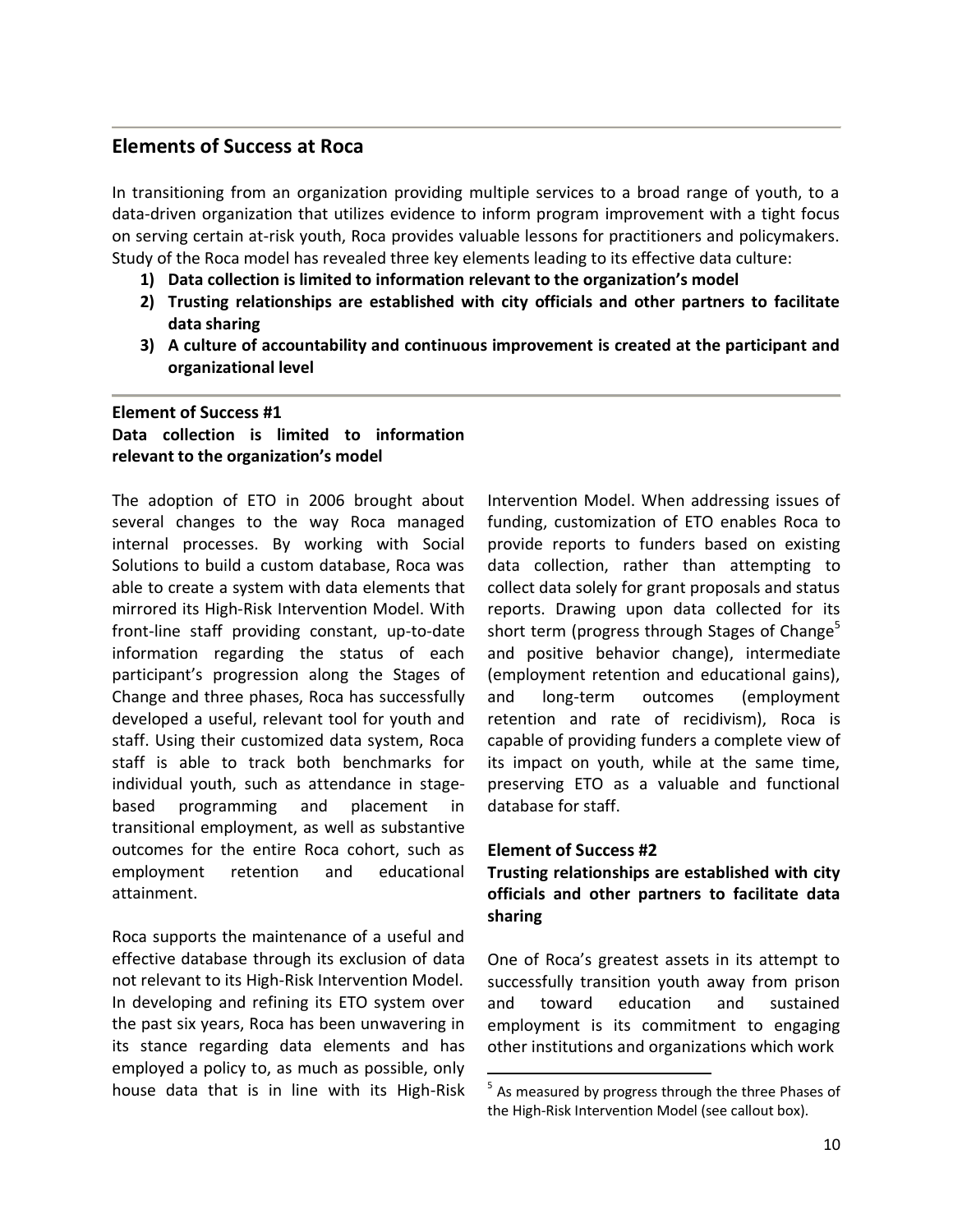## **Elements of Success at Roca**

In transitioning from an organization providing multiple services to a broad range of youth, to a data-driven organization that utilizes evidence to inform program improvement with a tight focus on serving certain at-risk youth, Roca provides valuable lessons for practitioners and policymakers. Study of the Roca model has revealed three key elements leading to its effective data culture:

- **1) Data collection is limited to information relevant to the organization's model**
- **2) Trusting relationships are established with city officials and other partners to facilitate data sharing**
- **3) A culture of accountability and continuous improvement is created at the participant and organizational level**

## **Element of Success #1 Data collection is limited to information relevant to the organization's model**

The adoption of ETO in 2006 brought about several changes to the way Roca managed internal processes. By working with Social Solutions to build a custom database, Roca was able to create a system with data elements that mirrored its High-Risk Intervention Model. With front-line staff providing constant, up-to-date information regarding the status of each participant's progression along the Stages of Change and three phases, Roca has successfully developed a useful, relevant tool for youth and staff. Using their customized data system, Roca staff is able to track both benchmarks for individual youth, such as attendance in stagebased programming and placement in transitional employment, as well as substantive outcomes for the entire Roca cohort, such as employment retention and educational attainment.

Roca supports the maintenance of a useful and effective database through its exclusion of data not relevant to its High-Risk Intervention Model. In developing and refining its ETO system over the past six years, Roca has been unwavering in its stance regarding data elements and has employed a policy to, as much as possible, only house data that is in line with its High-Risk

Intervention Model. When addressing issues of funding, customization of ETO enables Roca to provide reports to funders based on existing data collection, rather than attempting to collect data solely for grant proposals and status reports. Drawing upon data collected for its short term (progress through Stages of Change $^5$ and positive behavior change), intermediate (employment retention and educational gains), and long-term outcomes (employment retention and rate of recidivism), Roca is capable of providing funders a complete view of its impact on youth, while at the same time, preserving ETO as a valuable and functional database for staff.

#### **Element of Success #2**

 $\ddot{\phantom{a}}$ 

**Trusting relationships are established with city officials and other partners to facilitate data sharing**

One of Roca's greatest assets in its attempt to successfully transition youth away from prison and toward education and sustained employment is its commitment to engaging other institutions and organizations which work

<sup>&</sup>lt;sup>5</sup> As measured by progress through the three Phases of the High-Risk Intervention Model (see callout box).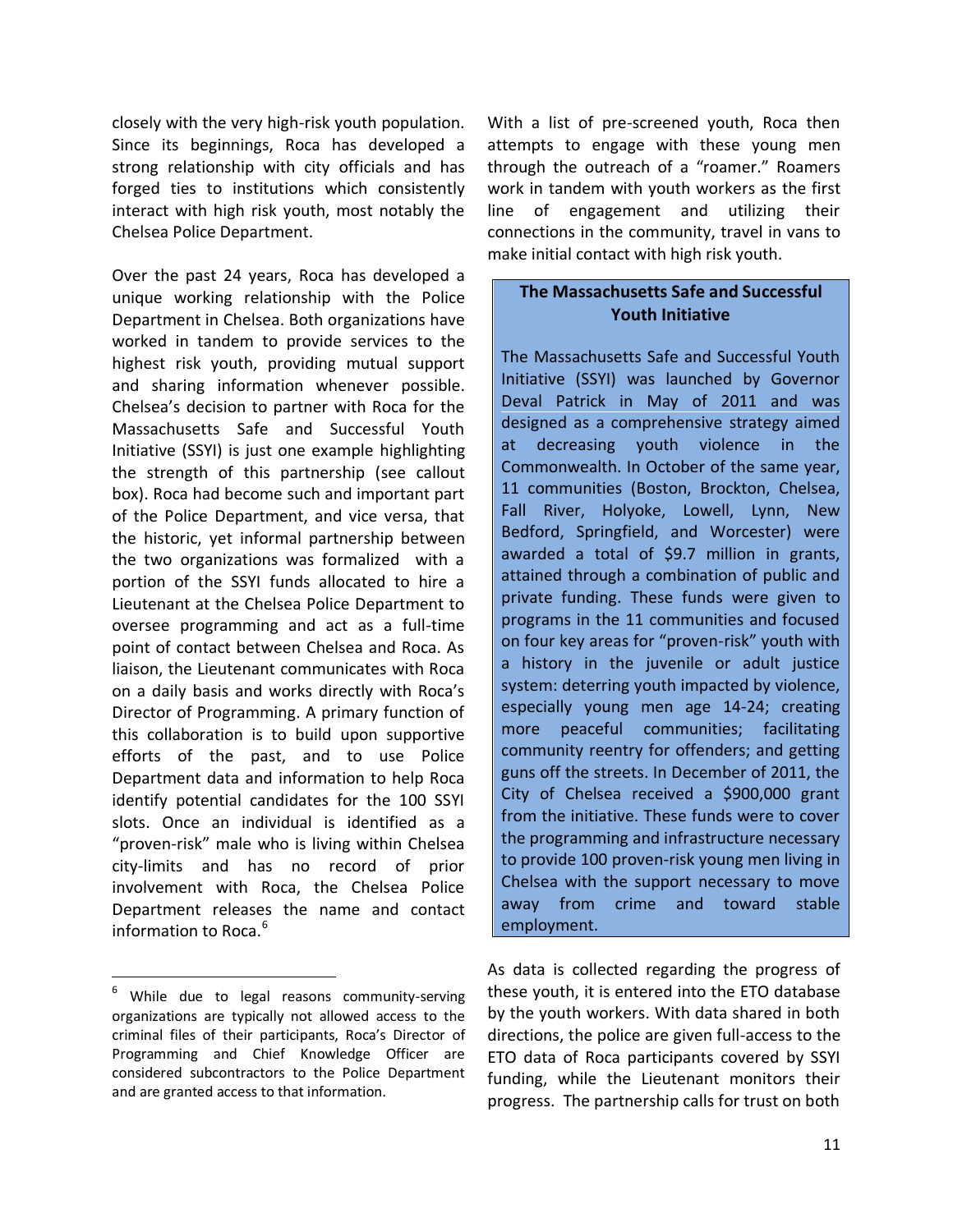closely with the very high-risk youth population. Since its beginnings, Roca has developed a strong relationship with city officials and has forged ties to institutions which consistently interact with high risk youth, most notably the Chelsea Police Department.

Over the past 24 years, Roca has developed a unique working relationship with the Police Department in Chelsea. Both organizations have worked in tandem to provide services to the highest risk youth, providing mutual support and sharing information whenever possible. Chelsea's decision to partner with Roca for the Massachusetts Safe and Successful Youth Initiative (SSYI) is just one example highlighting the strength of this partnership (see callout box). Roca had become such and important part of the Police Department, and vice versa, that the historic, yet informal partnership between the two organizations was formalized with a portion of the SSYI funds allocated to hire a Lieutenant at the Chelsea Police Department to oversee programming and act as a full-time point of contact between Chelsea and Roca. As liaison, the Lieutenant communicates with Roca on a daily basis and works directly with Roca's Director of Programming. A primary function of this collaboration is to build upon supportive efforts of the past, and to use Police Department data and information to help Roca identify potential candidates for the 100 SSYI slots. Once an individual is identified as a "proven-risk" male who is living within Chelsea city-limits and has no record of prior involvement with Roca, the Chelsea Police Department releases the name and contact information to Roca.<sup>6</sup>

 $\overline{a}$ 

With a list of pre-screened youth, Roca then attempts to engage with these young men through the outreach of a "roamer." Roamers work in tandem with youth workers as the first line of engagement and utilizing their connections in the community, travel in vans to make initial contact with high risk youth.

## **The Massachusetts Safe and Successful Youth Initiative**

The Massachusetts Safe and Successful Youth Initiative (SSYI) was launched by Governor Deval Patrick in May of 2011 and was designed as a comprehensive strategy aimed at decreasing youth violence in the Commonwealth. In October of the same year, 11 communities (Boston, Brockton, Chelsea, Fall River, Holyoke, Lowell, Lynn, New Bedford, Springfield, and Worcester) were awarded a total of \$9.7 million in grants, attained through a combination of public and private funding. These funds were given to programs in the 11 communities and focused on four key areas for "proven-risk" youth with a history in the juvenile or adult justice system: deterring youth impacted by violence, especially young men age 14-24; creating more peaceful communities; facilitating community reentry for offenders; and getting guns off the streets. In December of 2011, the City of Chelsea received a \$900,000 grant from the initiative. These funds were to cover the programming and infrastructure necessary to provide 100 proven-risk young men living in Chelsea with the support necessary to move away from crime and toward stable employment.

As data is collected regarding the progress of these youth, it is entered into the ETO database by the youth workers. With data shared in both directions, the police are given full-access to the ETO data of Roca participants covered by SSYI funding, while the Lieutenant monitors their progress. The partnership calls for trust on both

<sup>&</sup>lt;sup>6</sup> While due to legal reasons community-serving organizations are typically not allowed access to the criminal files of their participants, Roca's Director of Programming and Chief Knowledge Officer are considered subcontractors to the Police Department and are granted access to that information.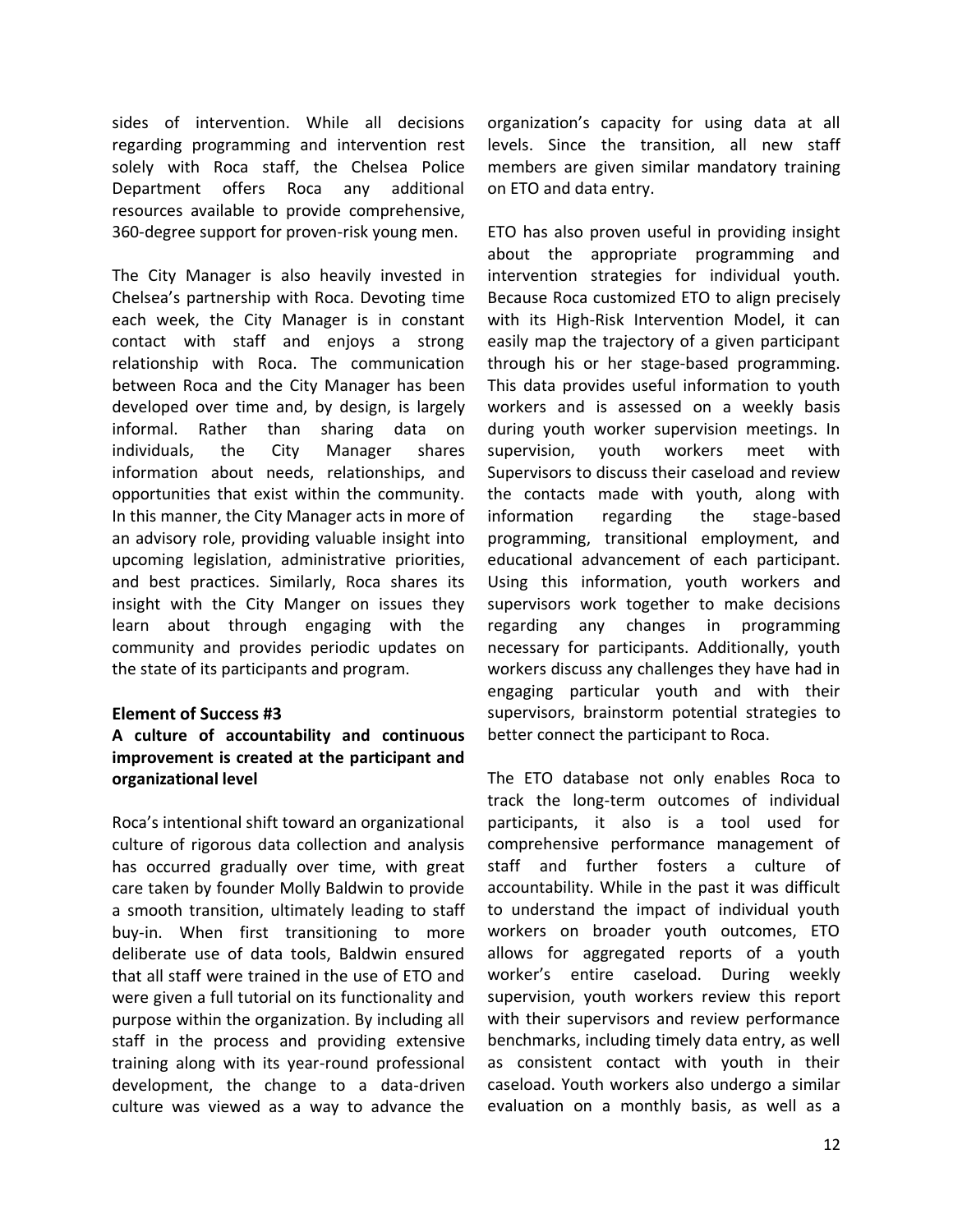sides of intervention. While all decisions regarding programming and intervention rest solely with Roca staff, the Chelsea Police Department offers Roca any additional resources available to provide comprehensive, 360-degree support for proven-risk young men.

The City Manager is also heavily invested in Chelsea's partnership with Roca. Devoting time each week, the City Manager is in constant contact with staff and enjoys a strong relationship with Roca. The communication between Roca and the City Manager has been developed over time and, by design, is largely informal. Rather than sharing data on individuals, the City Manager shares information about needs, relationships, and opportunities that exist within the community. In this manner, the City Manager acts in more of an advisory role, providing valuable insight into upcoming legislation, administrative priorities, and best practices. Similarly, Roca shares its insight with the City Manger on issues they learn about through engaging with the community and provides periodic updates on the state of its participants and program.

#### **Element of Success #3**

## **A culture of accountability and continuous improvement is created at the participant and organizational level**

Roca's intentional shift toward an organizational culture of rigorous data collection and analysis has occurred gradually over time, with great care taken by founder Molly Baldwin to provide a smooth transition, ultimately leading to staff buy-in. When first transitioning to more deliberate use of data tools, Baldwin ensured that all staff were trained in the use of ETO and were given a full tutorial on its functionality and purpose within the organization. By including all staff in the process and providing extensive training along with its year-round professional development, the change to a data-driven culture was viewed as a way to advance the

organization's capacity for using data at all levels. Since the transition, all new staff members are given similar mandatory training on ETO and data entry.

ETO has also proven useful in providing insight about the appropriate programming and intervention strategies for individual youth. Because Roca customized ETO to align precisely with its High-Risk Intervention Model, it can easily map the trajectory of a given participant through his or her stage-based programming. This data provides useful information to youth workers and is assessed on a weekly basis during youth worker supervision meetings. In supervision, youth workers meet with Supervisors to discuss their caseload and review the contacts made with youth, along with information regarding the stage-based programming, transitional employment, and educational advancement of each participant. Using this information, youth workers and supervisors work together to make decisions regarding any changes in programming necessary for participants. Additionally, youth workers discuss any challenges they have had in engaging particular youth and with their supervisors, brainstorm potential strategies to better connect the participant to Roca.

The ETO database not only enables Roca to track the long-term outcomes of individual participants, it also is a tool used for comprehensive performance management of staff and further fosters a culture of accountability. While in the past it was difficult to understand the impact of individual youth workers on broader youth outcomes, ETO allows for aggregated reports of a youth worker's entire caseload. During weekly supervision, youth workers review this report with their supervisors and review performance benchmarks, including timely data entry, as well as consistent contact with youth in their caseload. Youth workers also undergo a similar evaluation on a monthly basis, as well as a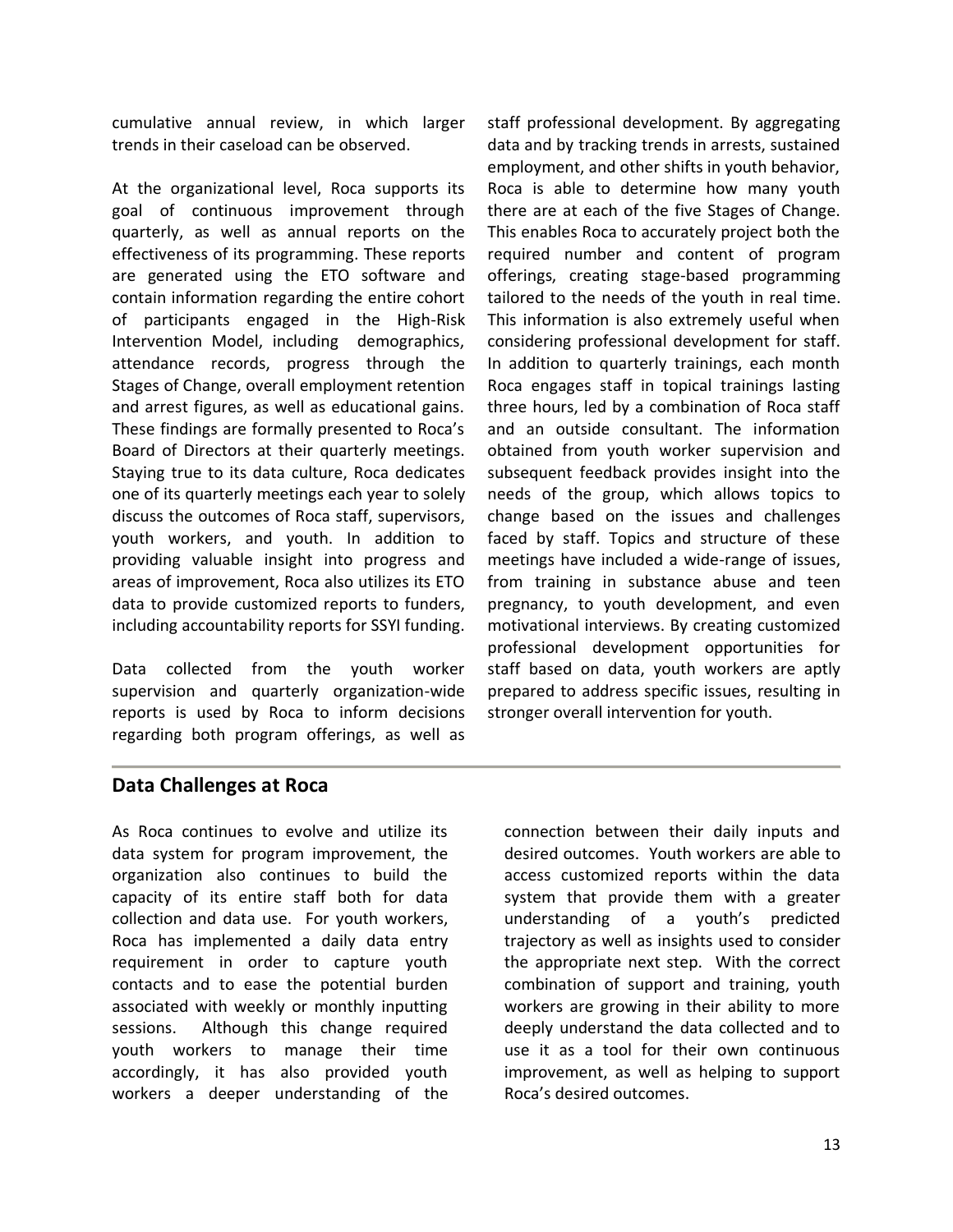cumulative annual review, in which larger trends in their caseload can be observed.

At the organizational level, Roca supports its goal of continuous improvement through quarterly, as well as annual reports on the effectiveness of its programming. These reports are generated using the ETO software and contain information regarding the entire cohort of participants engaged in the High-Risk Intervention Model, including demographics, attendance records, progress through the Stages of Change, overall employment retention and arrest figures, as well as educational gains. These findings are formally presented to Roca's Board of Directors at their quarterly meetings. Staying true to its data culture, Roca dedicates one of its quarterly meetings each year to solely discuss the outcomes of Roca staff, supervisors, youth workers, and youth. In addition to providing valuable insight into progress and areas of improvement, Roca also utilizes its ETO data to provide customized reports to funders, including accountability reports for SSYI funding.

Data collected from the youth worker supervision and quarterly organization-wide reports is used by Roca to inform decisions regarding both program offerings, as well as staff professional development. By aggregating data and by tracking trends in arrests, sustained employment, and other shifts in youth behavior, Roca is able to determine how many youth there are at each of the five Stages of Change. This enables Roca to accurately project both the required number and content of program offerings, creating stage-based programming tailored to the needs of the youth in real time. This information is also extremely useful when considering professional development for staff. In addition to quarterly trainings, each month Roca engages staff in topical trainings lasting three hours, led by a combination of Roca staff and an outside consultant. The information obtained from youth worker supervision and subsequent feedback provides insight into the needs of the group, which allows topics to change based on the issues and challenges faced by staff. Topics and structure of these meetings have included a wide-range of issues, from training in substance abuse and teen pregnancy, to youth development, and even motivational interviews. By creating customized professional development opportunities for staff based on data, youth workers are aptly prepared to address specific issues, resulting in stronger overall intervention for youth.

## **Data Challenges at Roca**

As Roca continues to evolve and utilize its data system for program improvement, the organization also continues to build the capacity of its entire staff both for data collection and data use. For youth workers, Roca has implemented a daily data entry requirement in order to capture youth contacts and to ease the potential burden associated with weekly or monthly inputting sessions. Although this change required youth workers to manage their time accordingly, it has also provided youth workers a deeper understanding of the

connection between their daily inputs and desired outcomes. Youth workers are able to access customized reports within the data system that provide them with a greater understanding of a youth's predicted trajectory as well as insights used to consider the appropriate next step. With the correct combination of support and training, youth workers are growing in their ability to more deeply understand the data collected and to use it as a tool for their own continuous improvement, as well as helping to support Roca's desired outcomes.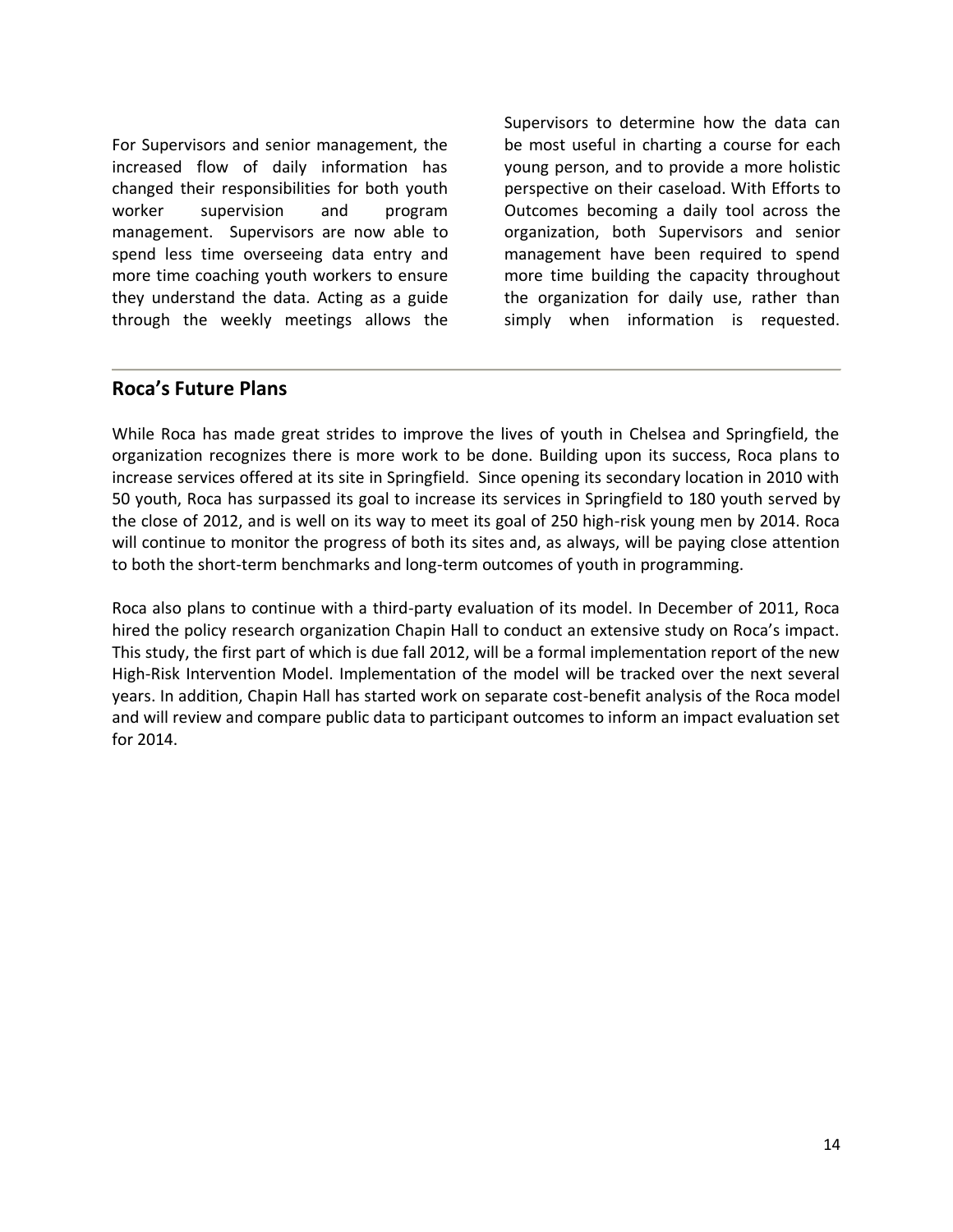For Supervisors and senior management, the increased flow of daily information has changed their responsibilities for both youth worker supervision and program management. Supervisors are now able to spend less time overseeing data entry and more time coaching youth workers to ensure they understand the data. Acting as a guide through the weekly meetings allows the

Supervisors to determine how the data can be most useful in charting a course for each young person, and to provide a more holistic perspective on their caseload. With Efforts to Outcomes becoming a daily tool across the organization, both Supervisors and senior management have been required to spend more time building the capacity throughout the organization for daily use, rather than simply when information is requested.

## **Roca's Future Plans**

While Roca has made great strides to improve the lives of youth in Chelsea and Springfield, the organization recognizes there is more work to be done. Building upon its success, Roca plans to increase services offered at its site in Springfield. Since opening its secondary location in 2010 with 50 youth, Roca has surpassed its goal to increase its services in Springfield to 180 youth served by the close of 2012, and is well on its way to meet its goal of 250 high-risk young men by 2014. Roca will continue to monitor the progress of both its sites and, as always, will be paying close attention to both the short-term benchmarks and long-term outcomes of youth in programming.

Roca also plans to continue with a third-party evaluation of its model. In December of 2011, Roca hired the policy research organization Chapin Hall to conduct an extensive study on Roca's impact. This study, the first part of which is due fall 2012, will be a formal implementation report of the new High-Risk Intervention Model. Implementation of the model will be tracked over the next several years. In addition, Chapin Hall has started work on separate cost-benefit analysis of the Roca model and will review and compare public data to participant outcomes to inform an impact evaluation set for 2014.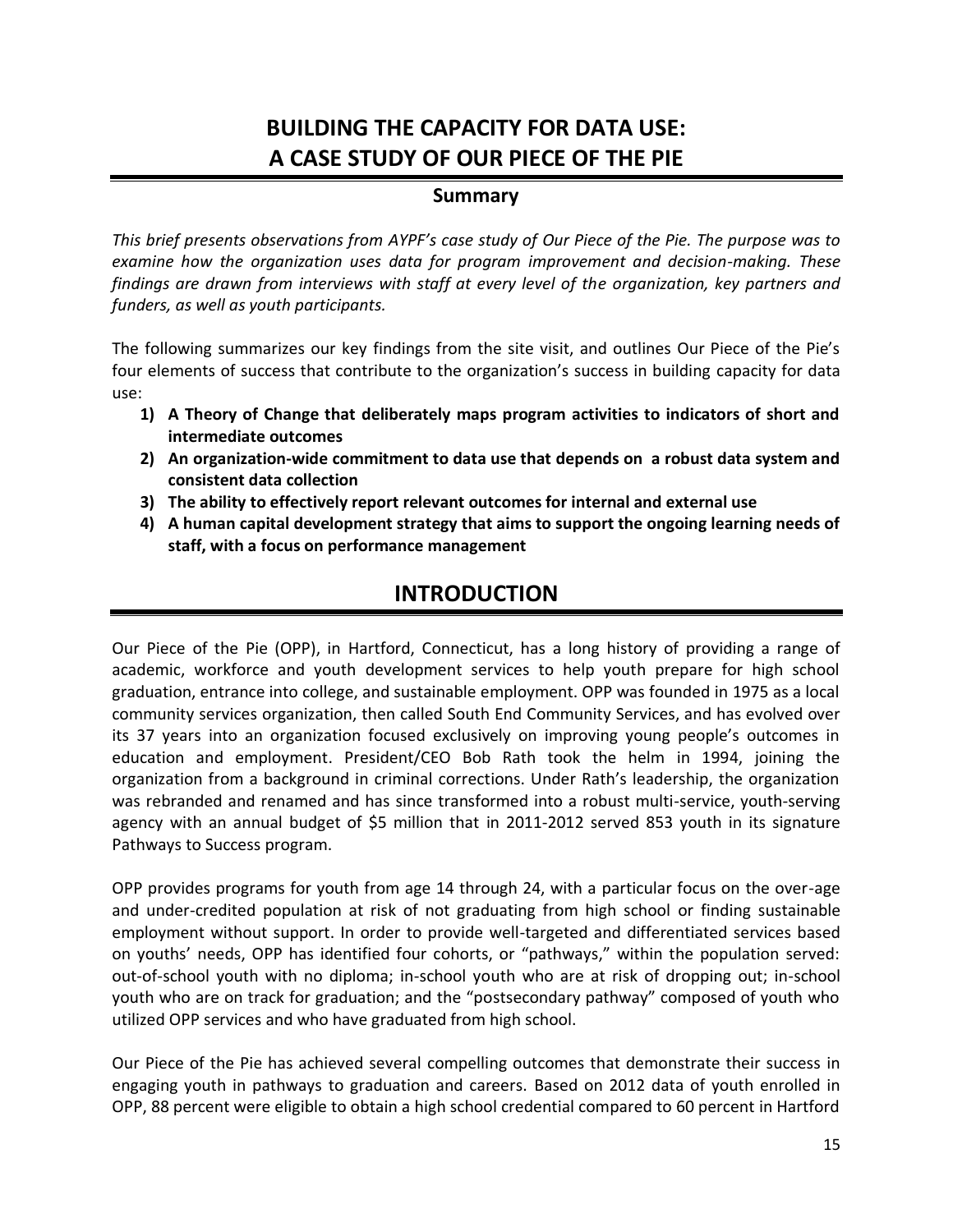# **BUILDING THE CAPACITY FOR DATA USE: A CASE STUDY OF OUR PIECE OF THE PIE**

## **Summary**

*This brief presents observations from AYPF's case study of Our Piece of the Pie. The purpose was to examine how the organization uses data for program improvement and decision-making. These findings are drawn from interviews with staff at every level of the organization, key partners and funders, as well as youth participants.* 

The following summarizes our key findings from the site visit, and outlines Our Piece of the Pie's four elements of success that contribute to the organization's success in building capacity for data use:

- **1) A Theory of Change that deliberately maps program activities to indicators of short and intermediate outcomes**
- **2) An organization-wide commitment to data use that depends on a robust data system and consistent data collection**
- **3) The ability to effectively report relevant outcomes for internal and external use**
- **4) A human capital development strategy that aims to support the ongoing learning needs of staff, with a focus on performance management**

## **INTRODUCTION**

Our Piece of the Pie (OPP), in Hartford, Connecticut, has a long history of providing a range of academic, workforce and youth development services to help youth prepare for high school graduation, entrance into college, and sustainable employment. OPP was founded in 1975 as a local community services organization, then called South End Community Services, and has evolved over its 37 years into an organization focused exclusively on improving young people's outcomes in education and employment. President/CEO Bob Rath took the helm in 1994, joining the organization from a background in criminal corrections. Under Rath's leadership, the organization was rebranded and renamed and has since transformed into a robust multi-service, youth-serving agency with an annual budget of \$5 million that in 2011-2012 served 853 youth in its signature Pathways to Success program.

OPP provides programs for youth from age 14 through 24, with a particular focus on the over-age and under-credited population at risk of not graduating from high school or finding sustainable employment without support. In order to provide well-targeted and differentiated services based on youths' needs, OPP has identified four cohorts, or "pathways," within the population served: out-of-school youth with no diploma; in-school youth who are at risk of dropping out; in-school youth who are on track for graduation; and the "postsecondary pathway" composed of youth who utilized OPP services and who have graduated from high school.

Our Piece of the Pie has achieved several compelling outcomes that demonstrate their success in engaging youth in pathways to graduation and careers. Based on 2012 data of youth enrolled in OPP, 88 percent were eligible to obtain a high school credential compared to 60 percent in Hartford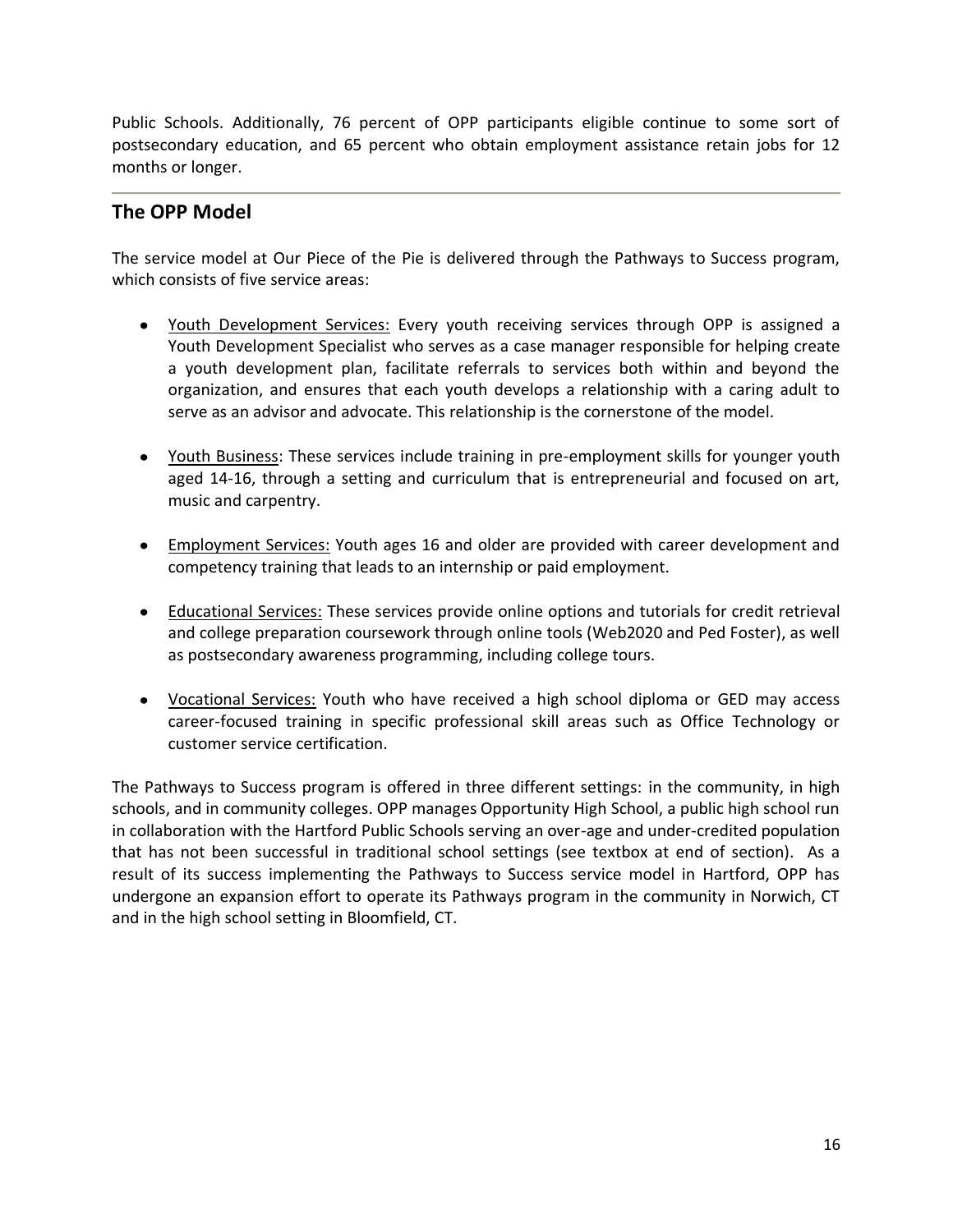Public Schools. Additionally, 76 percent of OPP participants eligible continue to some sort of postsecondary education, and 65 percent who obtain employment assistance retain jobs for 12 months or longer.

## **The OPP Model**

The service model at Our Piece of the Pie is delivered through the Pathways to Success program, which consists of five service areas:

- Youth Development Services: Every youth receiving services through OPP is assigned a Youth Development Specialist who serves as a case manager responsible for helping create a youth development plan, facilitate referrals to services both within and beyond the organization, and ensures that each youth develops a relationship with a caring adult to serve as an advisor and advocate. This relationship is the cornerstone of the model.
- Youth Business: These services include training in pre-employment skills for younger youth aged 14-16, through a setting and curriculum that is entrepreneurial and focused on art, music and carpentry.
- **Employment Services: Youth ages 16 and older are provided with career development and** competency training that leads to an internship or paid employment.
- Educational Services: These services provide online options and tutorials for credit retrieval and college preparation coursework through online tools (Web2020 and Ped Foster), as well as postsecondary awareness programming, including college tours.
- Vocational Services: Youth who have received a high school diploma or GED may access career-focused training in specific professional skill areas such as Office Technology or customer service certification.

The Pathways to Success program is offered in three different settings: in the community, in high schools, and in community colleges. OPP manages Opportunity High School, a public high school run in collaboration with the Hartford Public Schools serving an over-age and under-credited population that has not been successful in traditional school settings (see textbox at end of section). As a result of its success implementing the Pathways to Success service model in Hartford, OPP has undergone an expansion effort to operate its Pathways program in the community in Norwich, CT and in the high school setting in Bloomfield, CT.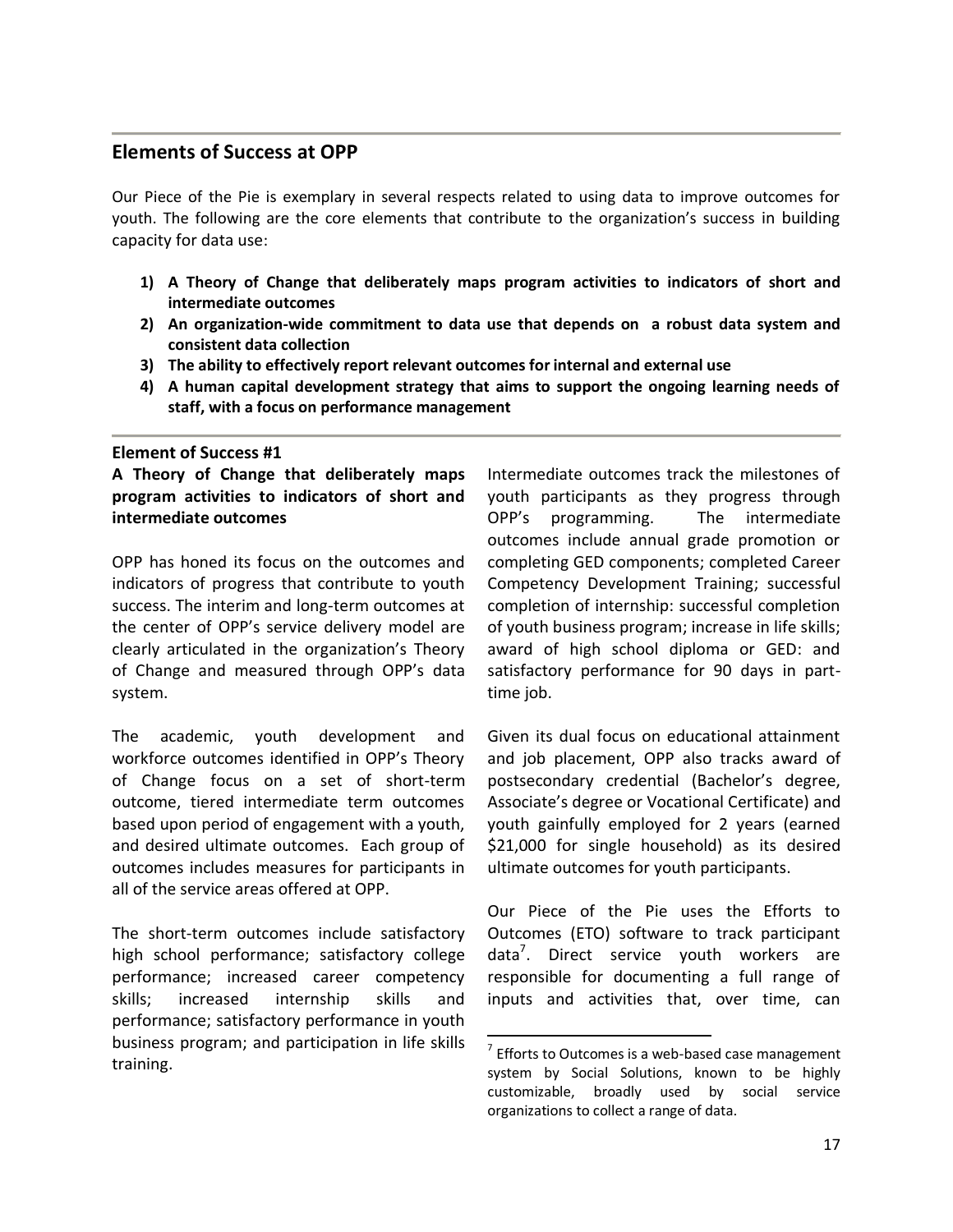## **Elements of Success at OPP**

Our Piece of the Pie is exemplary in several respects related to using data to improve outcomes for youth. The following are the core elements that contribute to the organization's success in building capacity for data use:

- **1) A Theory of Change that deliberately maps program activities to indicators of short and intermediate outcomes**
- **2) An organization-wide commitment to data use that depends on a robust data system and consistent data collection**
- **3) The ability to effectively report relevant outcomes for internal and external use**
- **4) A human capital development strategy that aims to support the ongoing learning needs of staff, with a focus on performance management**

 $\overline{a}$ 

### **Element of Success #1**

**A Theory of Change that deliberately maps program activities to indicators of short and intermediate outcomes**

OPP has honed its focus on the outcomes and indicators of progress that contribute to youth success. The interim and long-term outcomes at the center of OPP's service delivery model are clearly articulated in the organization's Theory of Change and measured through OPP's data system.

The academic, youth development and workforce outcomes identified in OPP's Theory of Change focus on a set of short-term outcome, tiered intermediate term outcomes based upon period of engagement with a youth, and desired ultimate outcomes. Each group of outcomes includes measures for participants in all of the service areas offered at OPP.

The short-term outcomes include satisfactory high school performance; satisfactory college performance; increased career competency skills; increased internship skills and performance; satisfactory performance in youth business program; and participation in life skills training.

Intermediate outcomes track the milestones of youth participants as they progress through OPP's programming. The intermediate outcomes include annual grade promotion or completing GED components; completed Career Competency Development Training; successful completion of internship: successful completion of youth business program; increase in life skills; award of high school diploma or GED: and satisfactory performance for 90 days in parttime job.

Given its dual focus on educational attainment and job placement, OPP also tracks award of postsecondary credential (Bachelor's degree, Associate's degree or Vocational Certificate) and youth gainfully employed for 2 years (earned \$21,000 for single household) as its desired ultimate outcomes for youth participants.

Our Piece of the Pie uses the Efforts to Outcomes (ETO) software to track participant data<sup>7</sup>. Direct service youth workers are responsible for documenting a full range of inputs and activities that, over time, can

 $7$  Efforts to Outcomes is a web-based case management system by Social Solutions, known to be highly customizable, broadly used by social service organizations to collect a range of data.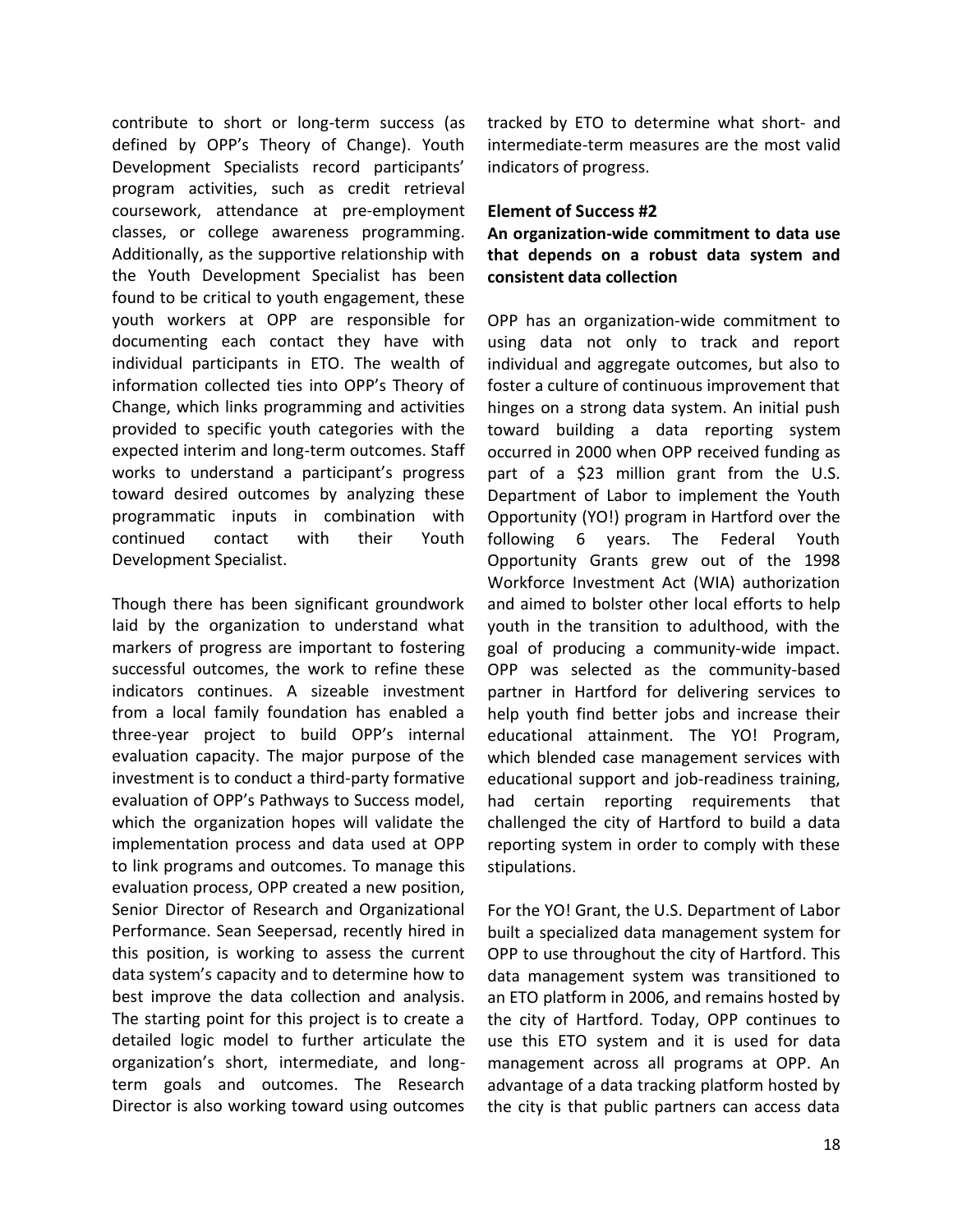contribute to short or long-term success (as defined by OPP's Theory of Change). Youth Development Specialists record participants' program activities, such as credit retrieval coursework, attendance at pre-employment classes, or college awareness programming. Additionally, as the supportive relationship with the Youth Development Specialist has been found to be critical to youth engagement, these youth workers at OPP are responsible for documenting each contact they have with individual participants in ETO. The wealth of information collected ties into OPP's Theory of Change, which links programming and activities provided to specific youth categories with the expected interim and long-term outcomes. Staff works to understand a participant's progress toward desired outcomes by analyzing these programmatic inputs in combination with continued contact with their Youth Development Specialist.

Though there has been significant groundwork laid by the organization to understand what markers of progress are important to fostering successful outcomes, the work to refine these indicators continues. A sizeable investment from a local family foundation has enabled a three-year project to build OPP's internal evaluation capacity. The major purpose of the investment is to conduct a third-party formative evaluation of OPP's Pathways to Success model, which the organization hopes will validate the implementation process and data used at OPP to link programs and outcomes. To manage this evaluation process, OPP created a new position, Senior Director of Research and Organizational Performance. Sean Seepersad, recently hired in this position, is working to assess the current data system's capacity and to determine how to best improve the data collection and analysis. The starting point for this project is to create a detailed logic model to further articulate the organization's short, intermediate, and longterm goals and outcomes. The Research Director is also working toward using outcomes tracked by ETO to determine what short- and intermediate-term measures are the most valid indicators of progress.

#### **Element of Success #2**

**An organization-wide commitment to data use that depends on a robust data system and consistent data collection**

OPP has an organization-wide commitment to using data not only to track and report individual and aggregate outcomes, but also to foster a culture of continuous improvement that hinges on a strong data system. An initial push toward building a data reporting system occurred in 2000 when OPP received funding as part of a \$23 million grant from the U.S. Department of Labor to implement the Youth Opportunity (YO!) program in Hartford over the following 6 years. The Federal Youth Opportunity Grants grew out of the 1998 Workforce Investment Act (WIA) authorization and aimed to bolster other local efforts to help youth in the transition to adulthood, with the goal of producing a community-wide impact. OPP was selected as the community-based partner in Hartford for delivering services to help youth find better jobs and increase their educational attainment. The YO! Program, which blended case management services with educational support and job-readiness training, had certain reporting requirements that challenged the city of Hartford to build a data reporting system in order to comply with these stipulations.

For the YO! Grant, the U.S. Department of Labor built a specialized data management system for OPP to use throughout the city of Hartford. This data management system was transitioned to an ETO platform in 2006, and remains hosted by the city of Hartford. Today, OPP continues to use this ETO system and it is used for data management across all programs at OPP. An advantage of a data tracking platform hosted by the city is that public partners can access data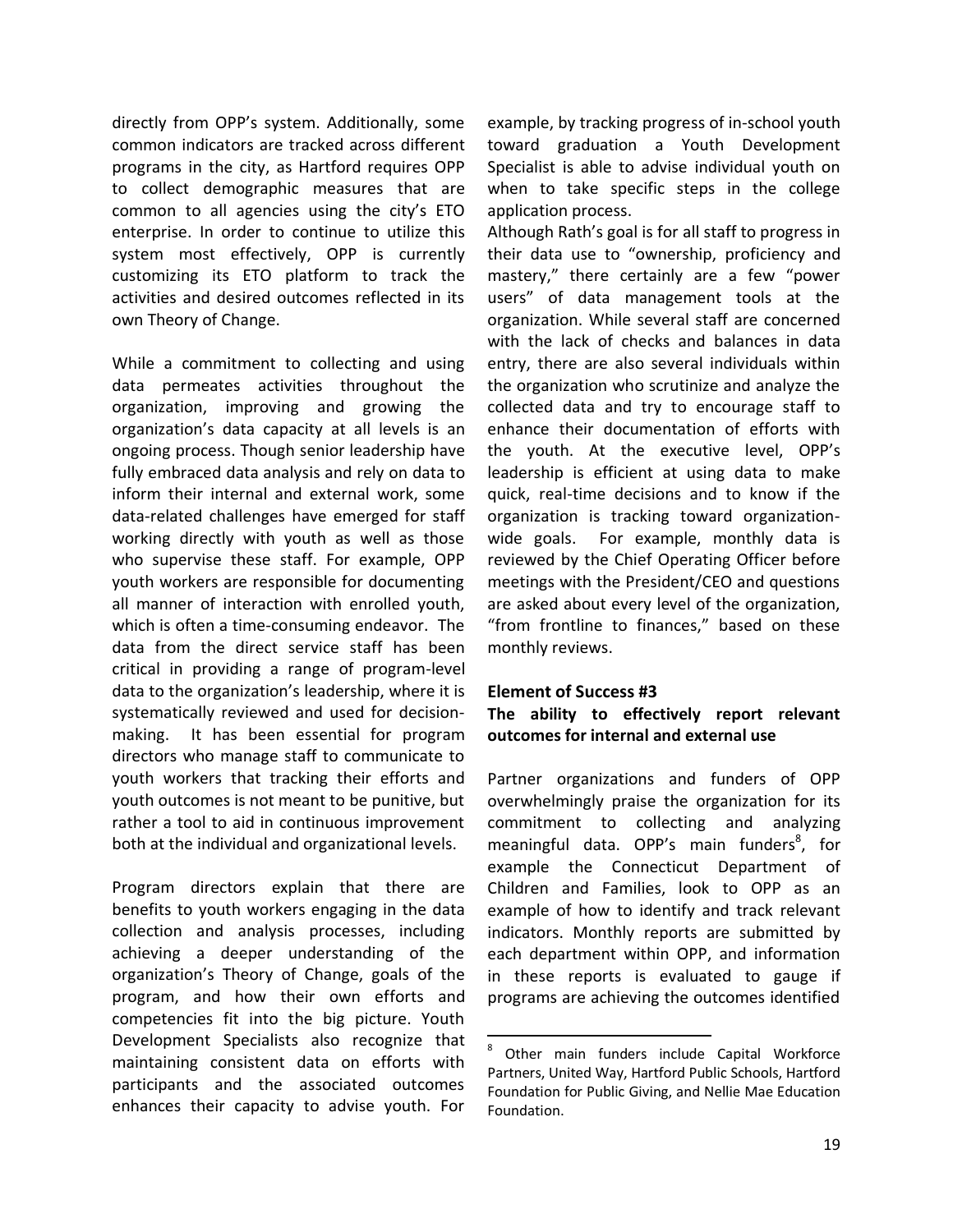directly from OPP's system. Additionally, some common indicators are tracked across different programs in the city, as Hartford requires OPP to collect demographic measures that are common to all agencies using the city's ETO enterprise. In order to continue to utilize this system most effectively, OPP is currently customizing its ETO platform to track the activities and desired outcomes reflected in its own Theory of Change.

While a commitment to collecting and using data permeates activities throughout the organization, improving and growing the organization's data capacity at all levels is an ongoing process. Though senior leadership have fully embraced data analysis and rely on data to inform their internal and external work, some data-related challenges have emerged for staff working directly with youth as well as those who supervise these staff. For example, OPP youth workers are responsible for documenting all manner of interaction with enrolled youth, which is often a time-consuming endeavor. The data from the direct service staff has been critical in providing a range of program-level data to the organization's leadership, where it is systematically reviewed and used for decisionmaking. It has been essential for program directors who manage staff to communicate to youth workers that tracking their efforts and youth outcomes is not meant to be punitive, but rather a tool to aid in continuous improvement both at the individual and organizational levels.

Program directors explain that there are benefits to youth workers engaging in the data collection and analysis processes, including achieving a deeper understanding of the organization's Theory of Change, goals of the program, and how their own efforts and competencies fit into the big picture. Youth Development Specialists also recognize that maintaining consistent data on efforts with participants and the associated outcomes enhances their capacity to advise youth. For

example, by tracking progress of in-school youth toward graduation a Youth Development Specialist is able to advise individual youth on when to take specific steps in the college application process.

Although Rath's goal is for all staff to progress in their data use to "ownership, proficiency and mastery," there certainly are a few "power users" of data management tools at the organization. While several staff are concerned with the lack of checks and balances in data entry, there are also several individuals within the organization who scrutinize and analyze the collected data and try to encourage staff to enhance their documentation of efforts with the youth. At the executive level, OPP's leadership is efficient at using data to make quick, real-time decisions and to know if the organization is tracking toward organizationwide goals. For example, monthly data is reviewed by the Chief Operating Officer before meetings with the President/CEO and questions are asked about every level of the organization, "from frontline to finances," based on these monthly reviews.

#### **Element of Success #3**

 $\overline{a}$ 

## **The ability to effectively report relevant outcomes for internal and external use**

Partner organizations and funders of OPP overwhelmingly praise the organization for its commitment to collecting and analyzing meaningful data. OPP's main funders<sup>8</sup>, for example the Connecticut Department of Children and Families, look to OPP as an example of how to identify and track relevant indicators. Monthly reports are submitted by each department within OPP, and information in these reports is evaluated to gauge if programs are achieving the outcomes identified

<sup>8</sup> Other main funders include Capital Workforce Partners, United Way, Hartford Public Schools, Hartford Foundation for Public Giving, and Nellie Mae Education Foundation.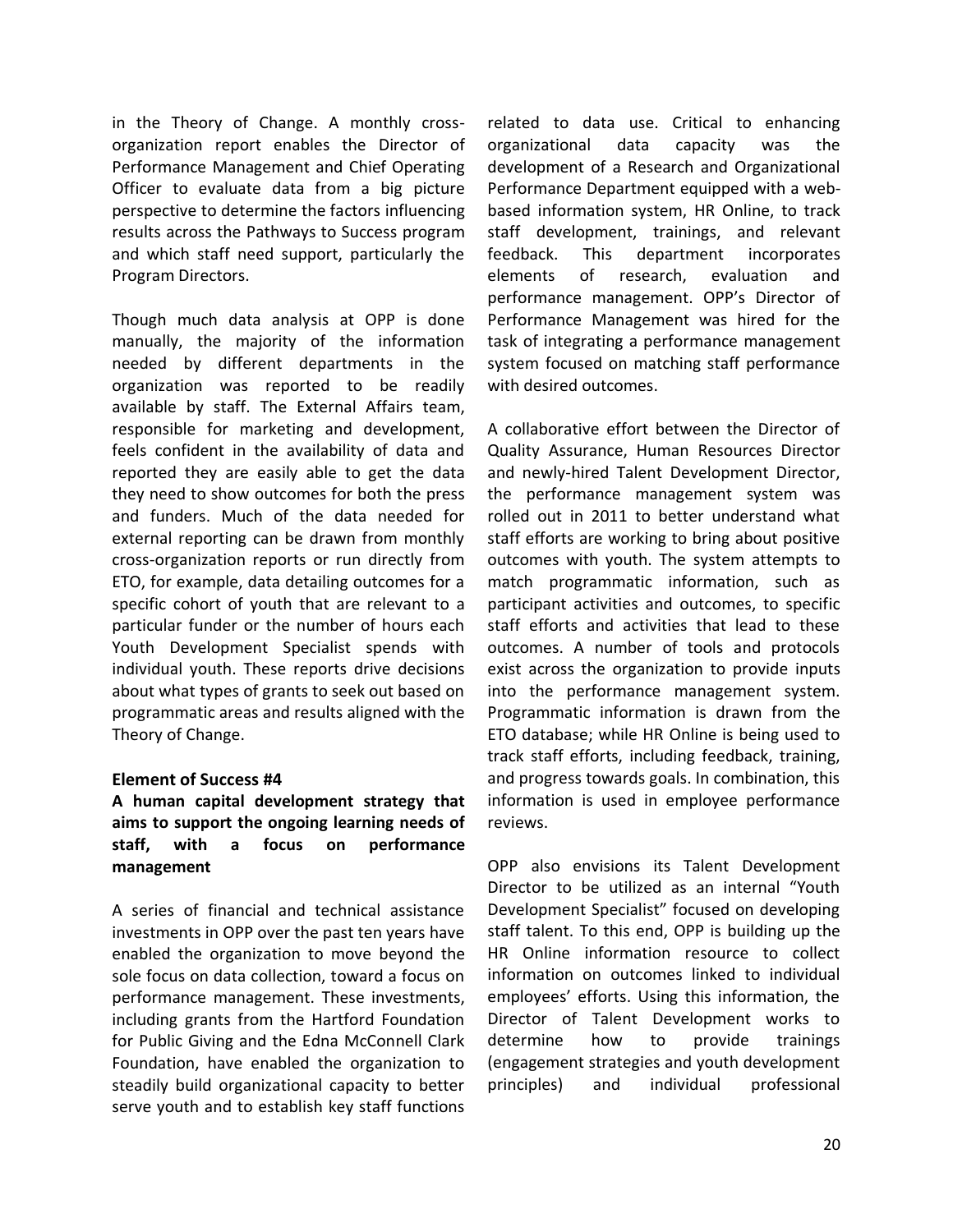in the Theory of Change. A monthly crossorganization report enables the Director of Performance Management and Chief Operating Officer to evaluate data from a big picture perspective to determine the factors influencing results across the Pathways to Success program and which staff need support, particularly the Program Directors.

Though much data analysis at OPP is done manually, the majority of the information needed by different departments in the organization was reported to be readily available by staff. The External Affairs team, responsible for marketing and development, feels confident in the availability of data and reported they are easily able to get the data they need to show outcomes for both the press and funders. Much of the data needed for external reporting can be drawn from monthly cross-organization reports or run directly from ETO, for example, data detailing outcomes for a specific cohort of youth that are relevant to a particular funder or the number of hours each Youth Development Specialist spends with individual youth. These reports drive decisions about what types of grants to seek out based on programmatic areas and results aligned with the Theory of Change.

#### **Element of Success #4**

**A human capital development strategy that aims to support the ongoing learning needs of staff, with a focus on performance management**

A series of financial and technical assistance investments in OPP over the past ten years have enabled the organization to move beyond the sole focus on data collection, toward a focus on performance management. These investments, including grants from the Hartford Foundation for Public Giving and the Edna McConnell Clark Foundation, have enabled the organization to steadily build organizational capacity to better serve youth and to establish key staff functions

related to data use. Critical to enhancing organizational data capacity was the development of a Research and Organizational Performance Department equipped with a webbased information system, HR Online, to track staff development, trainings, and relevant feedback. This department incorporates elements of research, evaluation and performance management. OPP's Director of Performance Management was hired for the task of integrating a performance management system focused on matching staff performance with desired outcomes.

A collaborative effort between the Director of Quality Assurance, Human Resources Director and newly-hired Talent Development Director, the performance management system was rolled out in 2011 to better understand what staff efforts are working to bring about positive outcomes with youth. The system attempts to match programmatic information, such as participant activities and outcomes, to specific staff efforts and activities that lead to these outcomes. A number of tools and protocols exist across the organization to provide inputs into the performance management system. Programmatic information is drawn from the ETO database; while HR Online is being used to track staff efforts, including feedback, training, and progress towards goals. In combination, this information is used in employee performance reviews.

OPP also envisions its Talent Development Director to be utilized as an internal "Youth Development Specialist" focused on developing staff talent. To this end, OPP is building up the HR Online information resource to collect information on outcomes linked to individual employees' efforts. Using this information, the Director of Talent Development works to determine how to provide trainings (engagement strategies and youth development principles) and individual professional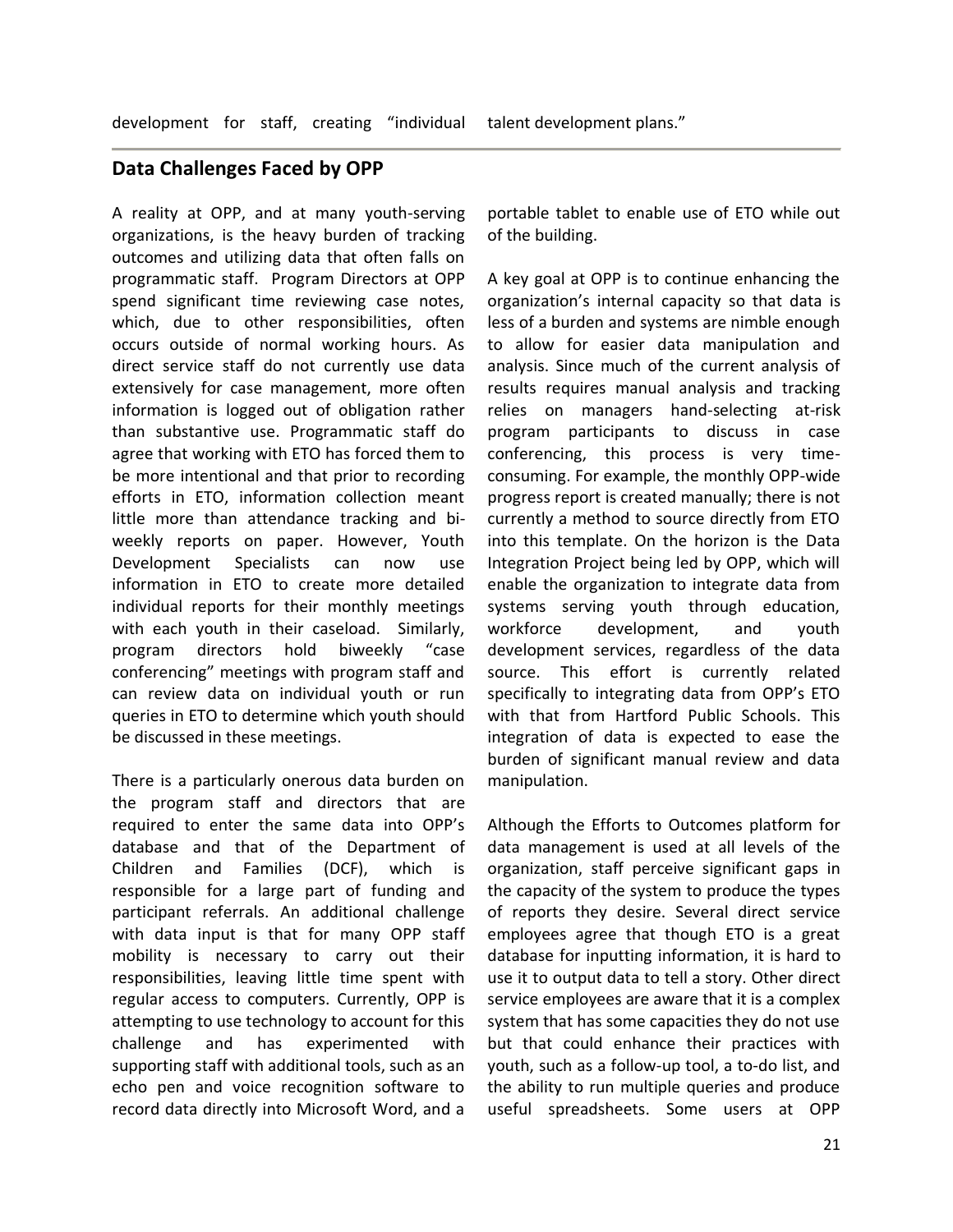## **Data Challenges Faced by OPP**

A reality at OPP, and at many youth-serving organizations, is the heavy burden of tracking outcomes and utilizing data that often falls on programmatic staff. Program Directors at OPP spend significant time reviewing case notes, which, due to other responsibilities, often occurs outside of normal working hours. As direct service staff do not currently use data extensively for case management, more often information is logged out of obligation rather than substantive use. Programmatic staff do agree that working with ETO has forced them to be more intentional and that prior to recording efforts in ETO, information collection meant little more than attendance tracking and biweekly reports on paper. However, Youth Development Specialists can now use information in ETO to create more detailed individual reports for their monthly meetings with each youth in their caseload. Similarly, program directors hold biweekly "case conferencing" meetings with program staff and can review data on individual youth or run queries in ETO to determine which youth should be discussed in these meetings.

There is a particularly onerous data burden on the program staff and directors that are required to enter the same data into OPP's database and that of the Department of Children and Families (DCF), which is responsible for a large part of funding and participant referrals. An additional challenge with data input is that for many OPP staff mobility is necessary to carry out their responsibilities, leaving little time spent with regular access to computers. Currently, OPP is attempting to use technology to account for this challenge and has experimented with supporting staff with additional tools, such as an echo pen and voice recognition software to record data directly into Microsoft Word, and a

portable tablet to enable use of ETO while out of the building.

A key goal at OPP is to continue enhancing the organization's internal capacity so that data is less of a burden and systems are nimble enough to allow for easier data manipulation and analysis. Since much of the current analysis of results requires manual analysis and tracking relies on managers hand-selecting at-risk program participants to discuss in case conferencing, this process is very timeconsuming. For example, the monthly OPP-wide progress report is created manually; there is not currently a method to source directly from ETO into this template. On the horizon is the Data Integration Project being led by OPP, which will enable the organization to integrate data from systems serving youth through education, workforce development, and youth development services, regardless of the data source. This effort is currently related specifically to integrating data from OPP's ETO with that from Hartford Public Schools. This integration of data is expected to ease the burden of significant manual review and data manipulation.

Although the Efforts to Outcomes platform for data management is used at all levels of the organization, staff perceive significant gaps in the capacity of the system to produce the types of reports they desire. Several direct service employees agree that though ETO is a great database for inputting information, it is hard to use it to output data to tell a story. Other direct service employees are aware that it is a complex system that has some capacities they do not use but that could enhance their practices with youth, such as a follow-up tool, a to-do list, and the ability to run multiple queries and produce useful spreadsheets. Some users at OPP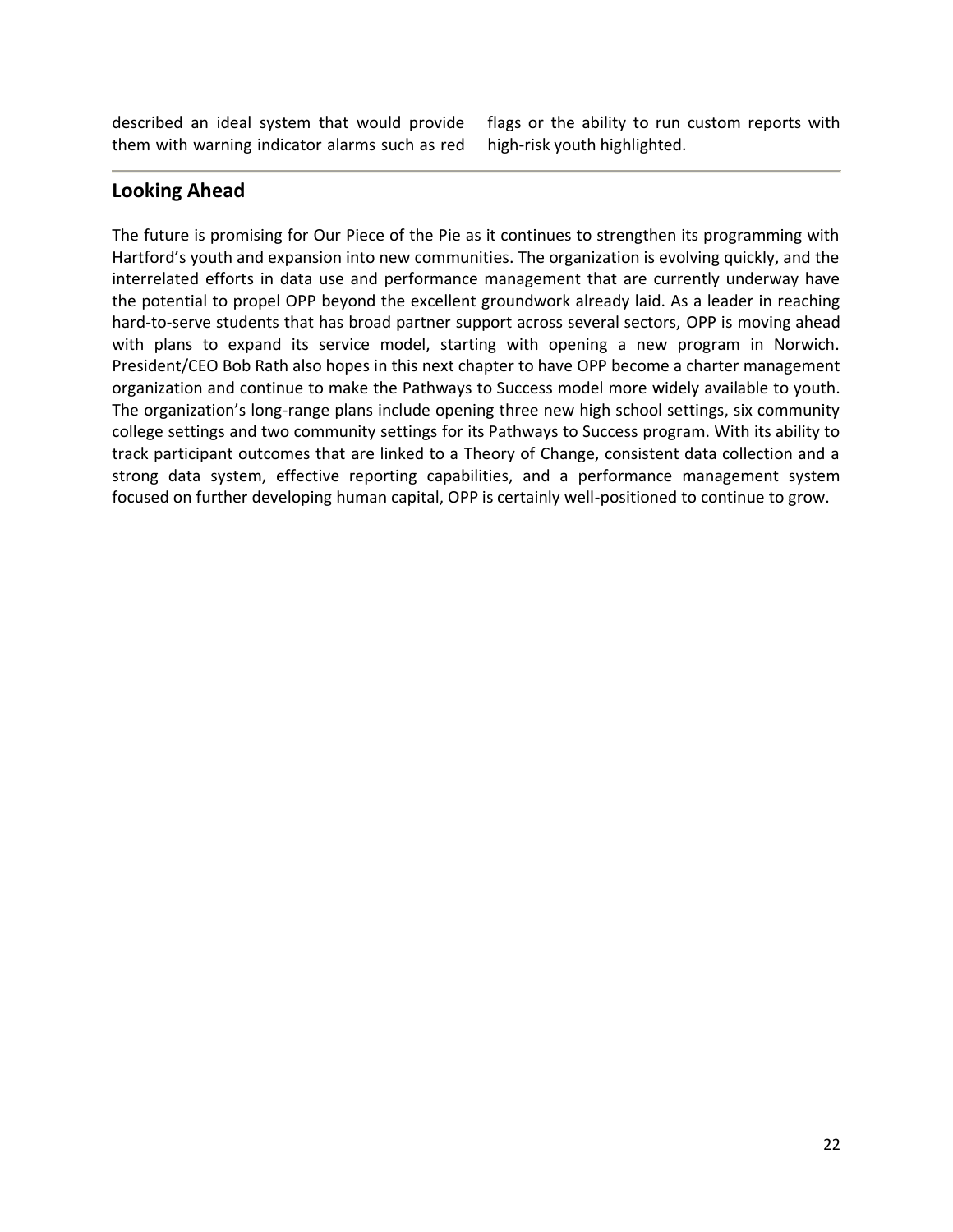described an ideal system that would provide them with warning indicator alarms such as red flags or the ability to run custom reports with high-risk youth highlighted.

## **Looking Ahead**

The future is promising for Our Piece of the Pie as it continues to strengthen its programming with Hartford's youth and expansion into new communities. The organization is evolving quickly, and the interrelated efforts in data use and performance management that are currently underway have the potential to propel OPP beyond the excellent groundwork already laid. As a leader in reaching hard-to-serve students that has broad partner support across several sectors, OPP is moving ahead with plans to expand its service model, starting with opening a new program in Norwich. President/CEO Bob Rath also hopes in this next chapter to have OPP become a charter management organization and continue to make the Pathways to Success model more widely available to youth. The organization's long-range plans include opening three new high school settings, six community college settings and two community settings for its Pathways to Success program. With its ability to track participant outcomes that are linked to a Theory of Change, consistent data collection and a strong data system, effective reporting capabilities, and a performance management system focused on further developing human capital, OPP is certainly well-positioned to continue to grow.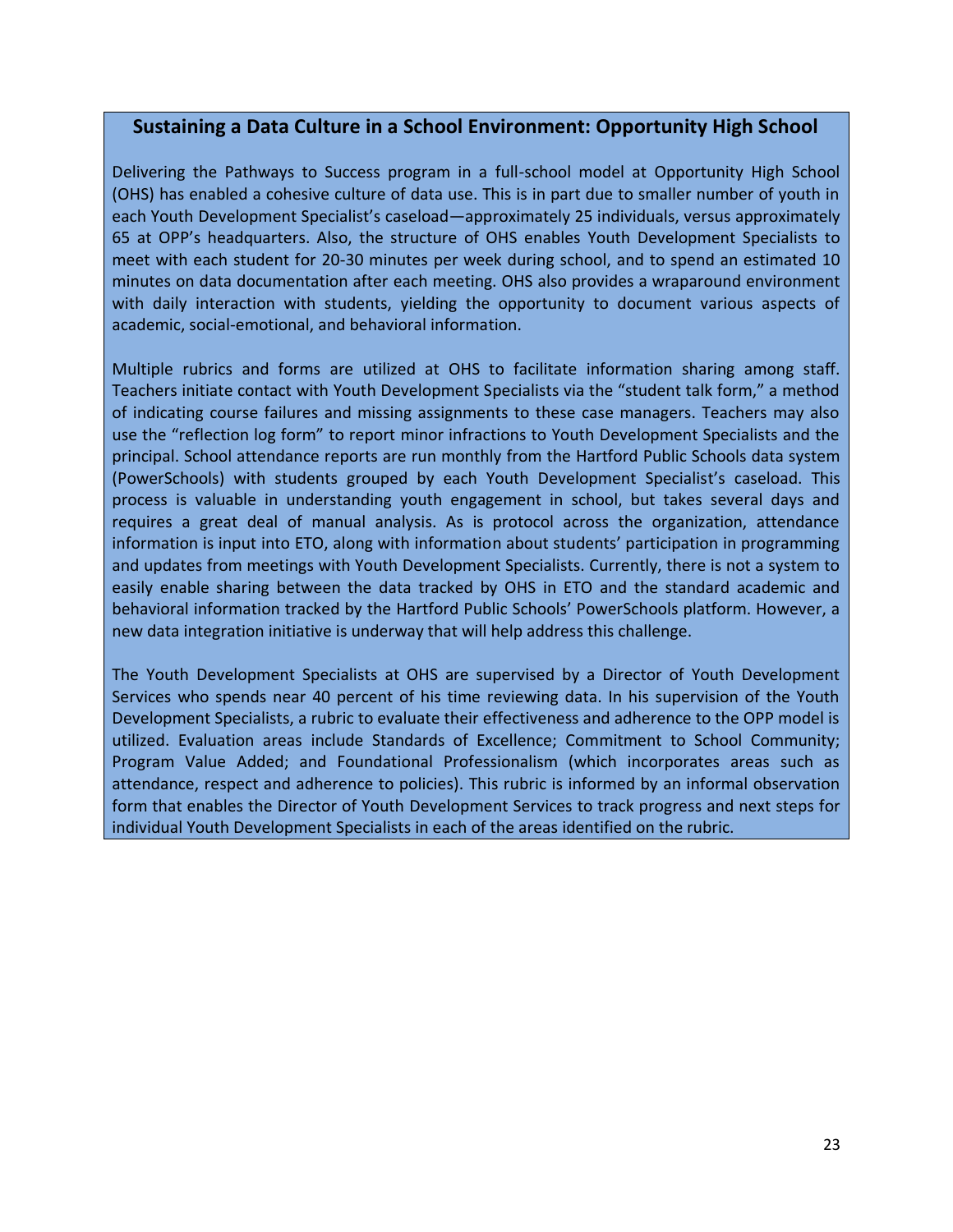## **Sustaining a Data Culture in a School Environment: Opportunity High School**

Delivering the Pathways to Success program in a full-school model at Opportunity High School (OHS) has enabled a cohesive culture of data use. This is in part due to smaller number of youth in each Youth Development Specialist's caseload—approximately 25 individuals, versus approximately 65 at OPP's headquarters. Also, the structure of OHS enables Youth Development Specialists to meet with each student for 20-30 minutes per week during school, and to spend an estimated 10 minutes on data documentation after each meeting. OHS also provides a wraparound environment with daily interaction with students, yielding the opportunity to document various aspects of academic, social-emotional, and behavioral information.

Multiple rubrics and forms are utilized at OHS to facilitate information sharing among staff. Teachers initiate contact with Youth Development Specialists via the "student talk form," a method of indicating course failures and missing assignments to these case managers. Teachers may also use the "reflection log form" to report minor infractions to Youth Development Specialists and the principal. School attendance reports are run monthly from the Hartford Public Schools data system (PowerSchools) with students grouped by each Youth Development Specialist's caseload. This process is valuable in understanding youth engagement in school, but takes several days and requires a great deal of manual analysis. As is protocol across the organization, attendance information is input into ETO, along with information about students' participation in programming and updates from meetings with Youth Development Specialists. Currently, there is not a system to easily enable sharing between the data tracked by OHS in ETO and the standard academic and behavioral information tracked by the Hartford Public Schools' PowerSchools platform. However, a new data integration initiative is underway that will help address this challenge.

The Youth Development Specialists at OHS are supervised by a Director of Youth Development Services who spends near 40 percent of his time reviewing data. In his supervision of the Youth Development Specialists, a rubric to evaluate their effectiveness and adherence to the OPP model is utilized. Evaluation areas include Standards of Excellence; Commitment to School Community; Program Value Added; and Foundational Professionalism (which incorporates areas such as attendance, respect and adherence to policies). This rubric is informed by an informal observation form that enables the Director of Youth Development Services to track progress and next steps for individual Youth Development Specialists in each of the areas identified on the rubric.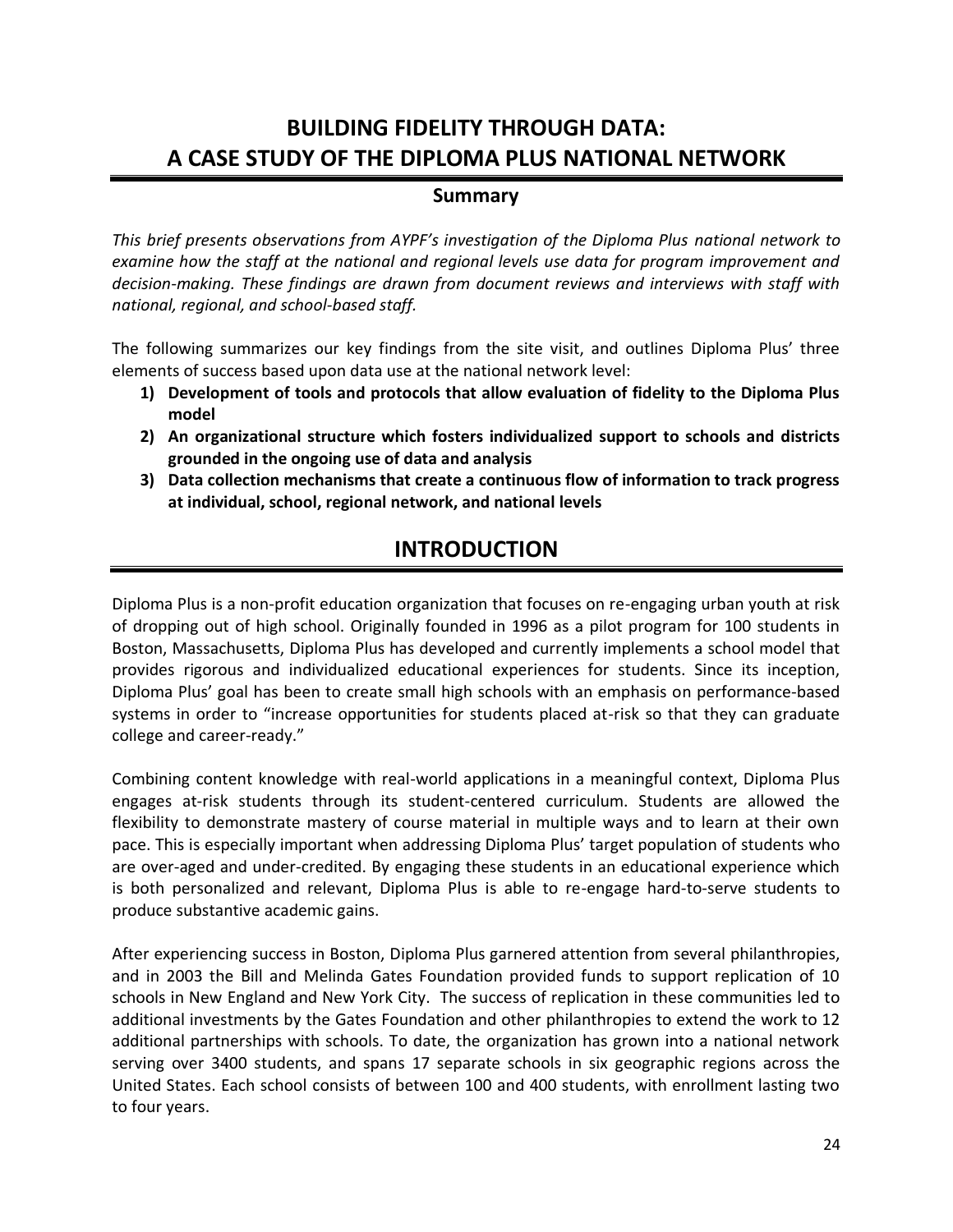## **BUILDING FIDELITY THROUGH DATA: A CASE STUDY OF THE DIPLOMA PLUS NATIONAL NETWORK**

## **Summary**

*This brief presents observations from AYPF's investigation of the Diploma Plus national network to examine how the staff at the national and regional levels use data for program improvement and decision-making. These findings are drawn from document reviews and interviews with staff with national, regional, and school-based staff.* 

The following summarizes our key findings from the site visit, and outlines Diploma Plus' three elements of success based upon data use at the national network level:

- **1) Development of tools and protocols that allow evaluation of fidelity to the Diploma Plus model**
- **2) An organizational structure which fosters individualized support to schools and districts grounded in the ongoing use of data and analysis**
- **3) Data collection mechanisms that create a continuous flow of information to track progress at individual, school, regional network, and national levels**

## **INTRODUCTION**

Diploma Plus is a non-profit education organization that focuses on re-engaging urban youth at risk of dropping out of high school. Originally founded in 1996 as a pilot program for 100 students in Boston, Massachusetts, Diploma Plus has developed and currently implements a school model that provides rigorous and individualized educational experiences for students. Since its inception, Diploma Plus' goal has been to create small high schools with an emphasis on performance-based systems in order to "increase opportunities for students placed at-risk so that they can graduate college and career-ready."

Combining content knowledge with real-world applications in a meaningful context, Diploma Plus engages at-risk students through its student-centered curriculum. Students are allowed the flexibility to demonstrate mastery of course material in multiple ways and to learn at their own pace. This is especially important when addressing Diploma Plus' target population of students who are over-aged and under-credited. By engaging these students in an educational experience which is both personalized and relevant, Diploma Plus is able to re-engage hard-to-serve students to produce substantive academic gains.

After experiencing success in Boston, Diploma Plus garnered attention from several philanthropies, and in 2003 the Bill and Melinda Gates Foundation provided funds to support replication of 10 schools in New England and New York City. The success of replication in these communities led to additional investments by the Gates Foundation and other philanthropies to extend the work to 12 additional partnerships with schools. To date, the organization has grown into a national network serving over 3400 students, and spans 17 separate schools in six geographic regions across the United States. Each school consists of between 100 and 400 students, with enrollment lasting two to four years.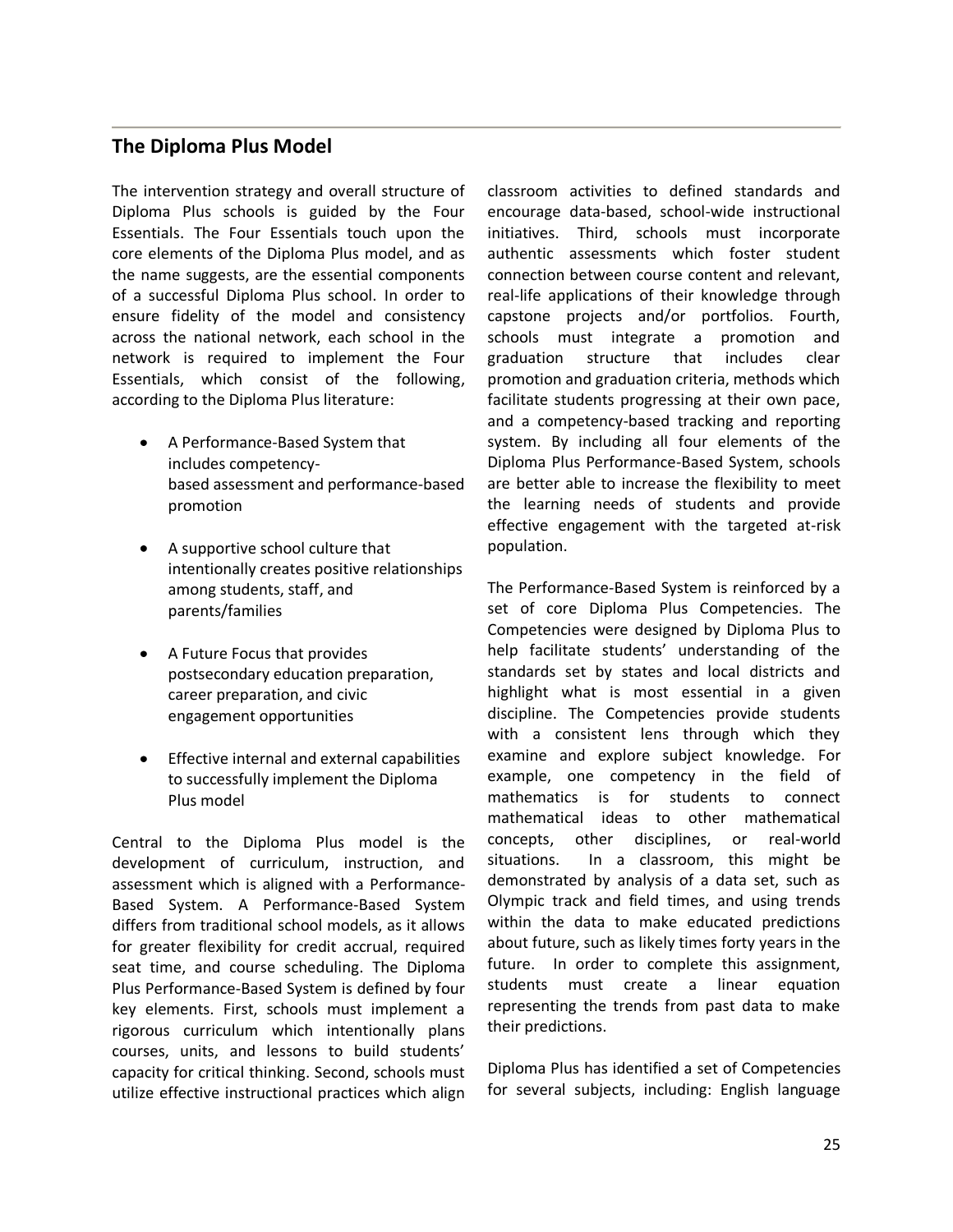## **The Diploma Plus Model**

The intervention strategy and overall structure of Diploma Plus schools is guided by the Four Essentials. The Four Essentials touch upon the core elements of the Diploma Plus model, and as the name suggests, are the essential components of a successful Diploma Plus school. In order to ensure fidelity of the model and consistency across the national network, each school in the network is required to implement the Four Essentials, which consist of the following, according to the Diploma Plus literature:

- A Performance-Based System that includes competencybased assessment and performance-based promotion
- A supportive school culture that intentionally creates positive relationships among students, staff, and parents/families
- A Future Focus that provides postsecondary education preparation, career preparation, and civic engagement opportunities
- Effective internal and external capabilities to successfully implement the Diploma Plus model

Central to the Diploma Plus model is the development of curriculum, instruction, and assessment which is aligned with a Performance-Based System. A Performance-Based System differs from traditional school models, as it allows for greater flexibility for credit accrual, required seat time, and course scheduling. The Diploma Plus Performance-Based System is defined by four key elements. First, schools must implement a rigorous curriculum which intentionally plans courses, units, and lessons to build students' capacity for critical thinking. Second, schools must utilize effective instructional practices which align classroom activities to defined standards and encourage data-based, school-wide instructional initiatives. Third, schools must incorporate authentic assessments which foster student connection between course content and relevant, real-life applications of their knowledge through capstone projects and/or portfolios. Fourth, schools must integrate a promotion and graduation structure that includes clear promotion and graduation criteria, methods which facilitate students progressing at their own pace, and a competency-based tracking and reporting system. By including all four elements of the Diploma Plus Performance-Based System, schools are better able to increase the flexibility to meet the learning needs of students and provide effective engagement with the targeted at-risk population.

The Performance-Based System is reinforced by a set of core Diploma Plus Competencies. The Competencies were designed by Diploma Plus to help facilitate students' understanding of the standards set by states and local districts and highlight what is most essential in a given discipline. The Competencies provide students with a consistent lens through which they examine and explore subject knowledge. For example, one competency in the field of mathematics is for students to connect mathematical ideas to other mathematical concepts, other disciplines, or real-world situations. In a classroom, this might be demonstrated by analysis of a data set, such as Olympic track and field times, and using trends within the data to make educated predictions about future, such as likely times forty years in the future. In order to complete this assignment, students must create a linear equation representing the trends from past data to make their predictions.

Diploma Plus has identified a set of Competencies for several subjects, including: English language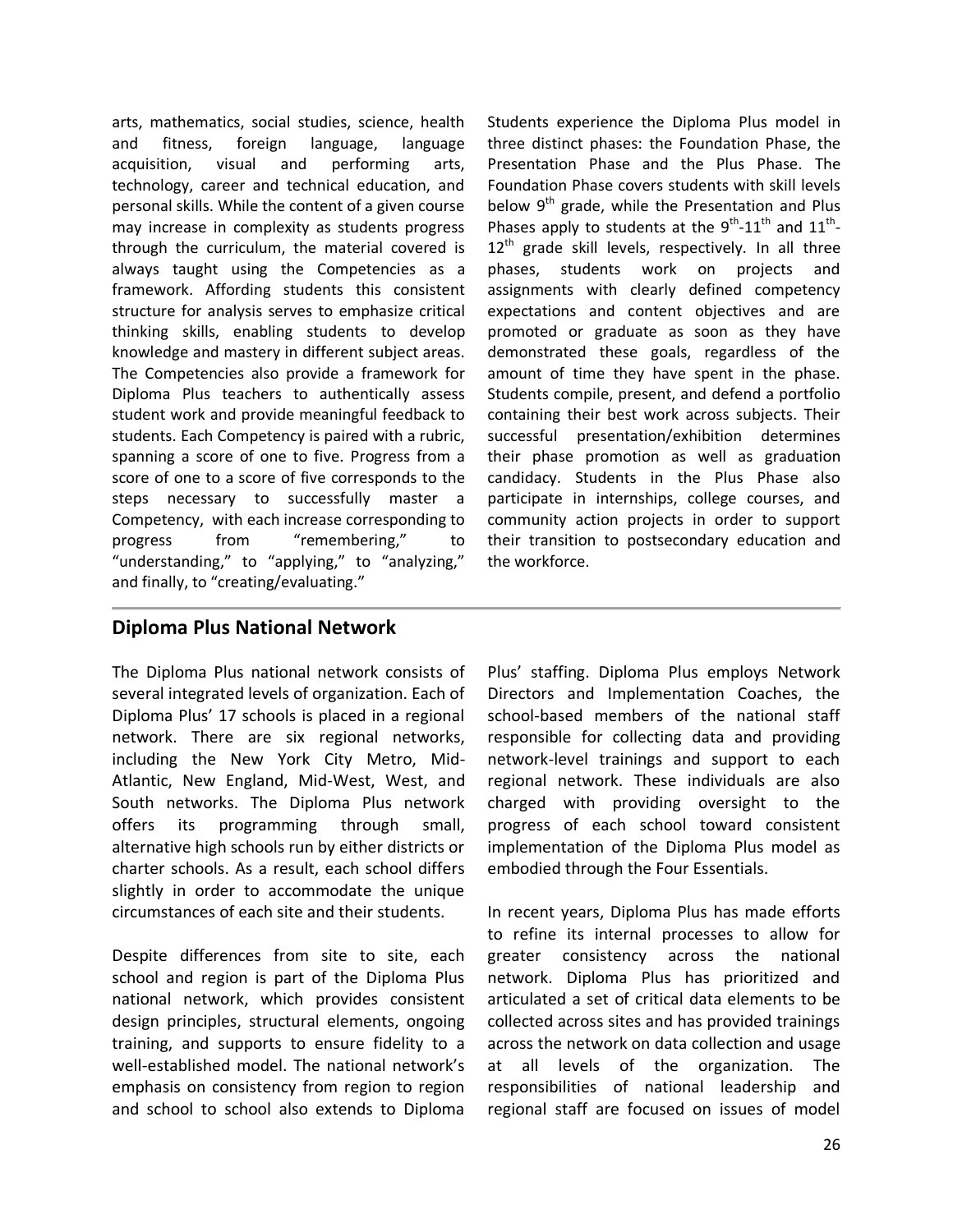arts, mathematics, social studies, science, health and fitness, foreign language, language acquisition, visual and performing arts, technology, career and technical education, and personal skills. While the content of a given course may increase in complexity as students progress through the curriculum, the material covered is always taught using the Competencies as a framework. Affording students this consistent structure for analysis serves to emphasize critical thinking skills, enabling students to develop knowledge and mastery in different subject areas. The Competencies also provide a framework for Diploma Plus teachers to authentically assess student work and provide meaningful feedback to students. Each Competency is paired with a rubric, spanning a score of one to five. Progress from a score of one to a score of five corresponds to the steps necessary to successfully master a Competency, with each increase corresponding to progress from "remembering," to "understanding," to "applying," to "analyzing," and finally, to "creating/evaluating."

Students experience the Diploma Plus model in three distinct phases: the Foundation Phase, the Presentation Phase and the Plus Phase. The Foundation Phase covers students with skill levels below  $9<sup>th</sup>$  grade, while the Presentation and Plus Phases apply to students at the  $9^{th}$ -11<sup>th</sup> and 11<sup>th</sup>- $12<sup>th</sup>$  grade skill levels, respectively. In all three phases, students work on projects and assignments with clearly defined competency expectations and content objectives and are promoted or graduate as soon as they have demonstrated these goals, regardless of the amount of time they have spent in the phase. Students compile, present, and defend a portfolio containing their best work across subjects. Their successful presentation/exhibition determines their phase promotion as well as graduation candidacy. Students in the Plus Phase also participate in internships, college courses, and community action projects in order to support their transition to postsecondary education and the workforce.

## **Diploma Plus National Network**

The Diploma Plus national network consists of several integrated levels of organization. Each of Diploma Plus' 17 schools is placed in a regional network. There are six regional networks, including the New York City Metro, Mid-Atlantic, New England, Mid-West, West, and South networks. The Diploma Plus network offers its programming through small, alternative high schools run by either districts or charter schools. As a result, each school differs slightly in order to accommodate the unique circumstances of each site and their students.

Despite differences from site to site, each school and region is part of the Diploma Plus national network, which provides consistent design principles, structural elements, ongoing training, and supports to ensure fidelity to a well-established model. The national network's emphasis on consistency from region to region and school to school also extends to Diploma

Plus' staffing. Diploma Plus employs Network Directors and Implementation Coaches, the school-based members of the national staff responsible for collecting data and providing network-level trainings and support to each regional network. These individuals are also charged with providing oversight to the progress of each school toward consistent implementation of the Diploma Plus model as embodied through the Four Essentials.

In recent years, Diploma Plus has made efforts to refine its internal processes to allow for greater consistency across the national network. Diploma Plus has prioritized and articulated a set of critical data elements to be collected across sites and has provided trainings across the network on data collection and usage at all levels of the organization. The responsibilities of national leadership and regional staff are focused on issues of model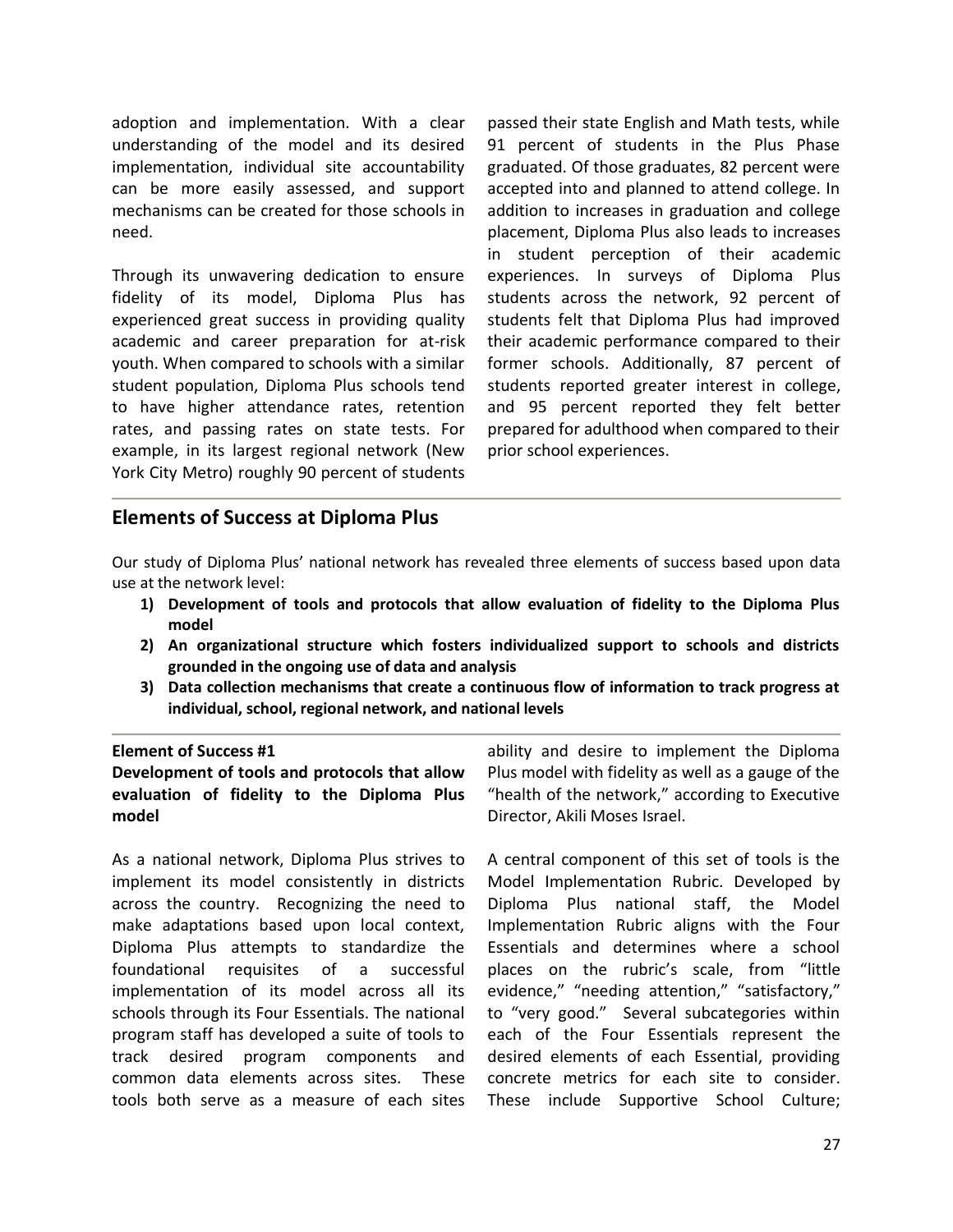adoption and implementation. With a clear understanding of the model and its desired implementation, individual site accountability can be more easily assessed, and support mechanisms can be created for those schools in need.

Through its unwavering dedication to ensure fidelity of its model, Diploma Plus has experienced great success in providing quality academic and career preparation for at-risk youth. When compared to schools with a similar student population, Diploma Plus schools tend to have higher attendance rates, retention rates, and passing rates on state tests. For example, in its largest regional network (New York City Metro) roughly 90 percent of students

passed their state English and Math tests, while 91 percent of students in the Plus Phase graduated. Of those graduates, 82 percent were accepted into and planned to attend college. In addition to increases in graduation and college placement, Diploma Plus also leads to increases in student perception of their academic experiences. In surveys of Diploma Plus students across the network, 92 percent of students felt that Diploma Plus had improved their academic performance compared to their former schools. Additionally, 87 percent of students reported greater interest in college, and 95 percent reported they felt better prepared for adulthood when compared to their prior school experiences.

## **Elements of Success at Diploma Plus**

Our study of Diploma Plus' national network has revealed three elements of success based upon data use at the network level:

- **1) Development of tools and protocols that allow evaluation of fidelity to the Diploma Plus model**
- **2) An organizational structure which fosters individualized support to schools and districts grounded in the ongoing use of data and analysis**
- **3) Data collection mechanisms that create a continuous flow of information to track progress at individual, school, regional network, and national levels**

#### **Element of Success #1**

**Development of tools and protocols that allow evaluation of fidelity to the Diploma Plus model**

As a national network, Diploma Plus strives to implement its model consistently in districts across the country. Recognizing the need to make adaptations based upon local context, Diploma Plus attempts to standardize the foundational requisites of a successful implementation of its model across all its schools through its Four Essentials. The national program staff has developed a suite of tools to track desired program components and common data elements across sites. These tools both serve as a measure of each sites

ability and desire to implement the Diploma Plus model with fidelity as well as a gauge of the "health of the network," according to Executive Director, Akili Moses Israel.

A central component of this set of tools is the Model Implementation Rubric. Developed by Diploma Plus national staff, the Model Implementation Rubric aligns with the Four Essentials and determines where a school places on the rubric's scale, from "little evidence," "needing attention," "satisfactory," to "very good." Several subcategories within each of the Four Essentials represent the desired elements of each Essential, providing concrete metrics for each site to consider. These include Supportive School Culture;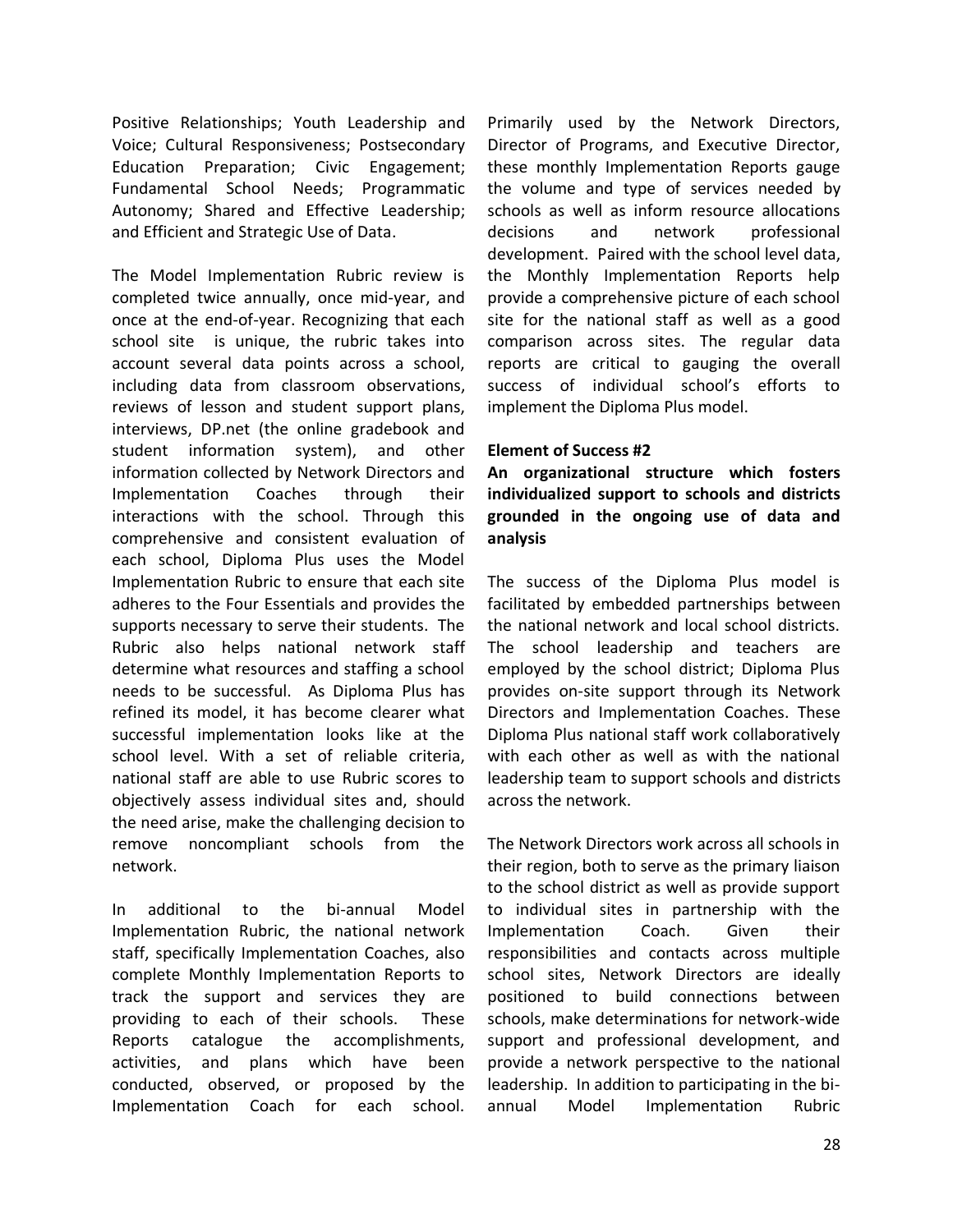Positive Relationships; Youth Leadership and Voice; Cultural Responsiveness; Postsecondary Education Preparation; Civic Engagement; Fundamental School Needs; Programmatic Autonomy; Shared and Effective Leadership; and Efficient and Strategic Use of Data.

The Model Implementation Rubric review is completed twice annually, once mid-year, and once at the end-of-year. Recognizing that each school site is unique, the rubric takes into account several data points across a school, including data from classroom observations, reviews of lesson and student support plans, interviews, DP.net (the online gradebook and student information system), and other information collected by Network Directors and Implementation Coaches through their interactions with the school. Through this comprehensive and consistent evaluation of each school, Diploma Plus uses the Model Implementation Rubric to ensure that each site adheres to the Four Essentials and provides the supports necessary to serve their students. The Rubric also helps national network staff determine what resources and staffing a school needs to be successful. As Diploma Plus has refined its model, it has become clearer what successful implementation looks like at the school level. With a set of reliable criteria, national staff are able to use Rubric scores to objectively assess individual sites and, should the need arise, make the challenging decision to remove noncompliant schools from the network.

In additional to the bi-annual Model Implementation Rubric, the national network staff, specifically Implementation Coaches, also complete Monthly Implementation Reports to track the support and services they are providing to each of their schools. These Reports catalogue the accomplishments, activities, and plans which have been conducted, observed, or proposed by the Implementation Coach for each school.

Primarily used by the Network Directors, Director of Programs, and Executive Director, these monthly Implementation Reports gauge the volume and type of services needed by schools as well as inform resource allocations decisions and network professional development. Paired with the school level data, the Monthly Implementation Reports help provide a comprehensive picture of each school site for the national staff as well as a good comparison across sites. The regular data reports are critical to gauging the overall success of individual school's efforts to implement the Diploma Plus model.

#### **Element of Success #2**

**An organizational structure which fosters individualized support to schools and districts grounded in the ongoing use of data and analysis**

The success of the Diploma Plus model is facilitated by embedded partnerships between the national network and local school districts. The school leadership and teachers are employed by the school district; Diploma Plus provides on-site support through its Network Directors and Implementation Coaches. These Diploma Plus national staff work collaboratively with each other as well as with the national leadership team to support schools and districts across the network.

The Network Directors work across all schools in their region, both to serve as the primary liaison to the school district as well as provide support to individual sites in partnership with the Implementation Coach. Given their responsibilities and contacts across multiple school sites, Network Directors are ideally positioned to build connections between schools, make determinations for network-wide support and professional development, and provide a network perspective to the national leadership. In addition to participating in the biannual Model Implementation Rubric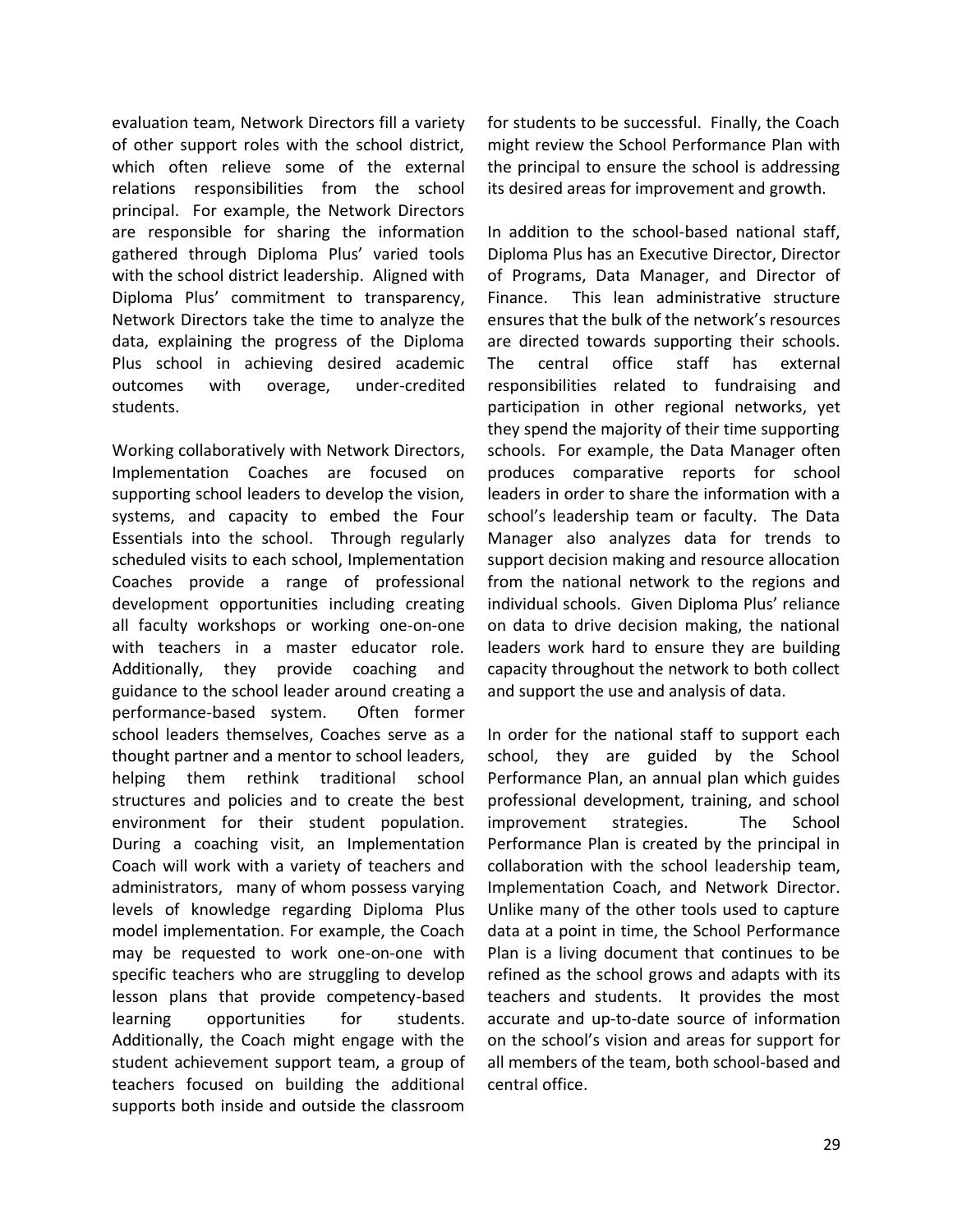evaluation team, Network Directors fill a variety of other support roles with the school district, which often relieve some of the external relations responsibilities from the school principal. For example, the Network Directors are responsible for sharing the information gathered through Diploma Plus' varied tools with the school district leadership. Aligned with Diploma Plus' commitment to transparency, Network Directors take the time to analyze the data, explaining the progress of the Diploma Plus school in achieving desired academic outcomes with overage, under-credited students.

Working collaboratively with Network Directors, Implementation Coaches are focused on supporting school leaders to develop the vision, systems, and capacity to embed the Four Essentials into the school. Through regularly scheduled visits to each school, Implementation Coaches provide a range of professional development opportunities including creating all faculty workshops or working one-on-one with teachers in a master educator role. Additionally, they provide coaching and guidance to the school leader around creating a performance-based system. Often former school leaders themselves, Coaches serve as a thought partner and a mentor to school leaders, helping them rethink traditional school structures and policies and to create the best environment for their student population. During a coaching visit, an Implementation Coach will work with a variety of teachers and administrators, many of whom possess varying levels of knowledge regarding Diploma Plus model implementation. For example, the Coach may be requested to work one-on-one with specific teachers who are struggling to develop lesson plans that provide competency-based learning opportunities for students. Additionally, the Coach might engage with the student achievement support team, a group of teachers focused on building the additional supports both inside and outside the classroom

for students to be successful. Finally, the Coach might review the School Performance Plan with the principal to ensure the school is addressing its desired areas for improvement and growth.

In addition to the school-based national staff, Diploma Plus has an Executive Director, Director of Programs, Data Manager, and Director of Finance. This lean administrative structure ensures that the bulk of the network's resources are directed towards supporting their schools. The central office staff has external responsibilities related to fundraising and participation in other regional networks, yet they spend the majority of their time supporting schools. For example, the Data Manager often produces comparative reports for school leaders in order to share the information with a school's leadership team or faculty. The Data Manager also analyzes data for trends to support decision making and resource allocation from the national network to the regions and individual schools. Given Diploma Plus' reliance on data to drive decision making, the national leaders work hard to ensure they are building capacity throughout the network to both collect and support the use and analysis of data.

In order for the national staff to support each school, they are guided by the School Performance Plan, an annual plan which guides professional development, training, and school improvement strategies. The School Performance Plan is created by the principal in collaboration with the school leadership team, Implementation Coach, and Network Director. Unlike many of the other tools used to capture data at a point in time, the School Performance Plan is a living document that continues to be refined as the school grows and adapts with its teachers and students. It provides the most accurate and up-to-date source of information on the school's vision and areas for support for all members of the team, both school-based and central office.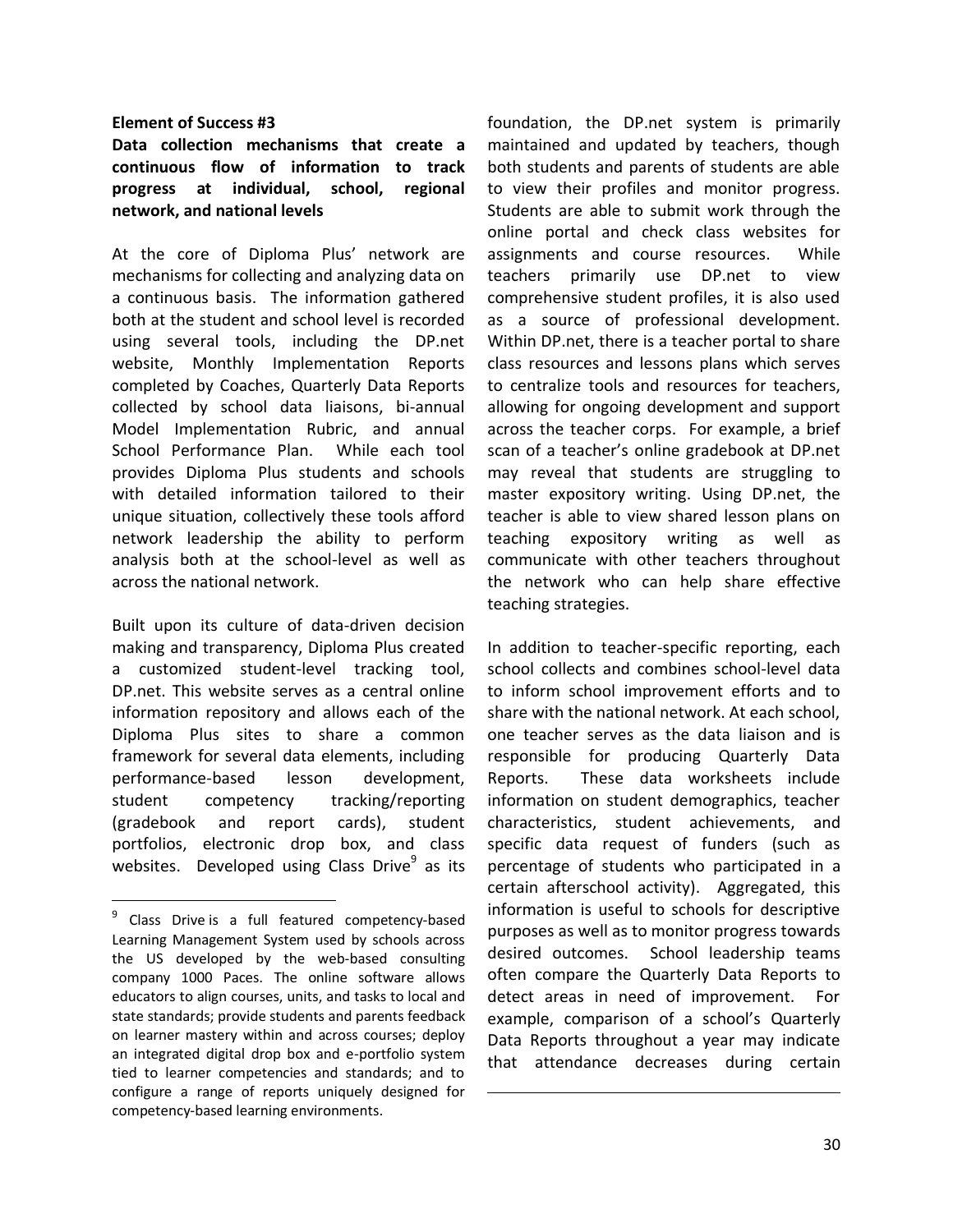#### **Element of Success #3**

**Data collection mechanisms that create a continuous flow of information to track progress at individual, school, regional network, and national levels**

At the core of Diploma Plus' network are mechanisms for collecting and analyzing data on a continuous basis. The information gathered both at the student and school level is recorded using several tools, including the DP.net website, Monthly Implementation Reports completed by Coaches, Quarterly Data Reports collected by school data liaisons, bi-annual Model Implementation Rubric, and annual School Performance Plan. While each tool provides Diploma Plus students and schools with detailed information tailored to their unique situation, collectively these tools afford network leadership the ability to perform analysis both at the school-level as well as across the national network.

Built upon its culture of data-driven decision making and transparency, Diploma Plus created a customized student-level tracking tool, DP.net. This website serves as a central online information repository and allows each of the Diploma Plus sites to share a common framework for several data elements, including performance-based lesson development, student competency tracking/reporting (gradebook and report cards), student portfolios, electronic drop box, and class websites. Developed using Class Drive<sup>9</sup> as its

 $\overline{a}$ 

 $\overline{\phantom{a}}$ 

foundation, the DP.net system is primarily maintained and updated by teachers, though both students and parents of students are able to view their profiles and monitor progress. Students are able to submit work through the online portal and check class websites for assignments and course resources. While teachers primarily use DP.net to view comprehensive student profiles, it is also used as a source of professional development. Within DP.net, there is a teacher portal to share class resources and lessons plans which serves to centralize tools and resources for teachers, allowing for ongoing development and support across the teacher corps. For example, a brief scan of a teacher's online gradebook at DP.net may reveal that students are struggling to master expository writing. Using DP.net, the teacher is able to view shared lesson plans on teaching expository writing as well as communicate with other teachers throughout the network who can help share effective teaching strategies.

In addition to teacher-specific reporting, each school collects and combines school-level data to inform school improvement efforts and to share with the national network. At each school, one teacher serves as the data liaison and is responsible for producing Quarterly Data Reports. These data worksheets include information on student demographics, teacher characteristics, student achievements, and specific data request of funders (such as percentage of students who participated in a certain afterschool activity). Aggregated, this information is useful to schools for descriptive purposes as well as to monitor progress towards desired outcomes. School leadership teams often compare the Quarterly Data Reports to detect areas in need of improvement. For example, comparison of a school's Quarterly Data Reports throughout a year may indicate that attendance decreases during certain

<sup>&</sup>lt;sup>9</sup> Class Drive is a full featured competency-based Learning Management System used by schools across the US developed by the web-based consulting company 1000 Paces. The online software allows educators to align courses, units, and tasks to local and state standards; provide students and parents feedback on learner mastery within and across courses; deploy an integrated digital drop box and e-portfolio system tied to learner competencies and standards; and to configure a range of reports uniquely designed for competency-based learning environments.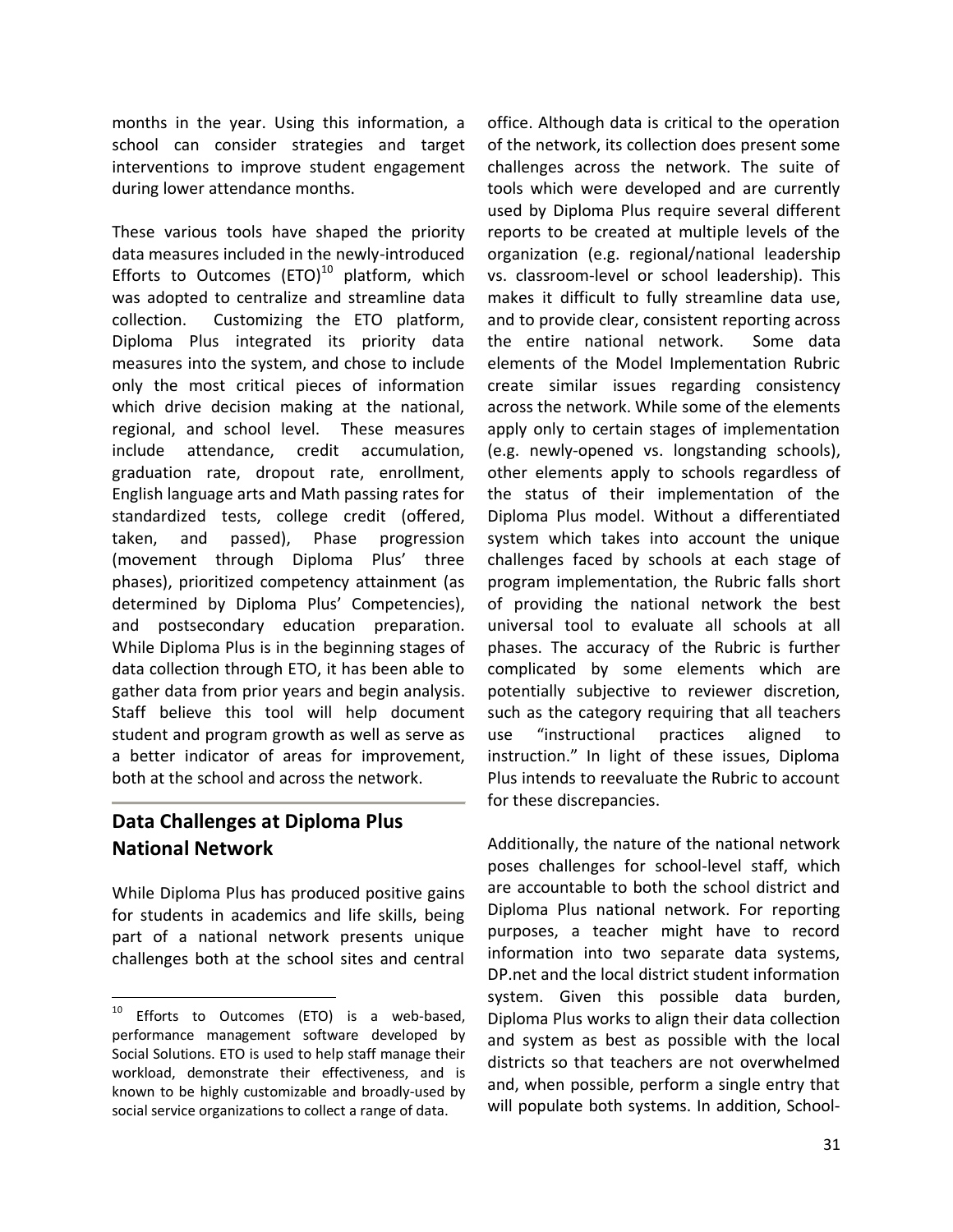months in the year. Using this information, a school can consider strategies and target interventions to improve student engagement during lower attendance months.

These various tools have shaped the priority data measures included in the newly-introduced Efforts to Outcomes  $(ETO)^{10}$  platform, which was adopted to centralize and streamline data collection. Customizing the ETO platform, Diploma Plus integrated its priority data measures into the system, and chose to include only the most critical pieces of information which drive decision making at the national, regional, and school level. These measures include attendance, credit accumulation, graduation rate, dropout rate, enrollment, English language arts and Math passing rates for standardized tests, college credit (offered, taken, and passed), Phase progression (movement through Diploma Plus' three phases), prioritized competency attainment (as determined by Diploma Plus' Competencies), and postsecondary education preparation. While Diploma Plus is in the beginning stages of data collection through ETO, it has been able to gather data from prior years and begin analysis. Staff believe this tool will help document student and program growth as well as serve as a better indicator of areas for improvement, both at the school and across the network.

## **Data Challenges at Diploma Plus National Network**

 $\overline{a}$ 

While Diploma Plus has produced positive gains for students in academics and life skills, being part of a national network presents unique challenges both at the school sites and central

office. Although data is critical to the operation of the network, its collection does present some challenges across the network. The suite of tools which were developed and are currently used by Diploma Plus require several different reports to be created at multiple levels of the organization (e.g. regional/national leadership vs. classroom-level or school leadership). This makes it difficult to fully streamline data use, and to provide clear, consistent reporting across the entire national network. Some data elements of the Model Implementation Rubric create similar issues regarding consistency across the network. While some of the elements apply only to certain stages of implementation (e.g. newly-opened vs. longstanding schools), other elements apply to schools regardless of the status of their implementation of the Diploma Plus model. Without a differentiated system which takes into account the unique challenges faced by schools at each stage of program implementation, the Rubric falls short of providing the national network the best universal tool to evaluate all schools at all phases. The accuracy of the Rubric is further complicated by some elements which are potentially subjective to reviewer discretion, such as the category requiring that all teachers use "instructional practices aligned to instruction." In light of these issues, Diploma Plus intends to reevaluate the Rubric to account for these discrepancies.

Additionally, the nature of the national network poses challenges for school-level staff, which are accountable to both the school district and Diploma Plus national network. For reporting purposes, a teacher might have to record information into two separate data systems, DP.net and the local district student information system. Given this possible data burden, Diploma Plus works to align their data collection and system as best as possible with the local districts so that teachers are not overwhelmed and, when possible, perform a single entry that will populate both systems. In addition, School-

Efforts to Outcomes (ETO) is a web-based, performance management software developed by Social Solutions. ETO is used to help staff manage their workload, demonstrate their effectiveness, and is known to be highly customizable and broadly-used by social service organizations to collect a range of data.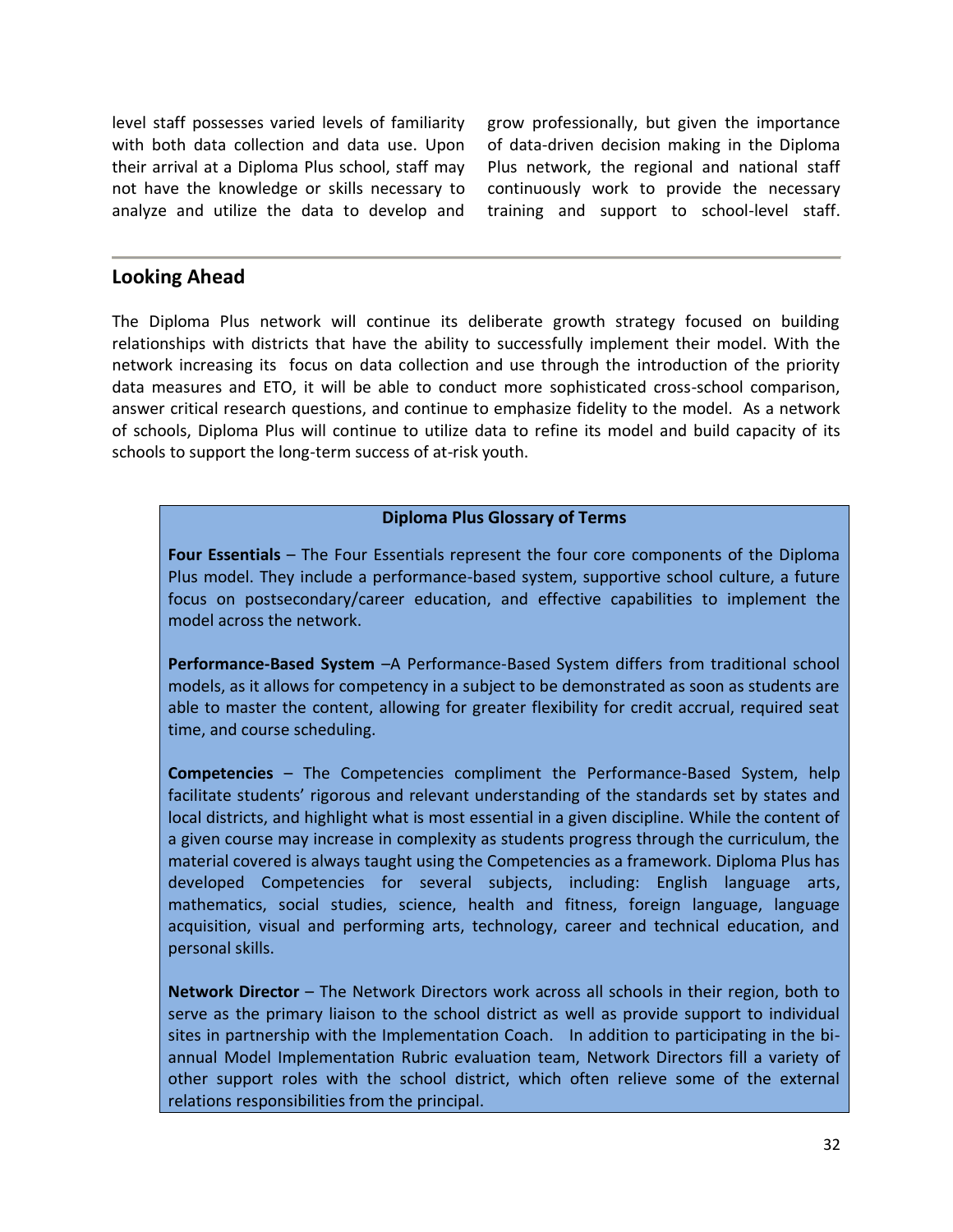level staff possesses varied levels of familiarity with both data collection and data use. Upon their arrival at a Diploma Plus school, staff may not have the knowledge or skills necessary to analyze and utilize the data to develop and

grow professionally, but given the importance of data-driven decision making in the Diploma Plus network, the regional and national staff continuously work to provide the necessary training and support to school-level staff.

## **Looking Ahead**

The Diploma Plus network will continue its deliberate growth strategy focused on building relationships with districts that have the ability to successfully implement their model. With the network increasing its focus on data collection and use through the introduction of the priority data measures and ETO, it will be able to conduct more sophisticated cross-school comparison, answer critical research questions, and continue to emphasize fidelity to the model. As a network of schools, Diploma Plus will continue to utilize data to refine its model and build capacity of its schools to support the long-term success of at-risk youth.

#### **Diploma Plus Glossary of Terms**

**Four Essentials** – The Four Essentials represent the four core components of the Diploma Plus model. They include a performance-based system, supportive school culture, a future focus on postsecondary/career education, and effective capabilities to implement the model across the network.

**Performance-Based System** –A Performance-Based System differs from traditional school models, as it allows for competency in a subject to be demonstrated as soon as students are able to master the content, allowing for greater flexibility for credit accrual, required seat time, and course scheduling.

**Competencies** – The Competencies compliment the Performance-Based System, help facilitate students' rigorous and relevant understanding of the standards set by states and local districts, and highlight what is most essential in a given discipline. While the content of a given course may increase in complexity as students progress through the curriculum, the material covered is always taught using the Competencies as a framework. Diploma Plus has developed Competencies for several subjects, including: English language arts, mathematics, social studies, science, health and fitness, foreign language, language acquisition, visual and performing arts, technology, career and technical education, and personal skills.

**Network Director** – The Network Directors work across all schools in their region, both to serve as the primary liaison to the school district as well as provide support to individual sites in partnership with the Implementation Coach. In addition to participating in the biannual Model Implementation Rubric evaluation team, Network Directors fill a variety of other support roles with the school district, which often relieve some of the external relations responsibilities from the principal.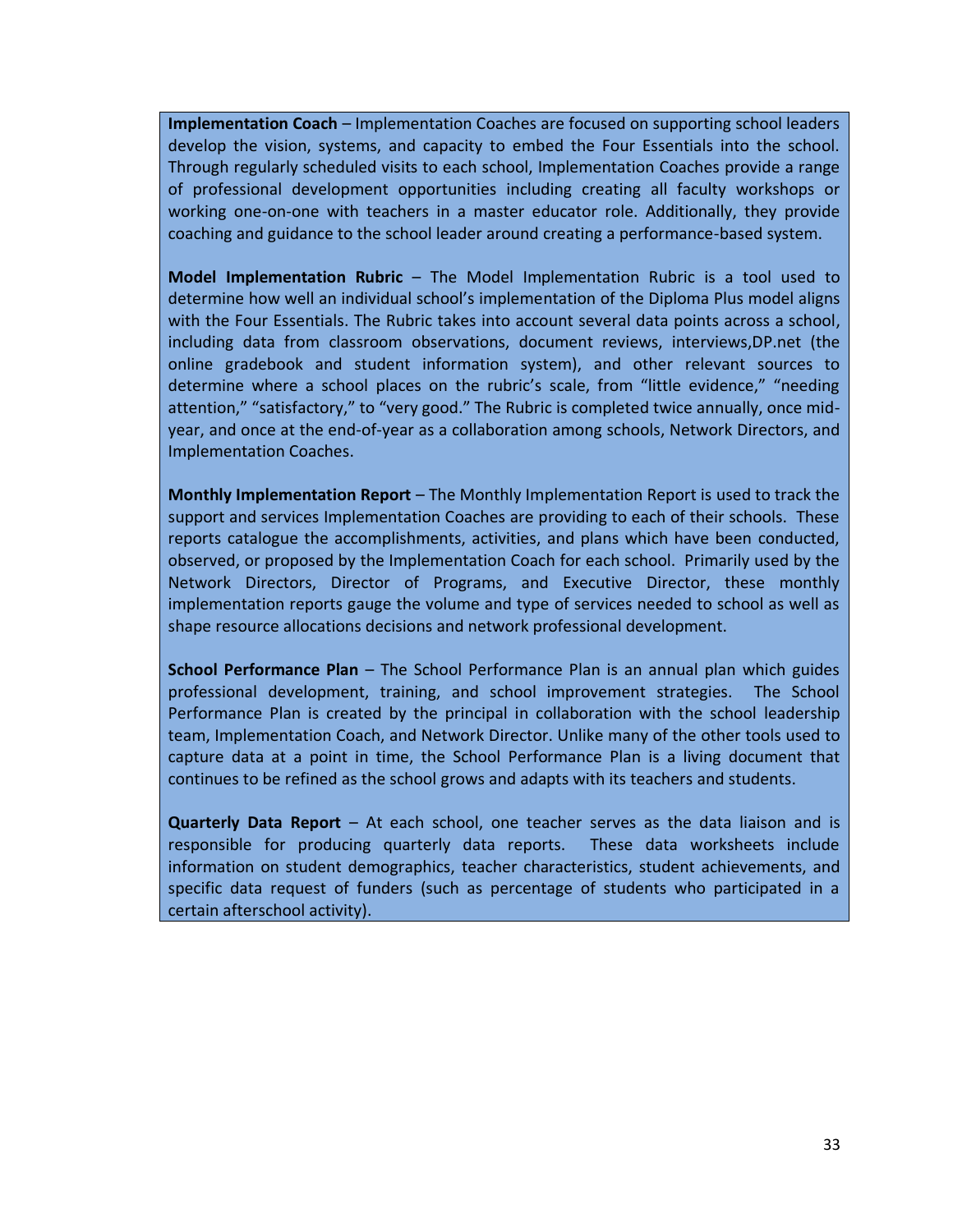**Implementation Coach** – Implementation Coaches are focused on supporting school leaders develop the vision, systems, and capacity to embed the Four Essentials into the school. Through regularly scheduled visits to each school, Implementation Coaches provide a range of professional development opportunities including creating all faculty workshops or working one-on-one with teachers in a master educator role. Additionally, they provide coaching and guidance to the school leader around creating a performance-based system.

**Model Implementation Rubric** – The Model Implementation Rubric is a tool used to determine how well an individual school's implementation of the Diploma Plus model aligns with the Four Essentials. The Rubric takes into account several data points across a school, including data from classroom observations, document reviews, interviews,DP.net (the online gradebook and student information system), and other relevant sources to determine where a school places on the rubric's scale, from "little evidence," "needing attention," "satisfactory," to "very good." The Rubric is completed twice annually, once midyear, and once at the end-of-year as a collaboration among schools, Network Directors, and Implementation Coaches.

**Monthly Implementation Report** – The Monthly Implementation Report is used to track the support and services Implementation Coaches are providing to each of their schools. These reports catalogue the accomplishments, activities, and plans which have been conducted, observed, or proposed by the Implementation Coach for each school. Primarily used by the Network Directors, Director of Programs, and Executive Director, these monthly implementation reports gauge the volume and type of services needed to school as well as shape resource allocations decisions and network professional development.

**School Performance Plan** – The School Performance Plan is an annual plan which guides professional development, training, and school improvement strategies. The School Performance Plan is created by the principal in collaboration with the school leadership team, Implementation Coach, and Network Director. Unlike many of the other tools used to capture data at a point in time, the School Performance Plan is a living document that continues to be refined as the school grows and adapts with its teachers and students.

**Quarterly Data Report** – At each school, one teacher serves as the data liaison and is responsible for producing quarterly data reports. These data worksheets include information on student demographics, teacher characteristics, student achievements, and specific data request of funders (such as percentage of students who participated in a certain afterschool activity).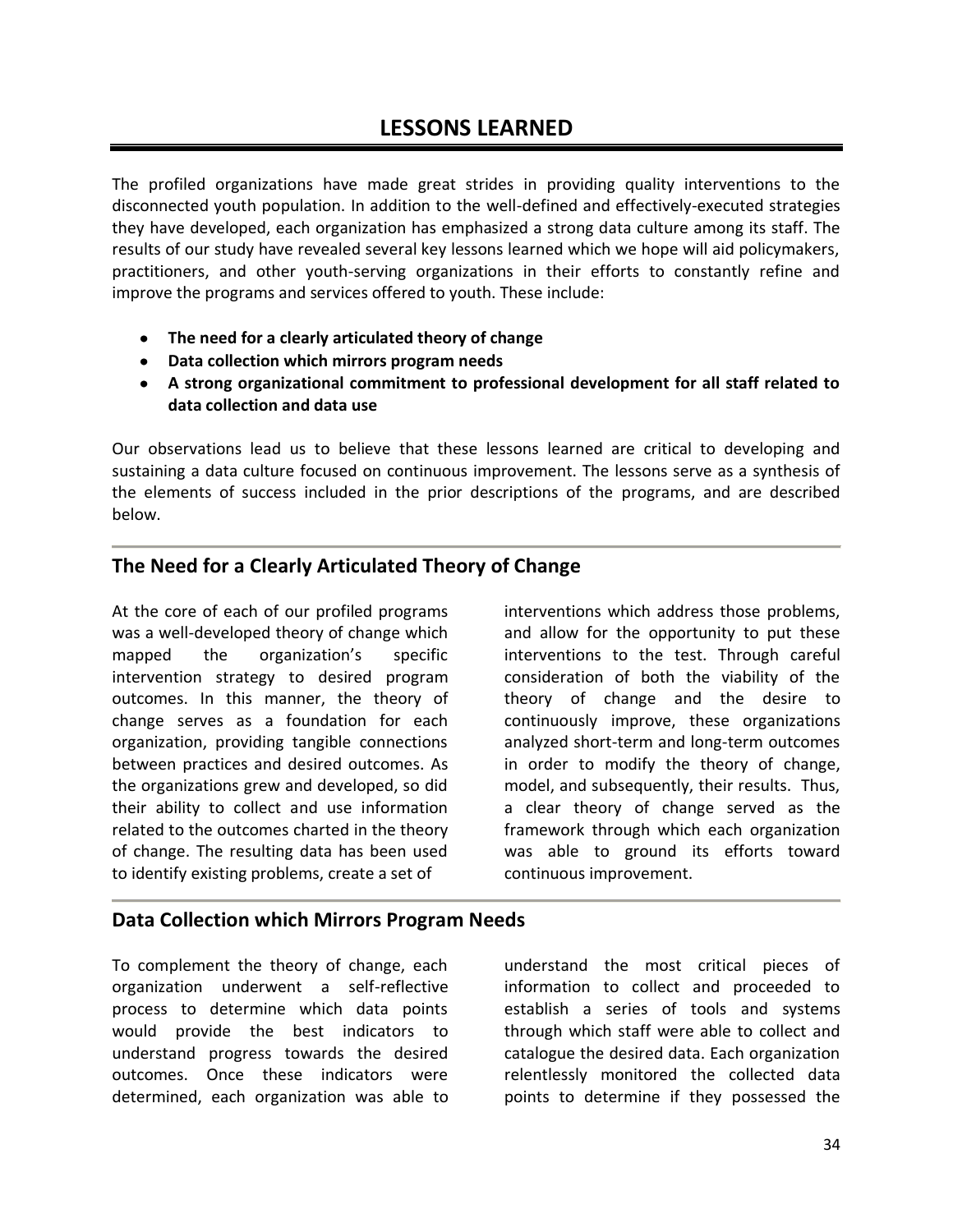The profiled organizations have made great strides in providing quality interventions to the disconnected youth population. In addition to the well-defined and effectively-executed strategies they have developed, each organization has emphasized a strong data culture among its staff. The results of our study have revealed several key lessons learned which we hope will aid policymakers, practitioners, and other youth-serving organizations in their efforts to constantly refine and improve the programs and services offered to youth. These include:

- **The need for a clearly articulated theory of change**
- **Data collection which mirrors program needs**
- **A strong organizational commitment to professional development for all staff related to data collection and data use**

Our observations lead us to believe that these lessons learned are critical to developing and sustaining a data culture focused on continuous improvement. The lessons serve as a synthesis of the elements of success included in the prior descriptions of the programs, and are described below.

## **The Need for a Clearly Articulated Theory of Change**

At the core of each of our profiled programs was a well-developed theory of change which mapped the organization's specific intervention strategy to desired program outcomes. In this manner, the theory of change serves as a foundation for each organization, providing tangible connections between practices and desired outcomes. As the organizations grew and developed, so did their ability to collect and use information related to the outcomes charted in the theory of change. The resulting data has been used to identify existing problems, create a set of

interventions which address those problems, and allow for the opportunity to put these interventions to the test. Through careful consideration of both the viability of the theory of change and the desire to continuously improve, these organizations analyzed short-term and long-term outcomes in order to modify the theory of change, model, and subsequently, their results. Thus, a clear theory of change served as the framework through which each organization was able to ground its efforts toward continuous improvement.

## **Data Collection which Mirrors Program Needs**

To complement the theory of change, each organization underwent a self-reflective process to determine which data points would provide the best indicators to understand progress towards the desired outcomes. Once these indicators were determined, each organization was able to understand the most critical pieces of information to collect and proceeded to establish a series of tools and systems through which staff were able to collect and catalogue the desired data. Each organization relentlessly monitored the collected data points to determine if they possessed the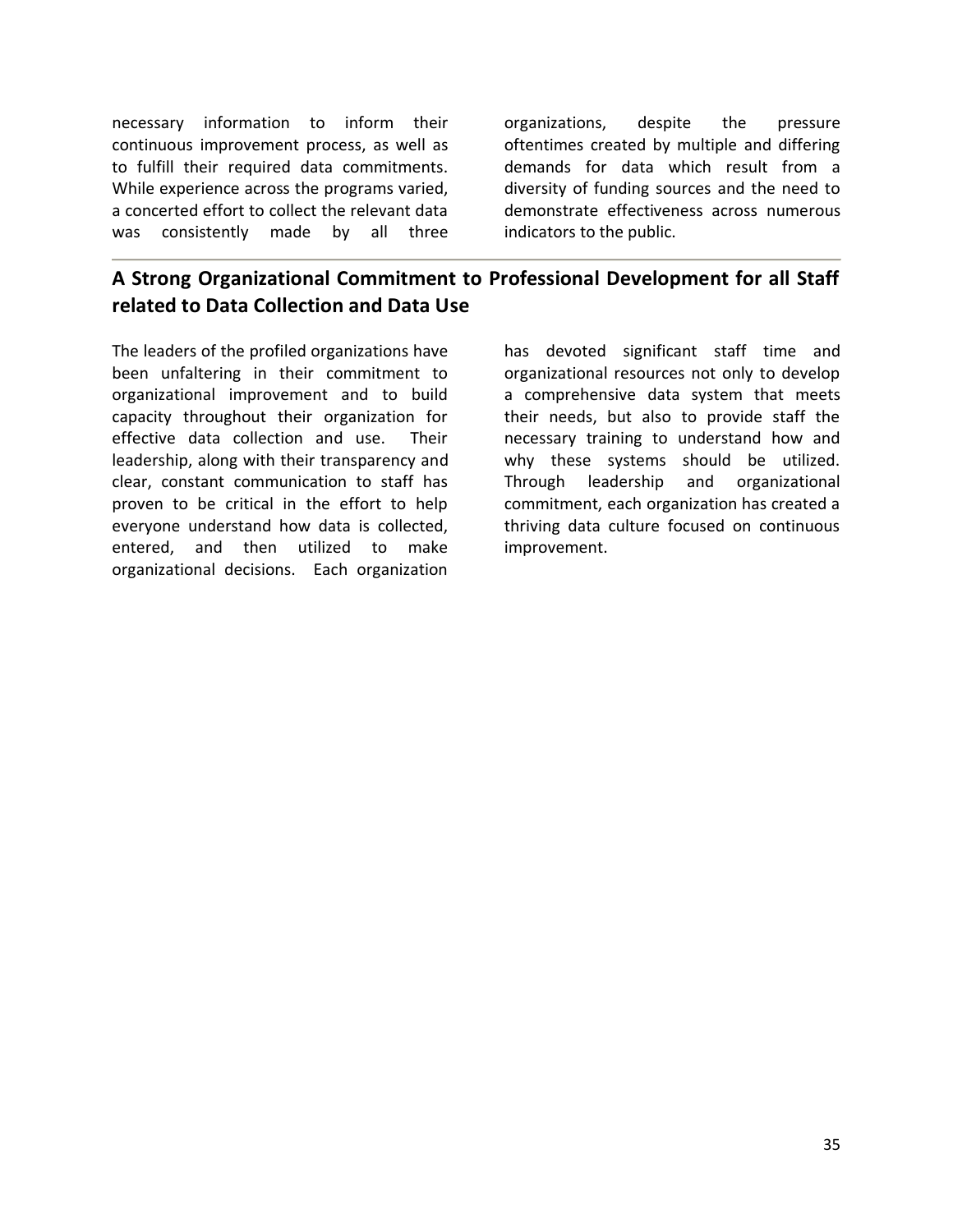necessary information to inform their continuous improvement process, as well as to fulfill their required data commitments. While experience across the programs varied, a concerted effort to collect the relevant data was consistently made by all three

organizations, despite the pressure oftentimes created by multiple and differing demands for data which result from a diversity of funding sources and the need to demonstrate effectiveness across numerous indicators to the public.

## **A Strong Organizational Commitment to Professional Development for all Staff related to Data Collection and Data Use**

The leaders of the profiled organizations have been unfaltering in their commitment to organizational improvement and to build capacity throughout their organization for effective data collection and use. Their leadership, along with their transparency and clear, constant communication to staff has proven to be critical in the effort to help everyone understand how data is collected, entered, and then utilized to make organizational decisions. Each organization

has devoted significant staff time and organizational resources not only to develop a comprehensive data system that meets their needs, but also to provide staff the necessary training to understand how and why these systems should be utilized. Through leadership and organizational commitment, each organization has created a thriving data culture focused on continuous improvement.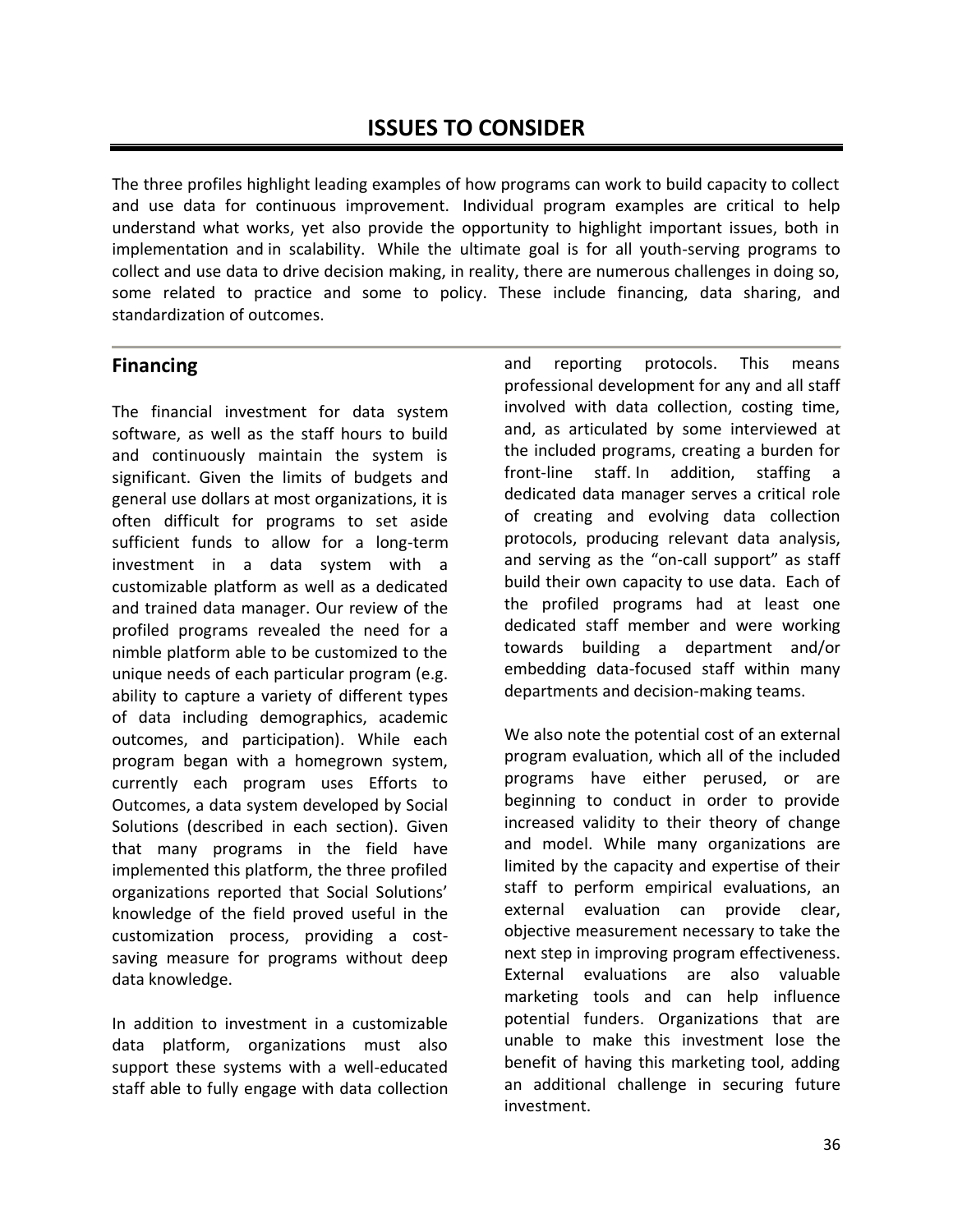The three profiles highlight leading examples of how programs can work to build capacity to collect and use data for continuous improvement. Individual program examples are critical to help understand what works, yet also provide the opportunity to highlight important issues, both in implementation and in scalability. While the ultimate goal is for all youth-serving programs to collect and use data to drive decision making, in reality, there are numerous challenges in doing so, some related to practice and some to policy. These include financing, data sharing, and standardization of outcomes.

## **Financing**

The financial investment for data system software, as well as the staff hours to build and continuously maintain the system is significant. Given the limits of budgets and general use dollars at most organizations, it is often difficult for programs to set aside sufficient funds to allow for a long-term investment in a data system with a customizable platform as well as a dedicated and trained data manager. Our review of the profiled programs revealed the need for a nimble platform able to be customized to the unique needs of each particular program (e.g. ability to capture a variety of different types of data including demographics, academic outcomes, and participation). While each program began with a homegrown system, currently each program uses Efforts to Outcomes, a data system developed by Social Solutions (described in each section). Given that many programs in the field have implemented this platform, the three profiled organizations reported that Social Solutions' knowledge of the field proved useful in the customization process, providing a costsaving measure for programs without deep data knowledge.

In addition to investment in a customizable data platform, organizations must also support these systems with a well-educated staff able to fully engage with data collection and reporting protocols. This means professional development for any and all staff involved with data collection, costing time, and, as articulated by some interviewed at the included programs, creating a burden for front-line staff. In addition, staffing a dedicated data manager serves a critical role of creating and evolving data collection protocols, producing relevant data analysis, and serving as the "on-call support" as staff build their own capacity to use data. Each of the profiled programs had at least one dedicated staff member and were working towards building a department and/or embedding data-focused staff within many departments and decision-making teams.

We also note the potential cost of an external program evaluation, which all of the included programs have either perused, or are beginning to conduct in order to provide increased validity to their theory of change and model. While many organizations are limited by the capacity and expertise of their staff to perform empirical evaluations, an external evaluation can provide clear, objective measurement necessary to take the next step in improving program effectiveness. External evaluations are also valuable marketing tools and can help influence potential funders. Organizations that are unable to make this investment lose the benefit of having this marketing tool, adding an additional challenge in securing future investment.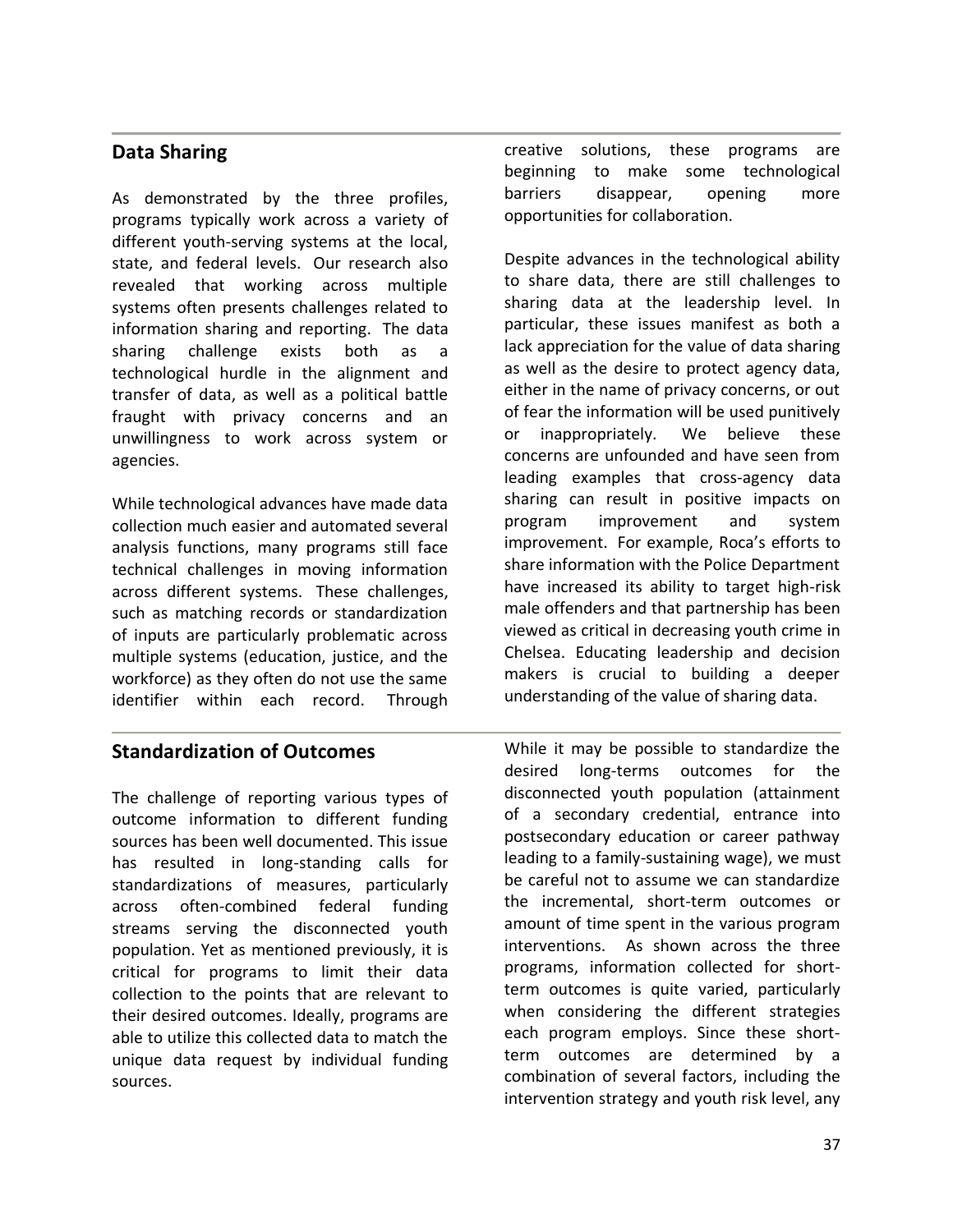## **Data Sharing**

As demonstrated by the three profiles, programs typically work across a variety of different youth-serving systems at the local, state, and federal levels. Our research also revealed that working across multiple systems often presents challenges related to information sharing and reporting. The data sharing challenge exists both as a technological hurdle in the alignment and transfer of data, as well as a political battle fraught with privacy concerns and an unwillingness to work across system or agencies.

While technological advances have made data collection much easier and automated several analysis functions, many programs still face technical challenges in moving information across different systems. These challenges, such as matching records or standardization of inputs are particularly problematic across multiple systems (education, justice, and the workforce) as they often do not use the same identifier within each record. Through

## **Standardization of Outcomes**

The challenge of reporting various types of outcome information to different funding sources has been well documented. This issue has resulted in long-standing calls for standardizations of measures, particularly across often-combined federal funding streams serving the disconnected youth population. Yet as mentioned previously, it is critical for programs to limit their data collection to the points that are relevant to their desired outcomes. Ideally, programs are able to utilize this collected data to match the unique data request by individual funding sources.

creative solutions, these programs are beginning to make some technological barriers disappear, opening more opportunities for collaboration.

Despite advances in the technological ability to share data, there are still challenges to sharing data at the leadership level. In particular, these issues manifest as both a lack appreciation for the value of data sharing as well as the desire to protect agency data, either in the name of privacy concerns, or out of fear the information will be used punitively or inappropriately. We believe these concerns are unfounded and have seen from leading examples that cross-agency data sharing can result in positive impacts on program improvement and system improvement. For example, Roca's efforts to share information with the Police Department have increased its ability to target high-risk male offenders and that partnership has been viewed as critical in decreasing youth crime in Chelsea. Educating leadership and decision makers is crucial to building a deeper understanding of the value of sharing data.

While it may be possible to standardize the desired long-terms outcomes for the disconnected youth population (attainment of a secondary credential, entrance into postsecondary education or career pathway leading to a family-sustaining wage), we must be careful not to assume we can standardize the incremental, short-term outcomes or amount of time spent in the various program interventions. As shown across the three programs, information collected for shortterm outcomes is quite varied, particularly when considering the different strategies each program employs. Since these shortterm outcomes are determined by a combination of several factors, including the intervention strategy and youth risk level, any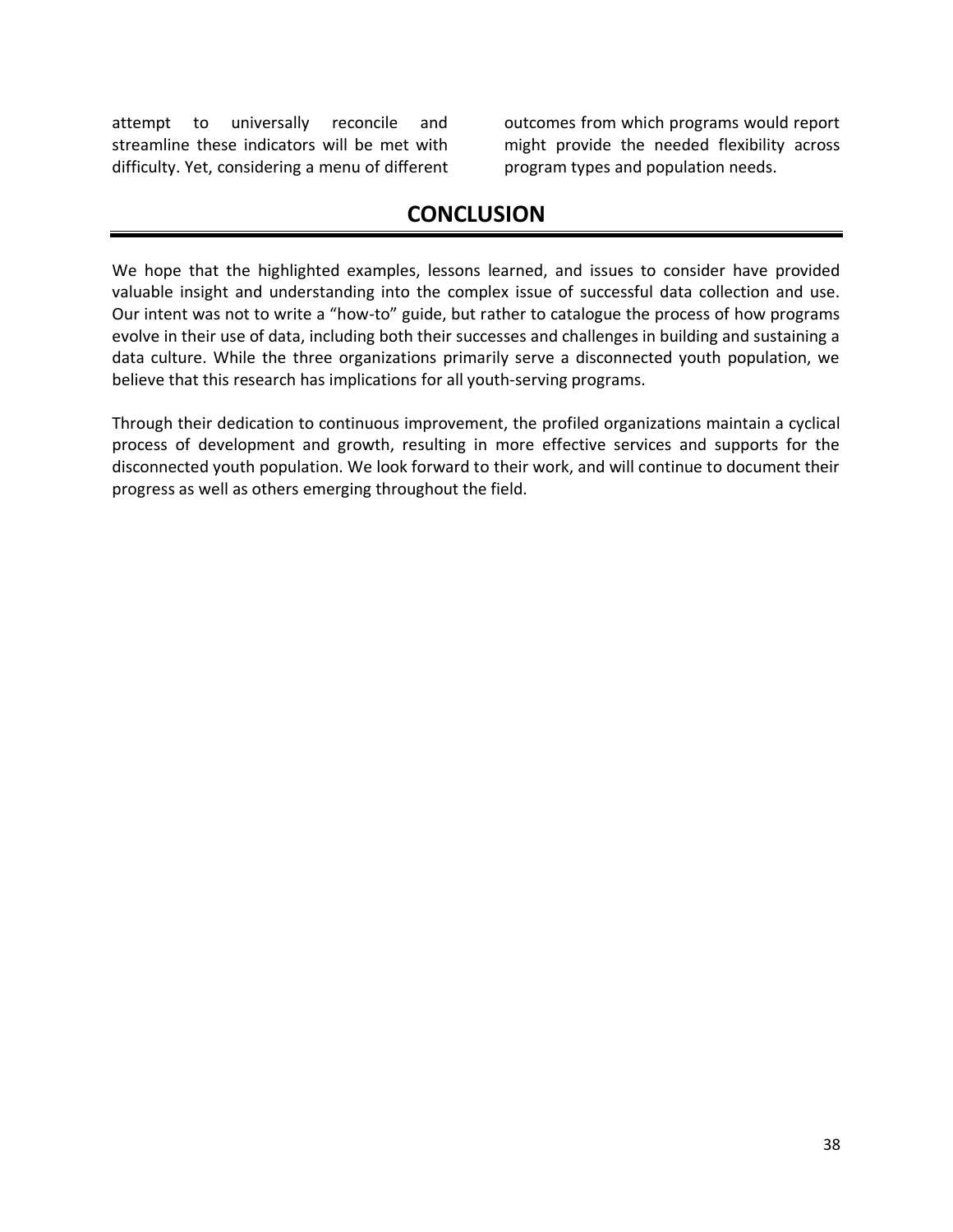attempt to universally reconcile and streamline these indicators will be met with difficulty. Yet, considering a menu of different outcomes from which programs would report might provide the needed flexibility across program types and population needs.

## **CONCLUSION**

We hope that the highlighted examples, lessons learned, and issues to consider have provided valuable insight and understanding into the complex issue of successful data collection and use. Our intent was not to write a "how-to" guide, but rather to catalogue the process of how programs evolve in their use of data, including both their successes and challenges in building and sustaining a data culture. While the three organizations primarily serve a disconnected youth population, we believe that this research has implications for all youth-serving programs.

Through their dedication to continuous improvement, the profiled organizations maintain a cyclical process of development and growth, resulting in more effective services and supports for the disconnected youth population. We look forward to their work, and will continue to document their progress as well as others emerging throughout the field.